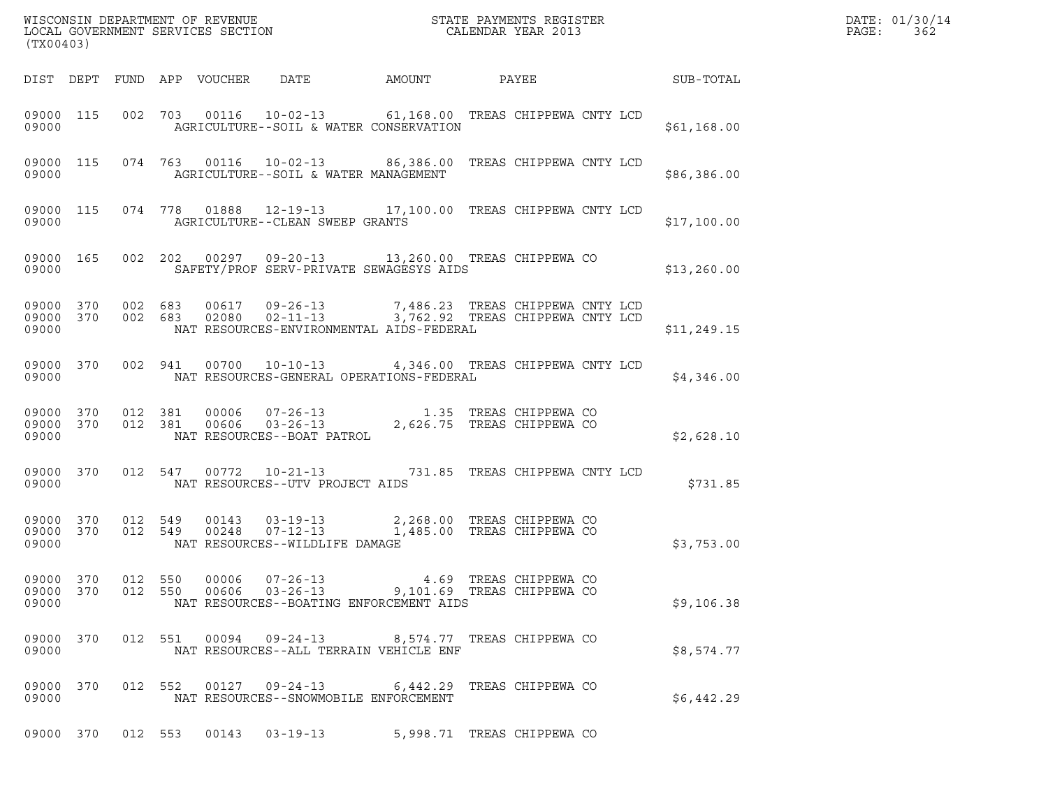| (TX00403)                       |                    |                |                                                                             |        |                                                                                                                                            |                 | DATE: 01/30/14<br>PAGE:<br>362 |
|---------------------------------|--------------------|----------------|-----------------------------------------------------------------------------|--------|--------------------------------------------------------------------------------------------------------------------------------------------|-----------------|--------------------------------|
| DIST DEPT FUND APP VOUCHER DATE |                    |                |                                                                             | AMOUNT |                                                                                                                                            | PAYEE SUB-TOTAL |                                |
| 09000 115<br>09000              |                    |                | AGRICULTURE--SOIL & WATER CONSERVATION                                      |        | 002 703 00116 10-02-13 61,168.00 TREAS CHIPPEWA CNTY LCD                                                                                   | \$61,168.00     |                                |
| 09000                           |                    |                | AGRICULTURE--SOIL & WATER MANAGEMENT                                        |        | 09000 115 074 763 00116 10-02-13 86,386.00 TREAS CHIPPEWA CNTY LCD                                                                         | \$86,386.00     |                                |
| 09000                           |                    |                | AGRICULTURE--CLEAN SWEEP GRANTS                                             |        | 09000 115 074 778 01888 12-19-13 17,100.00 TREAS CHIPPEWA CNTY LCD                                                                         | \$17,100.00     |                                |
| 09000 165<br>09000              |                    |                | SAFETY/PROF SERV-PRIVATE SEWAGESYS AIDS                                     |        | 002 202 00297 09-20-13 13,260.00 TREAS CHIPPEWA CO                                                                                         | \$13,260.00     |                                |
| 09000                           |                    |                | NAT RESOURCES-ENVIRONMENTAL AIDS-FEDERAL                                    |        | 09000 370 002 683 00617 09-26-13 7,486.23 TREAS CHIPPEWA CNTY LCD 09000 370 002 683 02080 02-11-13 3,762.92 TREAS CHIPPEWA CNTY LCD        | \$11, 249.15    |                                |
| 09000 370                       |                    |                |                                                                             |        | 002 941 00700 10-10-13 4,346.00 TREAS CHIPPEWA CNTY LCD                                                                                    | \$4,346.00      |                                |
| 09000 370<br>09000 370<br>09000 |                    |                |                                                                             |        | 012  381  00006  07-26-13  1.35  TREAS CHIPPEWA CO<br>012  381  00606  03-26-13  2,626.75  TREAS CHIPPEWA CO<br>NAT RESOURCES--BOAT PATROL | \$2,628.10      |                                |
| 09000 370<br>09000              |                    |                | NAT RESOURCES--UTV PROJECT AIDS                                             |        | 012 547 00772 10-21-13 731.85 TREAS CHIPPEWA CNTY LCD                                                                                      | \$731.85        |                                |
| 09000 370<br>09000 370<br>09000 |                    |                | NAT RESOURCES--WILDLIFE DAMAGE                                              |        | 012 549 00143 03-19-13 2,268.00 TREAS CHIPPEWA CO<br>012 549 00248 07-12-13 1,485.00 TREAS CHIPPEWA CO                                     | \$3,753.00      |                                |
| 09000 370<br>09000 370<br>09000 | 012 550<br>012 550 | 00006<br>00606 | $07 - 26 - 13$<br>$03 - 26 - 13$<br>NAT RESOURCES--BOATING ENFORCEMENT AIDS |        | 4.69 TREAS CHIPPEWA CO<br>9,101.69 TREAS CHIPPEWA CO                                                                                       | \$9,106.38      |                                |
| 09000 370<br>09000              |                    |                | 012 551 00094 09-24-13<br>NAT RESOURCES--ALL TERRAIN VEHICLE ENF            |        | 8,574.77 TREAS CHIPPEWA CO                                                                                                                 | \$8,574.77      |                                |
| 09000 370<br>09000              |                    |                | 012 552 00127 09-24-13<br>NAT RESOURCES--SNOWMOBILE ENFORCEMENT             |        | 6,442.29 TREAS CHIPPEWA CO                                                                                                                 | \$6,442.29      |                                |
| 09000 370                       | 012 553            | 00143          | $03 - 19 - 13$                                                              |        | 5,998.71 TREAS CHIPPEWA CO                                                                                                                 |                 |                                |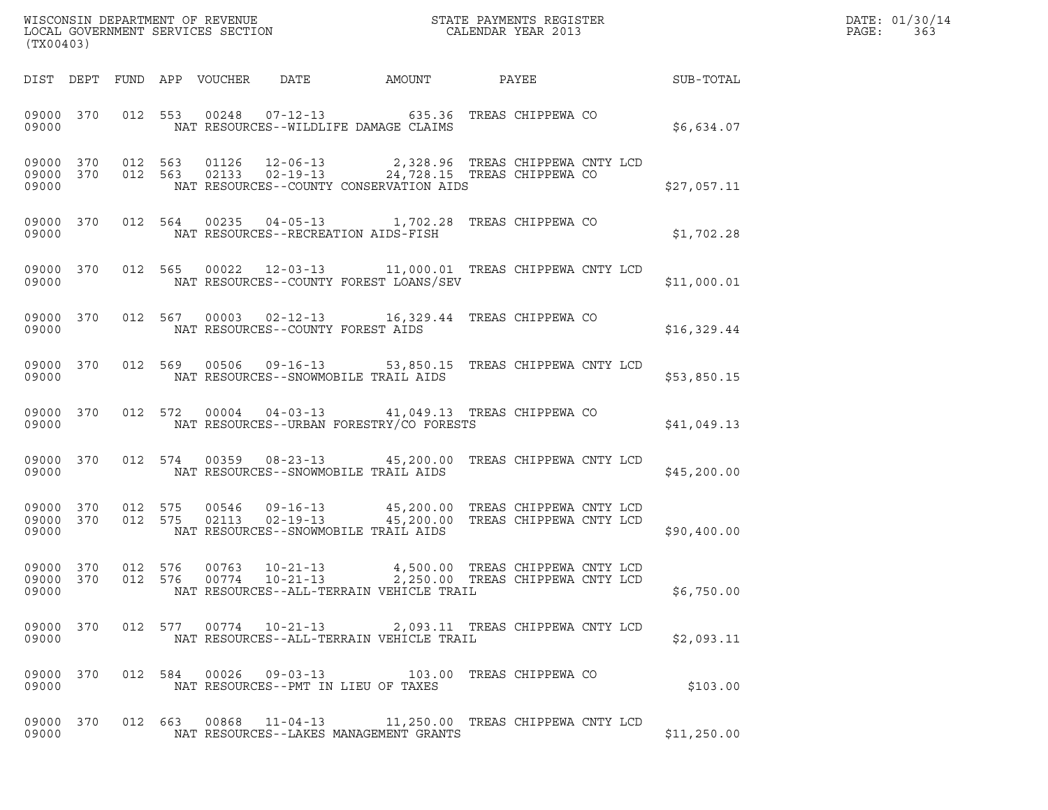| (TX00403) |  |  |                                                                                                                                                                                    |  |             | DATE: 01/30/14<br>$\mathtt{PAGE:}$<br>363 |
|-----------|--|--|------------------------------------------------------------------------------------------------------------------------------------------------------------------------------------|--|-------------|-------------------------------------------|
|           |  |  | DIST DEPT FUND APP VOUCHER DATE AMOUNT PAYEE SUB-TOTAL                                                                                                                             |  |             |                                           |
|           |  |  | 09000 370 012 553 00248 07-12-13 635.36 TREAS CHIPPEWA CO<br>09000 NAT RESOURCES--WILDLIFE DAMAGE CLAIMS                                                                           |  | \$6,634.07  |                                           |
| 09000     |  |  | 09000 370 012 563 01126 12-06-13 2,328.96 TREAS CHIPPEWA CNTY LCD 09000 370 012 563 02133 02-19-13 24,728.15 TREAS CHIPPEWA CO<br>NAT RESOURCES--COUNTY CONSERVATION AIDS          |  | \$27,057.11 |                                           |
|           |  |  | 09000 370 012 564 00235 04-05-13 1,702.28 TREAS CHIPPEWA CO                                                                                                                        |  | \$1,702.28  |                                           |
|           |  |  | 09000 370 012 565 00022 12-03-13 11,000.01 TREAS CHIPPEWA CNTY LCD<br>09000 MAT RESOURCES--COUNTY FOREST LOANS/SEV                                                                 |  | \$11,000.01 |                                           |
|           |  |  | 09000 370 012 567 00003 02-12-13 16,329.44 TREAS CHIPPEWA CO<br>09000 NAT RESOURCES--COUNTY FOREST AIDS                                                                            |  | \$16,329.44 |                                           |
|           |  |  | 09000 370 012 569 00506 09-16-13 53,850.15 TREAS CHIPPEWA CNTY LCD                                                                                                                 |  | \$53,850.15 |                                           |
|           |  |  | 09000 370 012 572 00004 04-03-13 41,049.13 TREAS CHIPPEWA CO                                                                                                                       |  | \$41,049.13 |                                           |
|           |  |  | 09000 370 012 574 00359 08-23-13 45,200.00 TREAS CHIPPEWA CNTY LCD<br>09000 MAT RESOURCES--SNOWMOBILE TRAIL AIDS                                                                   |  | \$45,200.00 |                                           |
| 09000     |  |  | 09000 370 012 575 00546 09-16-13 45,200.00 TREAS CHIPPEWA CNTY LCD<br>09000 370 012 575 02113 02-19-13 45,200.00 TREAS CHIPPEWA CNTY LCD<br>NAT RESOURCES--SNOWMOBILE TRAIL AIDS   |  | \$90,400.00 |                                           |
| 09000     |  |  | 09000 370 012 576 00763 10-21-13 4,500.00 TREAS CHIPPEWA CNTY LCD<br>09000 370 012 576 00774 10-21-13 2,250.00 TREAS CHIPPEWA CNTY LCD<br>NAT RESOURCES--ALL-TERRAIN VEHICLE TRAIL |  | \$6,750.00  |                                           |
| 09000     |  |  | 09000 370 012 577 00774 10-21-13 2,093.11 TREAS CHIPPEWA CNTY LCD<br>NAT RESOURCES--ALL-TERRAIN VEHICLE TRAIL                                                                      |  | \$2,093.11  |                                           |
| 09000     |  |  | 09000 370 012 584 00026 09-03-13 103.00 TREAS CHIPPEWA CO<br>NAT RESOURCES--PMT IN LIEU OF TAXES                                                                                   |  | \$103.00    |                                           |
| 09000     |  |  | 09000 370 012 663 00868 11-04-13 11,250.00 TREAS CHIPPEWA CNTY LCD<br>NAT RESOURCES--LAKES MANAGEMENT GRANTS                                                                       |  | \$11,250.00 |                                           |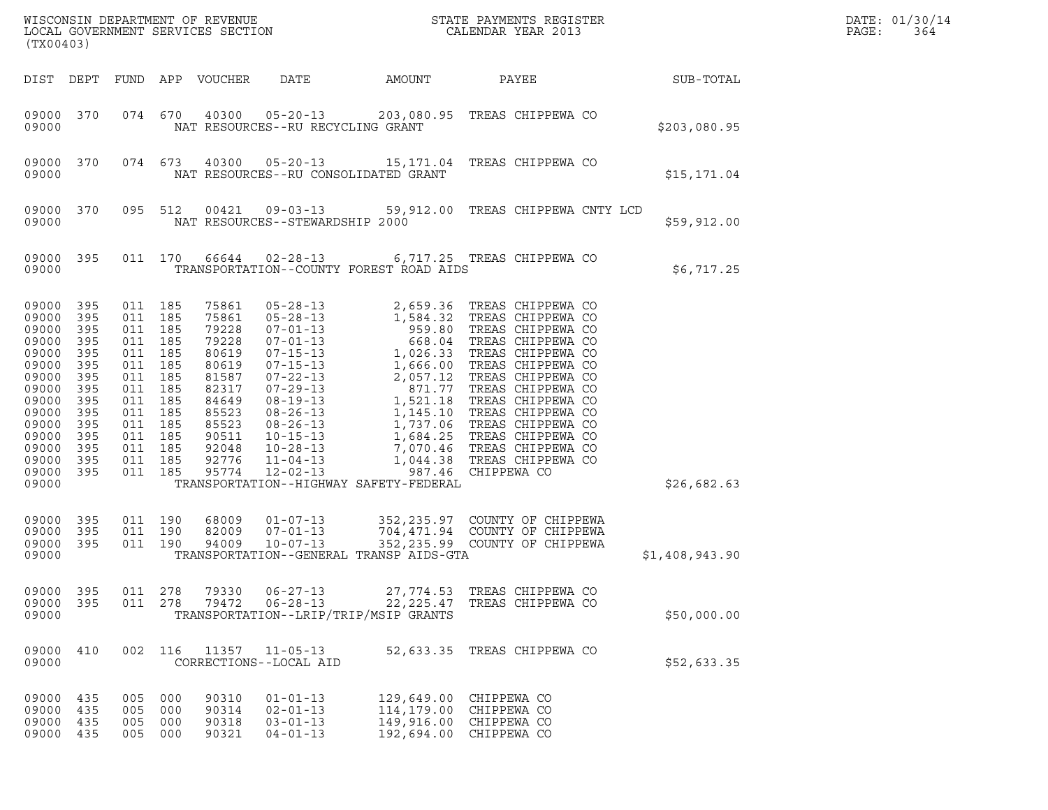| (TX00403)                                                                                                                                    |                                                                                                       |                                                                                                                                                       |                          |                                                                                                                                     |                                                                           |                                                      | ${\tt WISCONSIN} \begin{tabular}{l} DEPARTMENT OF REVIEW \\ LOCAL GOVERIMENT SERVICES SECTION \\ \end{tabular} \begin{tabular}{l} \multicolumn{2}{c}{\textbf{S}} \\ \multicolumn{2}{c}{\textbf{S}} \\ \multicolumn{2}{c}{\textbf{S}} \\ \multicolumn{2}{c}{\textbf{A}} \\ \multicolumn{2}{c}{\textbf{A}} \\ \multicolumn{2}{c}{\textbf{A}} \\ \multicolumn{2}{c}{\textbf{A}} \\ \multicolumn{2}{c}{\textbf{A}} \\ \multicolumn{2}{c}{\textbf{A}} \\ \multicolumn{2}{c}{\textbf{A}} \\ \multicolumn{2}{c}{\textbf{$ |                  | DATE: 01/30/14<br>PAGE:<br>364 |
|----------------------------------------------------------------------------------------------------------------------------------------------|-------------------------------------------------------------------------------------------------------|-------------------------------------------------------------------------------------------------------------------------------------------------------|--------------------------|-------------------------------------------------------------------------------------------------------------------------------------|---------------------------------------------------------------------------|------------------------------------------------------|--------------------------------------------------------------------------------------------------------------------------------------------------------------------------------------------------------------------------------------------------------------------------------------------------------------------------------------------------------------------------------------------------------------------------------------------------------------------------------------------------------------------|------------------|--------------------------------|
|                                                                                                                                              |                                                                                                       |                                                                                                                                                       |                          | DIST DEPT FUND APP VOUCHER                                                                                                          | DATE                                                                      | AMOUNT                                               | PAYEE                                                                                                                                                                                                                                                                                                                                                                                                                                                                                                              | <b>SUB-TOTAL</b> |                                |
| 09000 370<br>09000                                                                                                                           |                                                                                                       |                                                                                                                                                       | 074 670                  |                                                                                                                                     | 40300 05-20-13<br>NAT RESOURCES--RU RECYCLING GRANT                       |                                                      | 203,080.95 TREAS CHIPPEWA CO                                                                                                                                                                                                                                                                                                                                                                                                                                                                                       | \$203,080.95     |                                |
| 09000                                                                                                                                        | 09000 370                                                                                             |                                                                                                                                                       | 074 673                  |                                                                                                                                     | NAT RESOURCES--RU CONSOLIDATED GRANT                                      |                                                      | 40300  05-20-13  15,171.04  TREAS CHIPPEWA CO                                                                                                                                                                                                                                                                                                                                                                                                                                                                      | \$15,171.04      |                                |
| 09000 370<br>09000                                                                                                                           |                                                                                                       | 095 512                                                                                                                                               |                          | 00421                                                                                                                               | NAT RESOURCES--STEWARDSHIP 2000                                           |                                                      |                                                                                                                                                                                                                                                                                                                                                                                                                                                                                                                    | \$59,912.00      |                                |
| 09000 395<br>09000                                                                                                                           |                                                                                                       |                                                                                                                                                       |                          |                                                                                                                                     |                                                                           | TRANSPORTATION--COUNTY FOREST ROAD AIDS              | 011 170 66644 02-28-13 6,717.25 TREAS CHIPPEWA CO                                                                                                                                                                                                                                                                                                                                                                                                                                                                  | \$6,717.25       |                                |
| 09000<br>09000<br>09000<br>09000<br>09000<br>09000<br>09000<br>09000<br>09000<br>09000<br>09000<br>09000<br>09000<br>09000<br>09000<br>09000 | 395<br>395<br>395<br>395<br>395<br>395<br>395<br>395<br>395<br>395<br>395<br>395<br>395<br>395<br>395 | 011 185<br>011 185<br>011 185<br>011 185<br>011 185<br>011<br>011 185<br>011<br>011 185<br>011<br>011 185<br>011 185<br>011 185<br>011 185<br>011 185 | 185<br>185<br>185        | 75861<br>75861<br>79228<br>79228<br>80619<br>80619<br>81587<br>82317<br>84649<br>85523<br>85523<br>90511<br>92048<br>92776<br>95774 | $12 - 02 - 13$                                                            | TRANSPORTATION--HIGHWAY SAFETY-FEDERAL               | 987.46 CHIPPEWA CO                                                                                                                                                                                                                                                                                                                                                                                                                                                                                                 | \$26,682.63      |                                |
| 09000<br>09000<br>09000<br>09000                                                                                                             | 395<br>395<br>395                                                                                     | 011 190<br>011 190                                                                                                                                    | 011 190                  | 68009<br>82009<br>94009                                                                                                             | $01 - 07 - 13$<br>$07 - 01 - 13$<br>$10 - 07 - 13$                        | TRANSPORTATION--GENERAL TRANSP AIDS-GTA              | 352,235.97 COUNTY OF CHIPPEWA<br>704,471.94 COUNTY OF CHIPPEWA<br>352,235.99 COUNTY OF CHIPPEWA                                                                                                                                                                                                                                                                                                                                                                                                                    | \$1,408,943.90   |                                |
| 09000<br>09000<br>09000                                                                                                                      | 395<br>395                                                                                            | 011<br>011                                                                                                                                            | 278<br>278               | 79330<br>79472                                                                                                                      | $06 - 27 - 13$<br>$06 - 28 - 13$<br>TRANSPORTATION--LRIP/TRIP/MSIP GRANTS | 27,774.53<br>22, 225.47                              | TREAS CHIPPEWA CO<br>TREAS CHIPPEWA CO                                                                                                                                                                                                                                                                                                                                                                                                                                                                             | \$50,000.00      |                                |
| 09000<br>09000                                                                                                                               | 410                                                                                                   |                                                                                                                                                       | 002 116                  | 11357                                                                                                                               | $11 - 05 - 13$<br>CORRECTIONS--LOCAL AID                                  | 52,633.35                                            | TREAS CHIPPEWA CO                                                                                                                                                                                                                                                                                                                                                                                                                                                                                                  | \$52,633.35      |                                |
| 09000<br>09000<br>09000<br>09000                                                                                                             | 435<br>435<br>435<br>435                                                                              | 005<br>005<br>005<br>005                                                                                                                              | 000<br>000<br>000<br>000 | 90310<br>90314<br>90318<br>90321                                                                                                    | $01 - 01 - 13$<br>$02 - 01 - 13$<br>$03 - 01 - 13$<br>$04 - 01 - 13$      | 129,649.00<br>114,179.00<br>149,916.00<br>192,694.00 | CHIPPEWA CO<br>CHIPPEWA CO<br>CHIPPEWA CO<br>CHIPPEWA CO                                                                                                                                                                                                                                                                                                                                                                                                                                                           |                  |                                |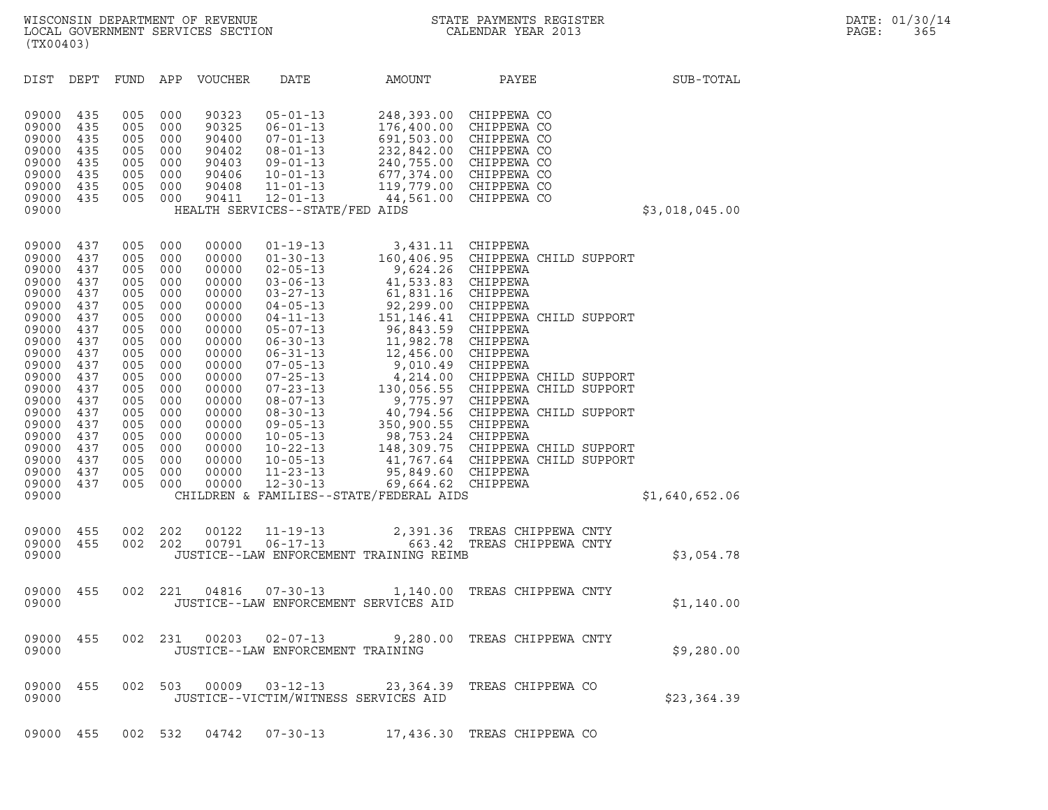| (TX00403)                                                                     |                                                      |                                                      |                                                      |                                                                      |                                                                                                                                                                                 |                                                                                                 |                                                                                                                                                                                                             |                |
|-------------------------------------------------------------------------------|------------------------------------------------------|------------------------------------------------------|------------------------------------------------------|----------------------------------------------------------------------|---------------------------------------------------------------------------------------------------------------------------------------------------------------------------------|-------------------------------------------------------------------------------------------------|-------------------------------------------------------------------------------------------------------------------------------------------------------------------------------------------------------------|----------------|
| DIST                                                                          | DEPT                                                 | FUND                                                 | APP                                                  | VOUCHER                                                              | DATE                                                                                                                                                                            | AMOUNT                                                                                          | PAYEE                                                                                                                                                                                                       | SUB-TOTAL      |
| 09000<br>09000<br>09000<br>09000<br>09000<br>09000<br>09000<br>09000<br>09000 | 435<br>435<br>435<br>435<br>435<br>435<br>435<br>435 | 005<br>005<br>005<br>005<br>005<br>005<br>005<br>005 | 000<br>000<br>000<br>000<br>000<br>000<br>000<br>000 | 90323<br>90325<br>90400<br>90402<br>90403<br>90406<br>90408<br>90411 | $05 - 01 - 13$<br>$06 - 01 - 13$<br>$07 - 01 - 13$<br>$08 - 01 - 13$<br>$09 - 01 - 13$<br>$10 - 01 - 13$<br>$11 - 01 - 13$<br>$12 - 01 - 13$<br>HEALTH SERVICES--STATE/FED AIDS |                                                                                                 | 248,393.00 CHIPPEWA CO<br>176,400.00 CHIPPEWA CO<br>691,503.00 CHIPPEWA CO<br>232,842.00 CHIPPEWA CO<br>240,755.00 CHIPPEWA CO<br>677,374.00 CHIPPEWA CO<br>119,779.00 CHIPPEWA CO<br>44,561.00 CHIPPEWA CO | \$3,018,045.00 |
| 09000<br>09000<br>09000<br>09000<br>09000<br>09000                            | 437<br>437<br>437<br>437<br>437<br>437               | 005<br>005<br>005<br>005<br>005<br>005               | 000<br>000<br>000<br>000<br>000<br>000               | 00000<br>00000<br>00000<br>00000<br>00000<br>00000                   | $01 - 19 - 13$<br>$01 - 30 - 13$<br>$02 - 05 - 13$<br>$03 - 06 - 13$<br>$03 - 27 - 13$<br>$04 - 05 - 13$                                                                        | 3,431.11 CHIPPEWA<br>9,624.26 CHIPPEWA<br>41,533.83<br>61,831.16 CHIPPEWA<br>92,299.00 CHIPPEWA | 160,406.95 CHIPPEWA CHILD SUPPORT<br>CHIPPEWA                                                                                                                                                               |                |
| 09000<br>09000<br>09000<br>09000<br>09000                                     | 437<br>437<br>437<br>437<br>437                      | 005<br>005<br>005<br>005<br>005                      | 000<br>000<br>000<br>000<br>000                      | 00000<br>00000<br>00000<br>00000<br>00000                            | $04 - 11 - 13$<br>$05 - 07 - 13$<br>$06 - 30 - 13$<br>$06 - 31 - 13$<br>$07 - 05 - 13$                                                                                          | 96,843.59 CHIPPEWA<br>11,982.78 CHIPPEWA<br>12,456.00 CHIPPEWA<br>9,010.49 CHIPPEWA             | 151,146.41 CHIPPEWA CHILD SUPPORT                                                                                                                                                                           |                |
| 09000<br>09000<br>09000<br>09000<br>09000<br>09000                            | 437<br>437<br>437<br>437<br>437<br>437               | 005<br>005<br>005<br>005<br>005<br>005               | 000<br>000<br>000<br>000<br>000<br>000               | 00000<br>00000<br>00000<br>00000<br>00000<br>00000                   | $07 - 25 - 13$<br>$07 - 23 - 13$<br>$08 - 07 - 13$<br>$08 - 30 - 13$<br>$09 - 05 - 13$<br>$10 - 05 - 13$                                                                        | 9,775.97 CHIPPEWA<br>350,900.55 CHIPPEWA<br>98,753.24 CHIPPEWA                                  | 4, 214.00 CHIPPEWA CHILD SUPPORT<br>130, 056.55 CHIPPEWA CHILD SUPPORT<br>40,794.56 CHIPPEWA CHILD SUPPORT                                                                                                  |                |
| 09000<br>09000<br>09000<br>09000<br>09000                                     | 437<br>437<br>437<br>437                             | 005<br>005<br>005<br>005                             | 000<br>000<br>000<br>000                             | 00000<br>00000<br>00000<br>00000                                     | $10 - 22 - 13$<br>$10 - 05 - 13$<br>$11 - 23 - 13$<br>$12 - 30 - 13$                                                                                                            | 95,849.60 CHIPPEWA<br>69,664.62 CHIPPEWA<br>CHILDREN & FAMILIES--STATE/FEDERAL AIDS             | 148,309.75 CHIPPEWA CHILD SUPPORT<br>41,767.64 CHIPPEWA CHILD SUPPORT                                                                                                                                       | \$1,640,652.06 |
| 09000<br>09000<br>09000                                                       | 455<br>455                                           | 002<br>002                                           | 202<br>202                                           | 00122<br>00791                                                       | $11 - 19 - 13$<br>$06 - 17 - 13$                                                                                                                                                | 663.42<br>JUSTICE--LAW ENFORCEMENT TRAINING REIMB                                               | 2,391.36 TREAS CHIPPEWA CNTY<br>TREAS CHIPPEWA CNTY                                                                                                                                                         | \$3,054.78     |
| 09000<br>09000                                                                | 455                                                  | 002                                                  | 221                                                  | 04816                                                                | $07 - 30 - 13$<br>JUSTICE--LAW ENFORCEMENT SERVICES AID                                                                                                                         | 1,140.00                                                                                        | TREAS CHIPPEWA CNTY                                                                                                                                                                                         | \$1,140.00     |
| 09000 455<br>09000                                                            |                                                      |                                                      |                                                      |                                                                      | JUSTICE--LAW ENFORCEMENT TRAINING                                                                                                                                               |                                                                                                 | 002 231 00203 02-07-13 9,280.00 TREAS CHIPPEWA CNTY                                                                                                                                                         | \$9,280.00     |
| 09000 455<br>09000                                                            |                                                      |                                                      | 002 503                                              | 00009                                                                | JUSTICE--VICTIM/WITNESS SERVICES AID                                                                                                                                            |                                                                                                 | 03-12-13 23,364.39 TREAS CHIPPEWA CO                                                                                                                                                                        | \$23,364.39    |
| 09000 455                                                                     |                                                      |                                                      | 002 532                                              | 04742                                                                | $07 - 30 - 13$                                                                                                                                                                  |                                                                                                 | 17,436.30 TREAS CHIPPEWA CO                                                                                                                                                                                 |                |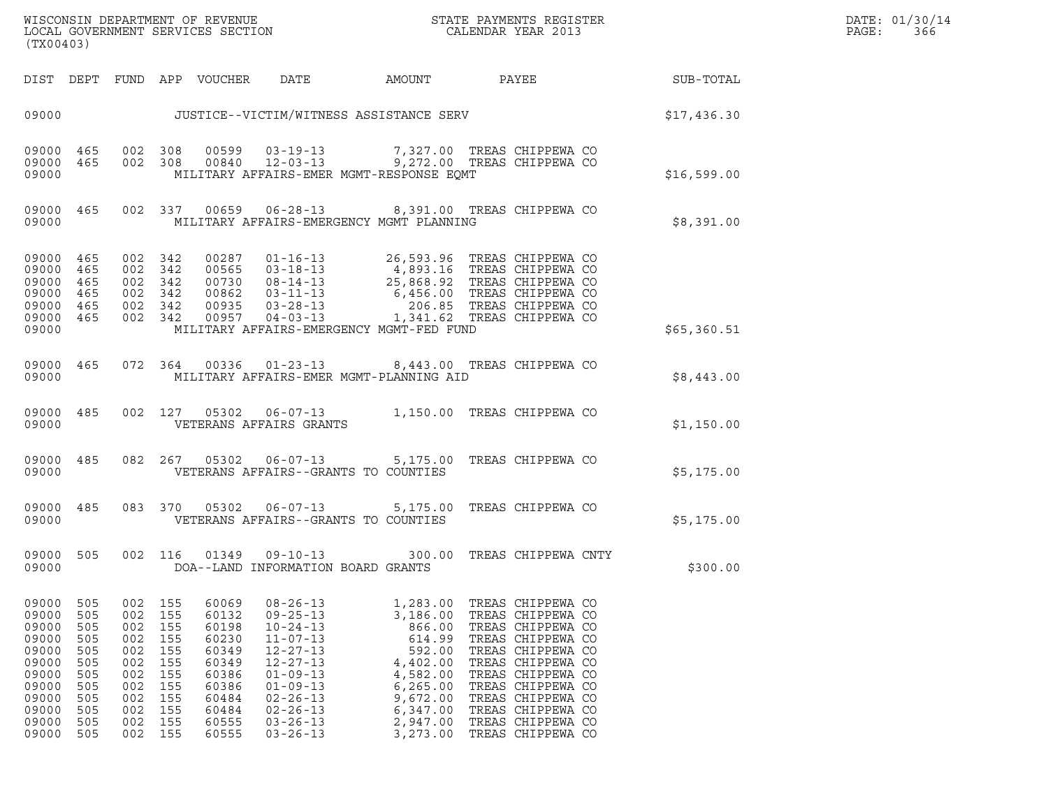| WISCONSIN DEPARTMENT OF REVENUE<br>LOCAL GOVERNMENT SERVICES SECTION<br>(TX00403) | STATE PAYMENTS REGISTER<br>CALENDAR YEAR 2013 | DATE: 01/30/14<br>PAGE:<br>366 |
|-----------------------------------------------------------------------------------|-----------------------------------------------|--------------------------------|

| (TX00403)                                                                                                |                                                                                  |                                                                                  |                                                                                  |                                                                                                          |                                                                                                                                                                                                                      |                                                                                                                                         |                                                                                                                                                                                                                                                          |             |
|----------------------------------------------------------------------------------------------------------|----------------------------------------------------------------------------------|----------------------------------------------------------------------------------|----------------------------------------------------------------------------------|----------------------------------------------------------------------------------------------------------|----------------------------------------------------------------------------------------------------------------------------------------------------------------------------------------------------------------------|-----------------------------------------------------------------------------------------------------------------------------------------|----------------------------------------------------------------------------------------------------------------------------------------------------------------------------------------------------------------------------------------------------------|-------------|
| DIST                                                                                                     | DEPT                                                                             | FUND                                                                             | APP                                                                              | VOUCHER                                                                                                  | DATE                                                                                                                                                                                                                 | AMOUNT                                                                                                                                  | PAYEE                                                                                                                                                                                                                                                    | SUB-TOTAL   |
| 09000                                                                                                    |                                                                                  |                                                                                  |                                                                                  |                                                                                                          |                                                                                                                                                                                                                      | JUSTICE--VICTIM/WITNESS ASSISTANCE SERV                                                                                                 |                                                                                                                                                                                                                                                          | \$17,436.30 |
| 09000<br>09000<br>09000                                                                                  | 465<br>465                                                                       | 002<br>002                                                                       | 308<br>308                                                                       | 00599<br>00840                                                                                           | $03 - 19 - 13$<br>$12 - 03 - 13$                                                                                                                                                                                     | 7,327.00<br>9,272.00<br>MILITARY AFFAIRS-EMER MGMT-RESPONSE EQMT                                                                        | TREAS CHIPPEWA CO<br>TREAS CHIPPEWA CO                                                                                                                                                                                                                   | \$16,599.00 |
| 09000<br>09000                                                                                           | 465                                                                              | 002                                                                              | 337                                                                              | 00659                                                                                                    | $06 - 28 - 13$                                                                                                                                                                                                       | MILITARY AFFAIRS-EMERGENCY MGMT PLANNING                                                                                                | 8,391.00 TREAS CHIPPEWA CO                                                                                                                                                                                                                               | \$8,391.00  |
| 09000<br>09000<br>09000<br>09000<br>09000<br>09000<br>09000                                              | 465<br>465<br>465<br>465<br>465<br>465                                           | 002<br>002<br>002<br>002<br>002<br>002                                           | 342<br>342<br>342<br>342<br>342<br>342                                           | 00287<br>00565<br>00730<br>00862<br>00935<br>00957                                                       | $01 - 16 - 13$<br>$03 - 18 - 13$<br>$08 - 14 - 13$<br>$03 - 11 - 13$<br>$03 - 28 - 13$<br>$04 - 03 - 13$                                                                                                             | 26,593.96<br>4,893.16<br>25,868.92<br>6,456.00<br>206.85<br>1,341.62<br>MILITARY AFFAIRS-EMERGENCY MGMT-FED FUND                        | TREAS CHIPPEWA CO<br>TREAS CHIPPEWA CO<br>TREAS CHIPPEWA CO<br>TREAS CHIPPEWA CO<br>TREAS CHIPPEWA CO<br>TREAS CHIPPEWA CO                                                                                                                               | \$65,360.51 |
| 09000<br>09000                                                                                           | 465                                                                              | 072                                                                              | 364                                                                              | 00336                                                                                                    | $01 - 23 - 13$                                                                                                                                                                                                       | 8,443.00<br>MILITARY AFFAIRS-EMER MGMT-PLANNING AID                                                                                     | TREAS CHIPPEWA CO                                                                                                                                                                                                                                        | \$8,443.00  |
| 09000<br>09000                                                                                           | 485                                                                              | 002                                                                              | 127                                                                              | 05302                                                                                                    | $06 - 07 - 13$<br>VETERANS AFFAIRS GRANTS                                                                                                                                                                            | 1,150.00                                                                                                                                | TREAS CHIPPEWA CO                                                                                                                                                                                                                                        | \$1,150.00  |
| 09000<br>09000                                                                                           | 485                                                                              | 082                                                                              | 267                                                                              | 05302                                                                                                    | $06 - 07 - 13$                                                                                                                                                                                                       | 5,175.00<br>VETERANS AFFAIRS--GRANTS TO COUNTIES                                                                                        | TREAS CHIPPEWA CO                                                                                                                                                                                                                                        | \$5,175.00  |
| 09000<br>09000                                                                                           | 485                                                                              | 083                                                                              | 370                                                                              | 05302                                                                                                    | $06 - 07 - 13$                                                                                                                                                                                                       | 5,175.00<br>VETERANS AFFAIRS--GRANTS TO COUNTIES                                                                                        | TREAS CHIPPEWA CO                                                                                                                                                                                                                                        | \$5,175.00  |
| 09000<br>09000                                                                                           | 505                                                                              | 002                                                                              | 116                                                                              | 01349                                                                                                    | $09 - 10 - 13$<br>DOA--LAND INFORMATION BOARD GRANTS                                                                                                                                                                 | 300.00                                                                                                                                  | TREAS CHIPPEWA CNTY                                                                                                                                                                                                                                      | \$300.00    |
| 09000<br>09000<br>09000<br>09000<br>09000<br>09000<br>09000<br>09000<br>09000<br>09000<br>09000<br>09000 | 505<br>505<br>505<br>505<br>505<br>505<br>505<br>505<br>505<br>505<br>505<br>505 | 002<br>002<br>002<br>002<br>002<br>002<br>002<br>002<br>002<br>002<br>002<br>002 | 155<br>155<br>155<br>155<br>155<br>155<br>155<br>155<br>155<br>155<br>155<br>155 | 60069<br>60132<br>60198<br>60230<br>60349<br>60349<br>60386<br>60386<br>60484<br>60484<br>60555<br>60555 | $08 - 26 - 13$<br>$09 - 25 - 13$<br>$10 - 24 - 13$<br>$11 - 07 - 13$<br>$12 - 27 - 13$<br>$12 - 27 - 13$<br>$01 - 09 - 13$<br>$01 - 09 - 13$<br>$02 - 26 - 13$<br>$02 - 26 - 13$<br>$03 - 26 - 13$<br>$03 - 26 - 13$ | 1,283.00<br>3,186.00<br>866.00<br>614.99<br>592.00<br>4,402.00<br>4,582.00<br>6, 265.00<br>9,672.00<br>6,347.00<br>2,947.00<br>3,273.00 | TREAS CHIPPEWA CO<br>TREAS CHIPPEWA CO<br>TREAS CHIPPEWA CO<br>TREAS CHIPPEWA CO<br>TREAS CHIPPEWA CO<br>TREAS CHIPPEWA CO<br>TREAS CHIPPEWA CO<br>TREAS CHIPPEWA CO<br>TREAS CHIPPEWA CO<br>TREAS CHIPPEWA CO<br>TREAS CHIPPEWA CO<br>TREAS CHIPPEWA CO |             |

(TX00403)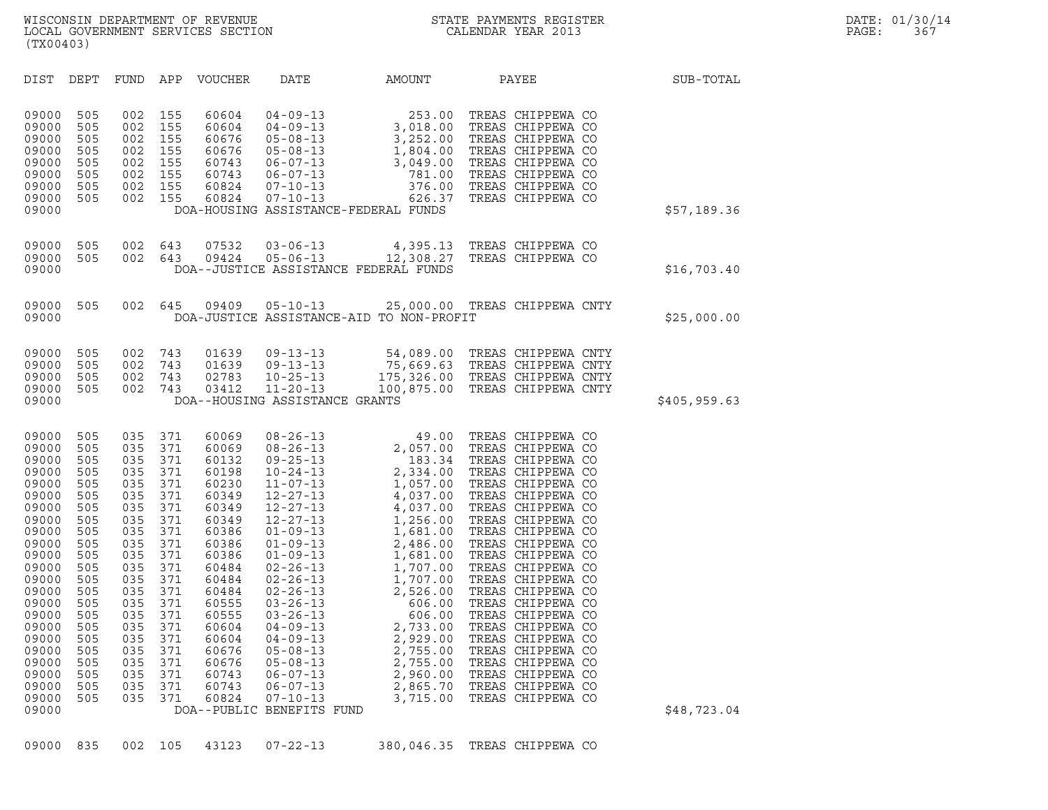| (TX00403)                                                                                                                                                                                                                                                                                                                                                                             |                                                                                                                                                               |                                                                                                                                                                                                                                                                                                                                                                              |                                                                                                                                                                                                                                                                                                                                                                                                                                                         |                                                                                                                                                                                                                                                                                                                                                                                                       |                                                                                                                                                                                                                                                                                                                                                                                                                                                                                                 |              |
|---------------------------------------------------------------------------------------------------------------------------------------------------------------------------------------------------------------------------------------------------------------------------------------------------------------------------------------------------------------------------------------|---------------------------------------------------------------------------------------------------------------------------------------------------------------|------------------------------------------------------------------------------------------------------------------------------------------------------------------------------------------------------------------------------------------------------------------------------------------------------------------------------------------------------------------------------|---------------------------------------------------------------------------------------------------------------------------------------------------------------------------------------------------------------------------------------------------------------------------------------------------------------------------------------------------------------------------------------------------------------------------------------------------------|-------------------------------------------------------------------------------------------------------------------------------------------------------------------------------------------------------------------------------------------------------------------------------------------------------------------------------------------------------------------------------------------------------|-------------------------------------------------------------------------------------------------------------------------------------------------------------------------------------------------------------------------------------------------------------------------------------------------------------------------------------------------------------------------------------------------------------------------------------------------------------------------------------------------|--------------|
| DIST<br>DEPT                                                                                                                                                                                                                                                                                                                                                                          | FUND                                                                                                                                                          | APP<br>VOUCHER                                                                                                                                                                                                                                                                                                                                                               | DATE                                                                                                                                                                                                                                                                                                                                                                                                                                                    | AMOUNT                                                                                                                                                                                                                                                                                                                                                                                                | PAYEE                                                                                                                                                                                                                                                                                                                                                                                                                                                                                           | SUB-TOTAL    |
| 09000<br>505<br>09000<br>505<br>09000<br>505<br>09000<br>505<br>09000<br>505<br>09000<br>505<br>09000<br>505<br>09000<br>505<br>09000                                                                                                                                                                                                                                                 | 002<br>002<br>002<br>002<br>002<br>002<br>002<br>002                                                                                                          | 155<br>60604<br>155<br>60604<br>155<br>60676<br>155<br>60676<br>155<br>60743<br>155<br>60743<br>60824<br>155<br>155<br>60824                                                                                                                                                                                                                                                 | $04 - 09 - 13$<br>$04 - 09 - 13$<br>$05 - 08 - 13$<br>$05 - 08 - 13$<br>$06 - 07 - 13$<br>$06 - 07 - 13$<br>$07 - 10 - 13$<br>$07 - 10 - 13$<br>DOA-HOUSING ASSISTANCE-FEDERAL FUNDS                                                                                                                                                                                                                                                                    | 253.00<br>$\begin{array}{c} 253.00 \\ 3,018.00 \\ 3,252.00 \\ 1,804.00 \\ 3,049 \end{array}$<br>3,049.00<br>781.00<br>376.00<br>626.37                                                                                                                                                                                                                                                                | TREAS CHIPPEWA CO<br>TREAS CHIPPEWA CO<br>TREAS CHIPPEWA CO<br>TREAS CHIPPEWA CO<br>TREAS CHIPPEWA CO<br>TREAS CHIPPEWA CO<br>TREAS CHIPPEWA CO<br>TREAS CHIPPEWA CO                                                                                                                                                                                                                                                                                                                            | \$57,189.36  |
| 505<br>09000<br>09000<br>505<br>09000                                                                                                                                                                                                                                                                                                                                                 | 002<br>002                                                                                                                                                    | 07532<br>643<br>643<br>09424                                                                                                                                                                                                                                                                                                                                                 | $03 - 06 - 13$<br>$05 - 06 - 13$<br>DOA--JUSTICE ASSISTANCE FEDERAL FUNDS                                                                                                                                                                                                                                                                                                                                                                               | 4,395.13<br>12,308.27                                                                                                                                                                                                                                                                                                                                                                                 | TREAS CHIPPEWA CO<br>TREAS CHIPPEWA CO                                                                                                                                                                                                                                                                                                                                                                                                                                                          | \$16,703.40  |
| 09000<br>505<br>09000                                                                                                                                                                                                                                                                                                                                                                 | 002                                                                                                                                                           | 645<br>09409                                                                                                                                                                                                                                                                                                                                                                 | $05 - 10 - 13$<br>DOA-JUSTICE ASSISTANCE-AID TO NON-PROFIT                                                                                                                                                                                                                                                                                                                                                                                              |                                                                                                                                                                                                                                                                                                                                                                                                       | 25,000.00 TREAS CHIPPEWA CNTY                                                                                                                                                                                                                                                                                                                                                                                                                                                                   | \$25,000.00  |
| 09000<br>505<br>09000<br>505<br>09000<br>505<br>09000<br>505<br>09000                                                                                                                                                                                                                                                                                                                 | 002<br>002<br>002<br>002                                                                                                                                      | 743<br>01639<br>743<br>01639<br>02783<br>743<br>743<br>03412                                                                                                                                                                                                                                                                                                                 | $09 - 13 - 13$<br>$09 - 13 - 13$<br>$10 - 25 - 13$<br>$11 - 20 - 13$<br>DOA--HOUSING ASSISTANCE GRANTS                                                                                                                                                                                                                                                                                                                                                  | 54,089.00                                                                                                                                                                                                                                                                                                                                                                                             | TREAS CHIPPEWA CNTY<br>75,669.63 TREAS CHIPPEWA CNTY<br>175,326.00 TREAS CHIPPEWA CNTY<br>100,875.00 TREAS CHIPPEWA CNTY                                                                                                                                                                                                                                                                                                                                                                        | \$405,959.63 |
| 09000<br>505<br>09000<br>505<br>09000<br>505<br>09000<br>505<br>09000<br>505<br>09000<br>505<br>09000<br>505<br>09000<br>505<br>09000<br>505<br>09000<br>505<br>09000<br>505<br>09000<br>505<br>09000<br>505<br>09000<br>505<br>09000<br>505<br>09000<br>505<br>09000<br>505<br>09000<br>505<br>09000<br>505<br>09000<br>505<br>09000<br>505<br>09000<br>505<br>09000<br>505<br>09000 | 035<br>035<br>035<br>035<br>035<br>035<br>035<br>035<br>035<br>035<br>035<br>035<br>035<br>035<br>035<br>035<br>035<br>035<br>035<br>035<br>035<br>035<br>035 | 371<br>60069<br>371<br>60069<br>371<br>60132<br>371<br>60198<br>371<br>60230<br>371<br>60349<br>371<br>60349<br>371<br>60349<br>371<br>60386<br>371<br>60386<br>371<br>60386<br>371<br>60484<br>371<br>60484<br>371<br>60484<br>371<br>60555<br>371<br>60555<br>371<br>60604<br>371<br>60604<br>371<br>60676<br>371<br>60676<br>371<br>60743<br>371<br>60743<br>371<br>60824 | $08 - 26 - 13$<br>$08 - 26 - 13$<br>$09 - 25 - 13$<br>$10 - 24 - 13$<br>$11 - 07 - 13$<br>$12 - 27 - 13$<br>$12 - 27 - 13$<br>$12 - 27 - 13$<br>$01 - 09 - 13$<br>$01 - 09 - 13$<br>$01 - 09 - 13$<br>$02 - 26 - 13$<br>$02 - 26 - 13$<br>$02 - 26 - 13$<br>$03 - 26 - 13$<br>$03 - 26 - 13$<br>$04 - 09 - 13$<br>$04 - 09 - 13$<br>$05 - 08 - 13$<br>$05 - 08 - 13$<br>$06 - 07 - 13$<br>$06 - 07 - 13$<br>$07 - 10 - 13$<br>DOA--PUBLIC BENEFITS FUND | 49.00<br>183.34<br>2,334.00<br>1,057.00<br>4,037.00<br>4,037.00<br>1,256.00<br>1,681.00<br>2,486.00<br>1,707.00<br>1,707.00<br>1,707.00<br>1,707.00<br>2,526.00<br>606.00<br>606.00<br>2,733.00<br>2,733.00<br>2,755.00<br>2,755.00<br>2,334.00<br>1,057.00<br>4,037.00<br>4,037.00<br>$1,256.00$<br>$1,681.00$<br>$2,486.00$<br>1,681.00<br>2,755.00<br>2,755.00<br>2,960.00<br>2,865.70<br>3,715.00 | TREAS CHIPPEWA CO<br>TREAS CHIPPEWA CO<br>TREAS CHIPPEWA CO<br>TREAS CHIPPEWA CO<br>TREAS CHIPPEWA CO<br>TREAS CHIPPEWA CO<br>TREAS CHIPPEWA CO<br>TREAS CHIPPEWA CO<br>TREAS CHIPPEWA CO<br>TREAS CHIPPEWA CO<br>TREAS CHIPPEWA CO<br>TREAS CHIPPEWA CO<br>TREAS CHIPPEWA CO<br>TREAS CHIPPEWA CO<br>TREAS CHIPPEWA CO<br>TREAS CHIPPEWA CO<br>TREAS CHIPPEWA CO<br>TREAS CHIPPEWA CO<br>TREAS CHIPPEWA CO<br>TREAS CHIPPEWA CO<br>TREAS CHIPPEWA CO<br>TREAS CHIPPEWA CO<br>TREAS CHIPPEWA CO | \$48,723.04  |

09000 835 002 105 43123 07-22-13 380,046.35 TREAS CHIPPEWA CO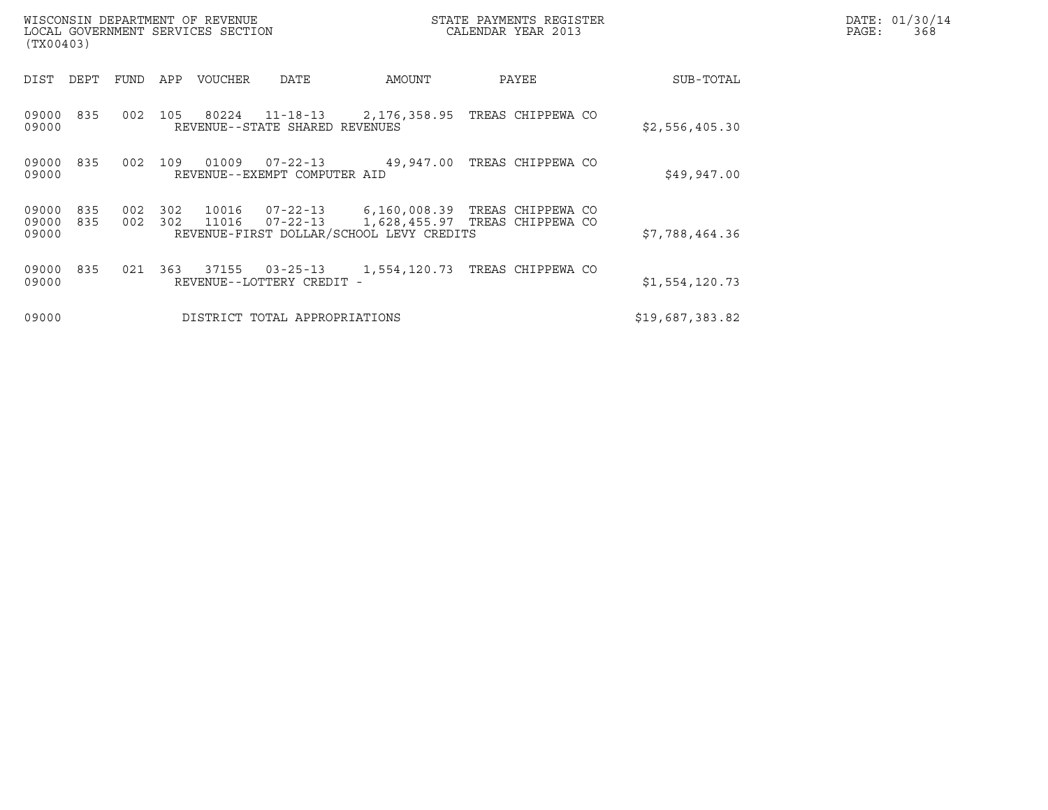| (TX00403)                                           | WISCONSIN DEPARTMENT OF REVENUE<br>LOCAL GOVERNMENT SERVICES SECTION                       | STATE PAYMENTS REGISTER<br>CALENDAR YEAR 2013                                 | DATE: 01/30/14<br>PAGE:<br>368 |
|-----------------------------------------------------|--------------------------------------------------------------------------------------------|-------------------------------------------------------------------------------|--------------------------------|
| DEPT<br>DIST<br>FUND                                | APP<br>VOUCHER<br>AMOUNT<br>DATE                                                           | PAYEE                                                                         | SUB-TOTAL                      |
| 09000<br>835<br>002<br>09000                        | 80224<br>105<br>REVENUE--STATE SHARED REVENUES                                             |                                                                               | \$2,556,405.30                 |
| 09000<br>835<br>002<br>09000                        | 109<br>01009<br>$07 - 22 - 13$<br>REVENUE--EXEMPT COMPUTER AID                             | 49,947.00 TREAS CHIPPEWA CO                                                   | \$49,947.00                    |
| 09000<br>835<br>002<br>09000<br>835<br>002<br>09000 | 302<br>10016<br>302<br>11016<br>$07 - 22 - 13$<br>REVENUE-FIRST DOLLAR/SCHOOL LEVY CREDITS | 07-22-13    6,160,008.39  TREAS CHIPPEWA CO<br>1,628,455.97 TREAS CHIPPEWA CO | \$7,788,464.36                 |
| 09000<br>835<br>021<br>09000                        | 37155<br>363<br>$03 - 25 - 13$<br>REVENUE--LOTTERY CREDIT -                                | 1,554,120.73 TREAS CHIPPEWA CO                                                | \$1,554,120.73                 |
| 09000                                               | DISTRICT TOTAL APPROPRIATIONS                                                              | \$19,687,383.82                                                               |                                |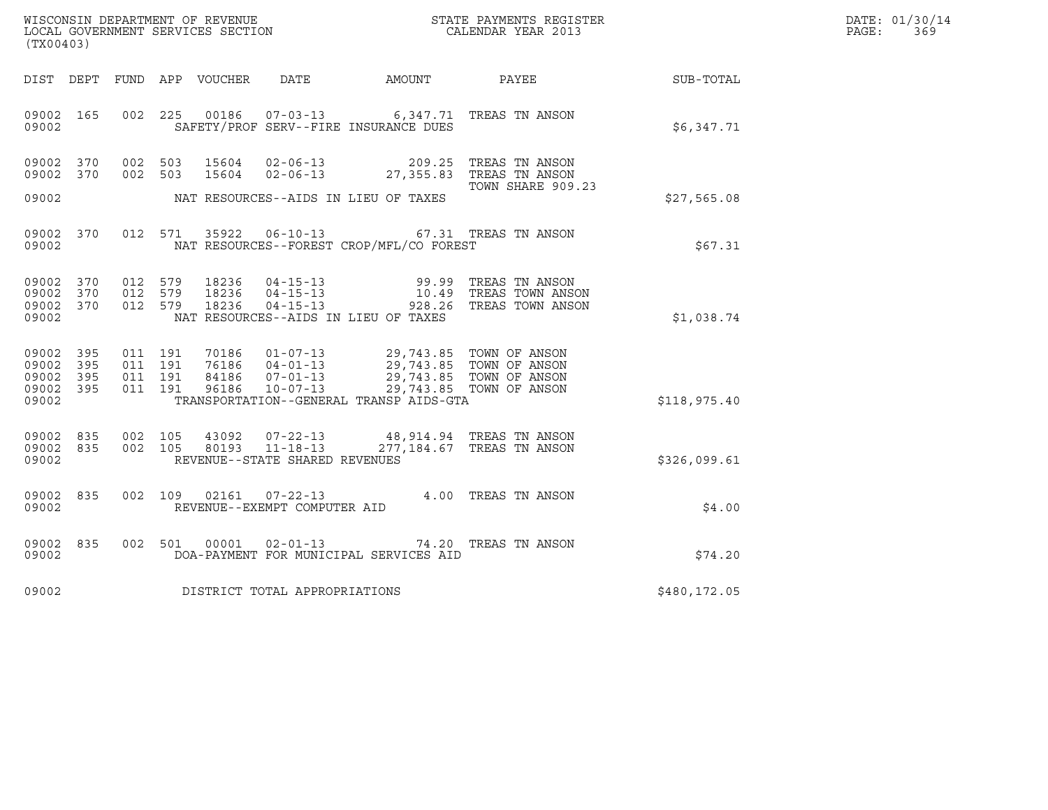| DATE: | 01/30/14 |
|-------|----------|
| PAGE: | 369      |

| (TX00403)                                             |     |                                                      | WISCONSIN DEPARTMENT OF REVENUE<br>LOCAL GOVERNMENT SERVICES SECTION<br>CALENDAR YEAR 2013                                                                                                                                                                                                                     |                   |              | DATE: 01/30/14<br>PAGE:<br>369 |
|-------------------------------------------------------|-----|------------------------------------------------------|----------------------------------------------------------------------------------------------------------------------------------------------------------------------------------------------------------------------------------------------------------------------------------------------------------------|-------------------|--------------|--------------------------------|
|                                                       |     |                                                      | DIST DEPT FUND APP VOUCHER DATE AMOUNT PAYEE SUB-TOTAL                                                                                                                                                                                                                                                         |                   |              |                                |
| 09002 165<br>09002                                    |     |                                                      | 002 225 00186 07-03-13 6,347.71 TREAS TN ANSON<br>SAFETY/PROF SERV--FIRE INSURANCE DUES                                                                                                                                                                                                                        |                   | \$6,347.71   |                                |
| 09002 370<br>09002 370                                |     |                                                      | $\begin{array}{cccc} 002 & 503 & 15604 & 02-06-13 & 209.25 & \text{TREAS TN ANSON} \\ 002 & 503 & 15604 & 02-06-13 & 27,355.83 & \text{TREAS TN ANSON} \end{array}$                                                                                                                                            | TOWN SHARE 909.23 |              |                                |
| 09002                                                 |     |                                                      | NAT RESOURCES--AIDS IN LIEU OF TAXES                                                                                                                                                                                                                                                                           |                   | \$27,565.08  |                                |
| 09002 370<br>09002                                    |     |                                                      | 012 571 35922 06-10-13 67.31 TREAS TN ANSON<br>NAT RESOURCES--FOREST CROP/MFL/CO FOREST                                                                                                                                                                                                                        |                   | \$67.31      |                                |
| 09002 370<br>09002 370<br>09002 370<br>09002          |     |                                                      | 012 579 18236 04-15-13 99.99 TREAS TN ANSON<br>012 579 18236 04-15-13 10.49 TREAS TOWN ANSON<br>012 579 18236 04-15-13 928.26 TREAS TOWN ANSON<br>NAT RESOURCES--AIDS IN LIEU OF TAXES                                                                                                                         |                   | \$1,038.74   |                                |
| 09002<br>09002 395<br>09002 395<br>09002 395<br>09002 | 395 | 011 191<br>011 191<br>011 191<br>011 191             | $\begin{tabular}{c c c c c c c c c c c} \hline $\,70186\, & 01-07-13\, & 29\,,743\,.85 & TOWN OF ANSON \\ \hline $\,76186\, & 04-01-13\, & 29\,,743\,.85 & TOWN OF ANSON \\ \hline $\,84186\, & 07-01-13\, & 29\,,743\,.85 & TOWN OF ANSON \\ \hline \end{tabular}$<br>TRANSPORTATION--GENERAL TRANSP AIDS-GTA |                   | \$118,975.40 |                                |
| 09002 835<br>09002 835<br>09002                       |     | 002 105<br>002 105<br>REVENUE--STATE SHARED REVENUES | $\begin{array}{cccc} 43092 & 07\texttt{-}22\texttt{-}13 & 48,914.94 & \texttt{TREAS TN ANSON} \\ 80193 & 11\texttt{-}18\texttt{-}13 & 277,184.67 & \texttt{TREAS TN ANSON} \end{array}$                                                                                                                        |                   | \$326,099.61 |                                |
| 09002 835<br>09002                                    |     | REVENUE--EXEMPT COMPUTER AID                         | 002 109 02161 07-22-13 4.00 TREAS TN ANSON                                                                                                                                                                                                                                                                     |                   | \$4.00       |                                |
| 09002 835<br>09002                                    |     |                                                      | 002 501 00001 02-01-13 74.20 TREAS TN ANSON<br>DOA-PAYMENT FOR MUNICIPAL SERVICES AID                                                                                                                                                                                                                          |                   | \$74.20      |                                |
| 09002                                                 |     | DISTRICT TOTAL APPROPRIATIONS                        |                                                                                                                                                                                                                                                                                                                |                   | \$480,172.05 |                                |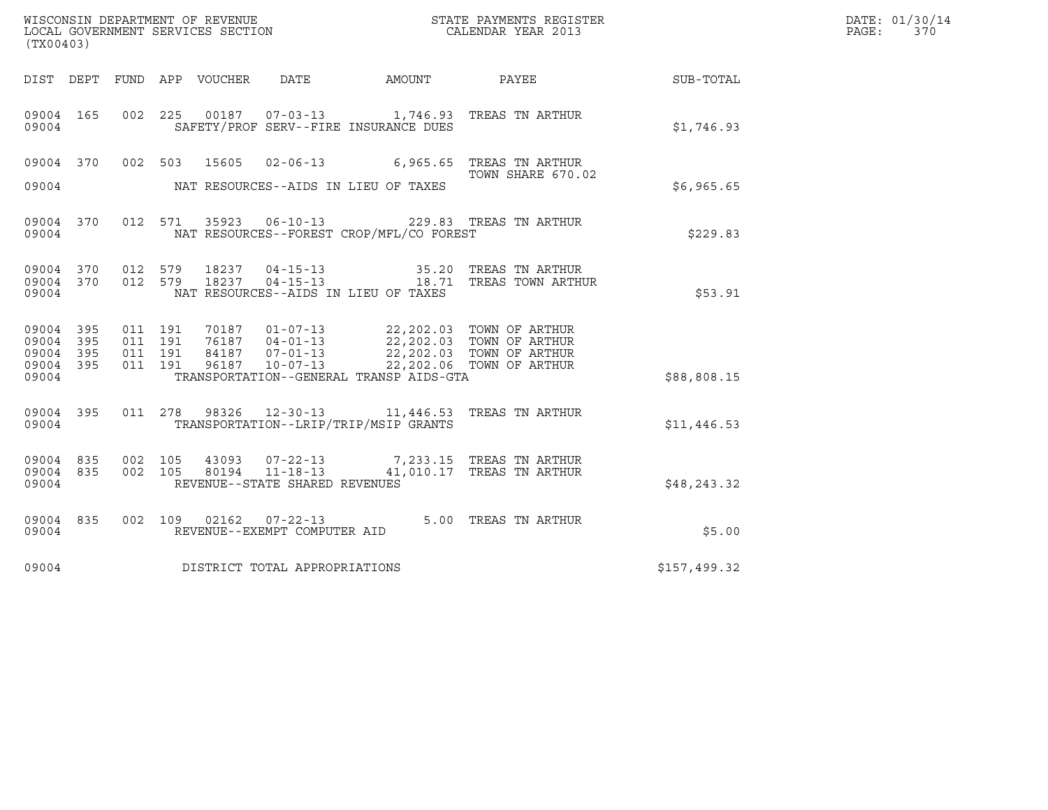| (TX00403)                                             |                   |                    |                    |       |                                                        |                                          | $\tt WISCONSIM DEPARTMENT OF REVENUE$ $\tt WISCONS IN DEPARTMENT SERVICES SECTION$ $\tt SCALENDAR YEAR$ $2013$                                                                                                                            |              | DATE: 01/30/14<br>PAGE:<br>370 |
|-------------------------------------------------------|-------------------|--------------------|--------------------|-------|--------------------------------------------------------|------------------------------------------|-------------------------------------------------------------------------------------------------------------------------------------------------------------------------------------------------------------------------------------------|--------------|--------------------------------|
|                                                       |                   |                    |                    |       |                                                        |                                          |                                                                                                                                                                                                                                           |              |                                |
| 09004                                                 | 09004 165         |                    |                    |       |                                                        | SAFETY/PROF SERV--FIRE INSURANCE DUES    | 002 225 00187 07-03-13 1,746.93 TREAS TN ARTHUR                                                                                                                                                                                           | \$1,746.93   |                                |
| 09004                                                 | 09004 370 002 503 |                    |                    | 15605 |                                                        | NAT RESOURCES--AIDS IN LIEU OF TAXES     | 02-06-13 6,965.65 TREAS TN ARTHUR<br>TOWN SHARE 670.02                                                                                                                                                                                    | \$6,965.65   |                                |
|                                                       | 09004             |                    |                    |       |                                                        | NAT RESOURCES--FOREST CROP/MFL/CO FOREST | 09004 370 012 571 35923 06-10-13 229.83 TREAS TN ARTHUR                                                                                                                                                                                   | \$229.83     |                                |
| 09004                                                 |                   |                    |                    |       |                                                        | NAT RESOURCES--AIDS IN LIEU OF TAXES     | $\begin{array}{cccccc} 09004 & 370 & 012 & 579 & 18237 & 04-15-13 & & & & 35.20 & \text{TREAS TN ARTHUR} \\ 09004 & 370 & 012 & 579 & 18237 & 04-15-13 & & & 18.71 & \text{TREAS TOWN ARTHUR} \end{array}$                                | \$53.91      |                                |
| 09004 395<br>09004 395<br>09004<br>09004 395<br>09004 | 395               | 011 191<br>011 191 | 011 191<br>011 191 |       |                                                        | TRANSPORTATION--GENERAL TRANSP AIDS-GTA  | $\begin{tabular}{cccc} 70187 & 01-07-13 & 22,202.03 & TOWN OF ARTHUR \\ 76187 & 04-01-13 & 22,202.03 & TOWN OF ARTHUR \\ 84187 & 07-01-13 & 22,202.03 & TOWN OF ARTHUR \\ 96187 & 10-07-13 & 22,202.06 & TOWN OF ARTHUR \\ \end{tabular}$ | \$88,808.15  |                                |
| 09004                                                 | 09004 395         |                    |                    |       |                                                        | TRANSPORTATION--LRIP/TRIP/MSIP GRANTS    | 011 278 98326 12-30-13 11,446.53 TREAS TN ARTHUR                                                                                                                                                                                          | \$11,446.53  |                                |
| 09004 835<br>09004                                    | 09004 835         | 002 105<br>002 105 |                    |       | 80194 11-18-13<br>REVENUE--STATE SHARED REVENUES       |                                          | 43093  07-22-13  7,233.15  TREAS TN ARTHUR<br>41,010.17 TREAS TN ARTHUR                                                                                                                                                                   | \$48,243.32  |                                |
| 09004                                                 | 09004 835         |                    |                    |       | 002 109 02162 07-22-13<br>REVENUE--EXEMPT COMPUTER AID |                                          | 5.00 TREAS TN ARTHUR                                                                                                                                                                                                                      | \$5.00       |                                |
| 09004                                                 |                   |                    |                    |       | DISTRICT TOTAL APPROPRIATIONS                          |                                          |                                                                                                                                                                                                                                           | \$157,499.32 |                                |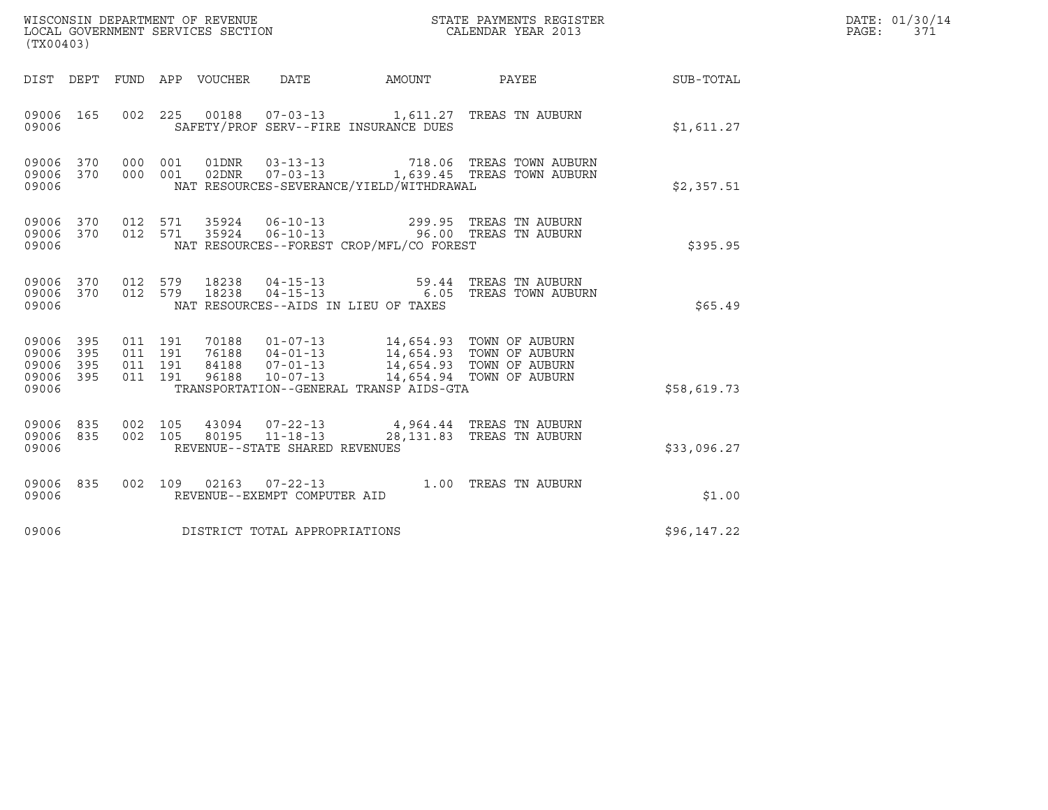| (TX00403)                                 |                          |                                          |         | WISCONSIN DEPARTMENT OF REVENUE<br>LOCAL GOVERNMENT SERVICES SECTION |                                                  |                                                                                                                                                                                             | STATE PAYMENTS REGISTER<br>CALENDAR YEAR 2013                  |             | DATE: 01/30/14<br>PAGE:<br>371 |
|-------------------------------------------|--------------------------|------------------------------------------|---------|----------------------------------------------------------------------|--------------------------------------------------|---------------------------------------------------------------------------------------------------------------------------------------------------------------------------------------------|----------------------------------------------------------------|-------------|--------------------------------|
| DIST DEPT                                 |                          |                                          |         | FUND APP VOUCHER                                                     | DATE                                             |                                                                                                                                                                                             | AMOUNT PAYEE                                                   | SUB-TOTAL   |                                |
| 09006 165<br>09006                        |                          | 002 225                                  |         | 00188                                                                |                                                  | SAFETY/PROF SERV--FIRE INSURANCE DUES                                                                                                                                                       | 07-03-13 1,611.27 TREAS TN AUBURN                              | \$1,611.27  |                                |
| 09006 370<br>09006<br>09006               | 370                      | 000 001<br>000 001                       |         | 01DNR<br>02DNR                                                       | $03 - 13 - 13$<br>$07 - 03 - 13$                 | NAT RESOURCES-SEVERANCE/YIELD/WITHDRAWAL                                                                                                                                                    | 718.06 TREAS TOWN AUBURN<br>1,639.45 TREAS TOWN AUBURN         | \$2,357.51  |                                |
| 09006 370<br>09006<br>09006               | 370                      | 012 571<br>012 571                       |         | 35924<br>35924                                                       | $06 - 10 - 13$<br>$06 - 10 - 13$                 | NAT RESOURCES--FOREST CROP/MFL/CO FOREST                                                                                                                                                    | 299.95 TREAS TN AUBURN<br>96.00 TREAS TN AUBURN                | \$395.95    |                                |
| 09006 370<br>09006<br>09006               | 370                      | 012 579<br>012 579                       |         | 18238<br>18238                                                       | $04 - 15 - 13$<br>$04 - 15 - 13$                 | NAT RESOURCES--AIDS IN LIEU OF TAXES                                                                                                                                                        | 59.44   TREAS  TN  AUBURN<br>6.05 TREAS TOWN AUBURN            | \$65.49     |                                |
| 09006<br>09006<br>09006<br>09006<br>09006 | 395<br>395<br>395<br>395 | 011 191<br>011 191<br>011 191<br>011 191 |         | 70188<br>76188<br>84188<br>96188                                     |                                                  | 01-07-13 14,654.93 TOWN OF AUBURN<br>04-01-13 14,654.93 TOWN OF AUBURN<br>07-01-13 14,654.93 TOWN OF AUBURN<br>10-07-13 14,654.94 TOWN OF AUBURN<br>TRANSPORTATION--GENERAL TRANSP AIDS-GTA |                                                                | \$58,619.73 |                                |
| 09006<br>09006<br>09006                   | 835<br>835               | 002 105<br>002 105                       |         | 43094                                                                | 80195 11-18-13<br>REVENUE--STATE SHARED REVENUES |                                                                                                                                                                                             | 07-22-13 4,964.44 TREAS TN AUBURN<br>28,131.83 TREAS TN AUBURN | \$33,096.27 |                                |
| 09006 835<br>09006                        |                          |                                          | 002 109 |                                                                      | REVENUE--EXEMPT COMPUTER AID                     |                                                                                                                                                                                             | 02163  07-22-13  1.00 TREAS TN AUBURN                          | \$1.00      |                                |
| 09006                                     |                          |                                          |         |                                                                      | DISTRICT TOTAL APPROPRIATIONS                    |                                                                                                                                                                                             |                                                                | \$96,147.22 |                                |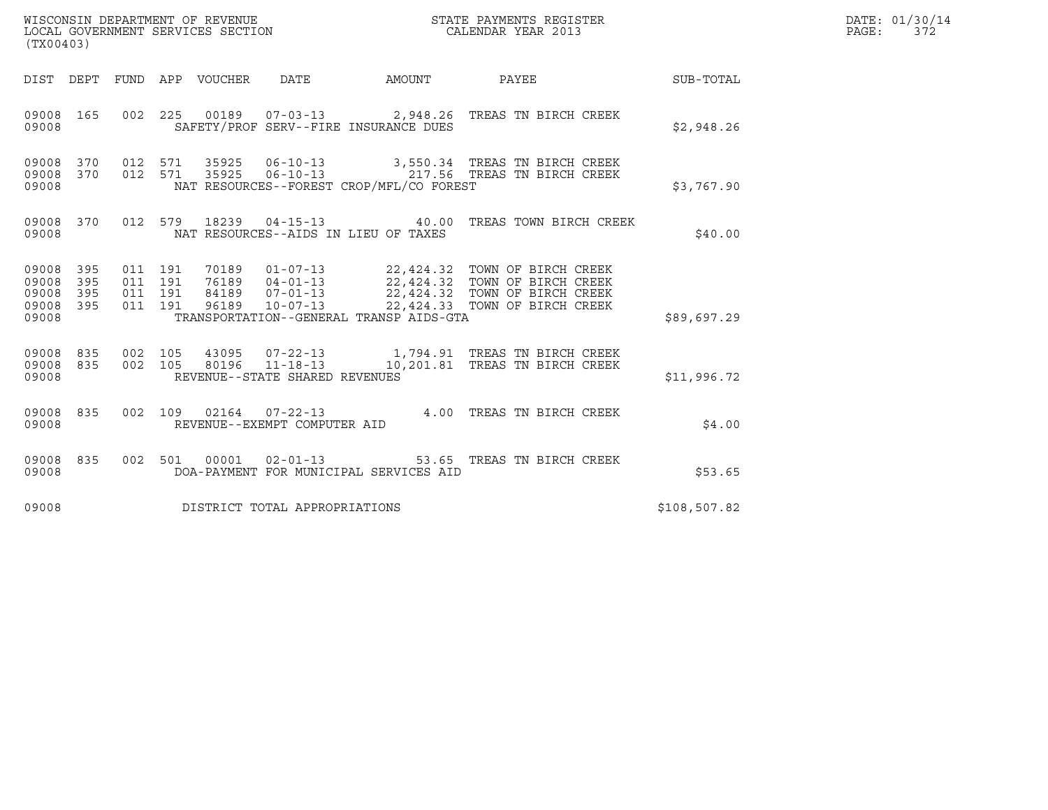| (TX00403)                                         |            |                                          |         |  |                                | DATE: 01/30/14<br>PAGE: 372                  |                                                                                                                                |                  |  |
|---------------------------------------------------|------------|------------------------------------------|---------|--|--------------------------------|----------------------------------------------|--------------------------------------------------------------------------------------------------------------------------------|------------------|--|
|                                                   |            |                                          |         |  |                                | DIST DEPT FUND APP VOUCHER DATE AMOUNT PAYEE |                                                                                                                                | <b>SUB-TOTAL</b> |  |
| 09008 165<br>09008                                |            |                                          |         |  |                                | SAFETY/PROF SERV--FIRE INSURANCE DUES        | 002 225 00189 07-03-13 2,948.26 TREAS TN BIRCH CREEK                                                                           | \$2,948.26       |  |
| 09008                                             |            |                                          |         |  |                                | NAT RESOURCES--FOREST CROP/MFL/CO FOREST     | 09008 370 012 571 35925 06-10-13 3,550.34 TREAS TN BIRCH CREEK<br>09008 370 012 571 35925 06-10-13 217.56 TREAS TN BIRCH CREEK | \$3,767.90       |  |
| 09008                                             |            |                                          |         |  |                                | NAT RESOURCES--AIDS IN LIEU OF TAXES         | 09008 370 012 579 18239 04-15-13 40.00 TREAS TOWN BIRCH CREEK                                                                  | \$40.00          |  |
| 09008 395<br>09008<br>09008<br>09008 395<br>09008 | 395<br>395 | 011 191<br>011 191<br>011 191<br>011 191 |         |  |                                | TRANSPORTATION--GENERAL TRANSP AIDS-GTA      |                                                                                                                                | \$89,697.29      |  |
| 09008 835<br>09008 835<br>09008                   |            | 002 105                                  | 002 105 |  | REVENUE--STATE SHARED REVENUES |                                              | 43095  07-22-13    1,794.91    TREAS TN BIRCH CREEK<br>80196  11-18-13  10,201.81  TREAS TN BIRCH CREEK                        | \$11,996.72      |  |
| 09008 835<br>09008                                |            |                                          |         |  | REVENUE--EXEMPT COMPUTER AID   |                                              | 002 109 02164 07-22-13 4.00 TREAS TN BIRCH CREEK                                                                               | \$4.00           |  |
| 09008 835<br>09008                                |            |                                          |         |  |                                | DOA-PAYMENT FOR MUNICIPAL SERVICES AID       | 002 501 00001 02-01-13 53.65 TREAS TN BIRCH CREEK                                                                              | \$53.65          |  |
| 09008                                             |            |                                          |         |  | DISTRICT TOTAL APPROPRIATIONS  |                                              |                                                                                                                                | \$108,507.82     |  |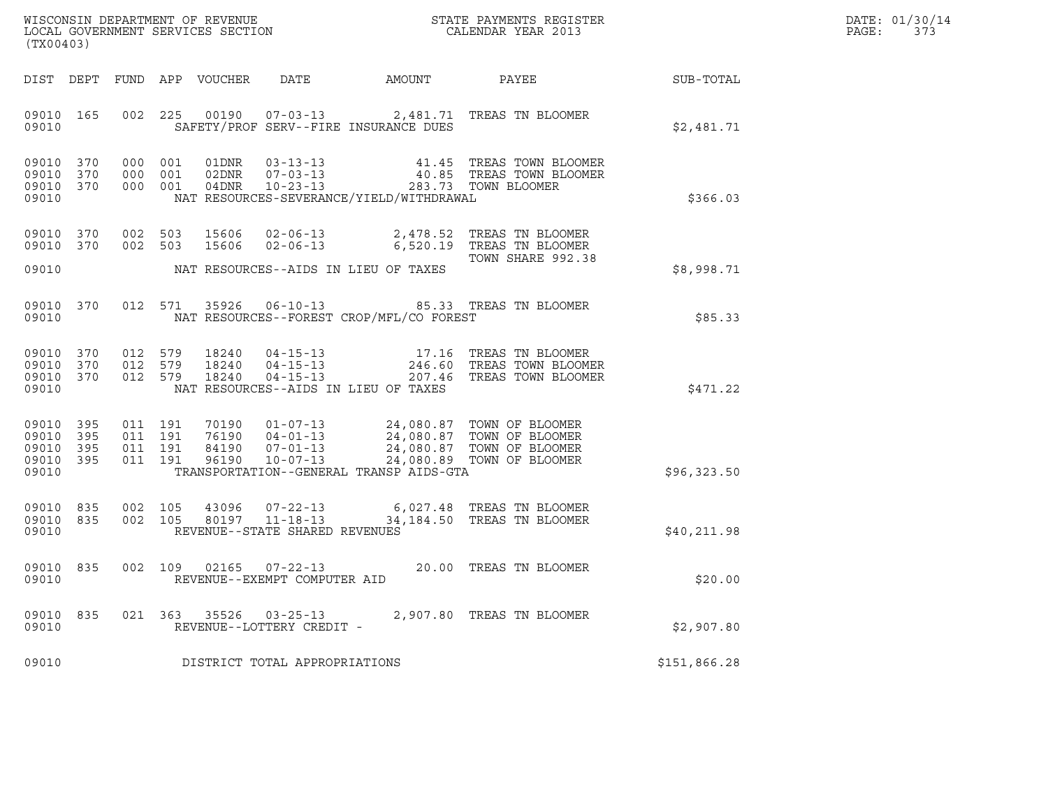| DATE: | 01/30/14 |
|-------|----------|
| PAGE: | 373      |

| (TX00403)                                             |     |                                          |         |                         |                                                     |                                          |                                                                                                                                  |              | DATE: 01/30/14<br>PAGE:<br>373 |
|-------------------------------------------------------|-----|------------------------------------------|---------|-------------------------|-----------------------------------------------------|------------------------------------------|----------------------------------------------------------------------------------------------------------------------------------|--------------|--------------------------------|
| DIST DEPT                                             |     |                                          |         | FUND APP VOUCHER        | DATE                                                | AMOUNT                                   | PAYEE                                                                                                                            | SUB-TOTAL    |                                |
| 09010 165<br>09010                                    |     |                                          |         |                         |                                                     | SAFETY/PROF SERV--FIRE INSURANCE DUES    | 002 225 00190 07-03-13 2,481.71 TREAS TN BLOOMER                                                                                 | \$2,481.71   |                                |
| 09010 370<br>09010<br>09010 370<br>09010              | 370 | 000 001<br>000 001                       | 000 001 | 01DNR<br>02DNR<br>04DNR |                                                     | NAT RESOURCES-SEVERANCE/YIELD/WITHDRAWAL | 03-13-13 41.45 TREAS TOWN BLOOMER<br>07-03-13 40.85 TREAS TOWN BLOOMER<br>10-23-13 283.73 TOWN BLOOMER                           | \$366.03     |                                |
| 09010 370<br>09010 370<br>09010                       |     | 002 503<br>002 503                       |         | 15606<br>15606          |                                                     | NAT RESOURCES--AIDS IN LIEU OF TAXES     | 02-06-13 2,478.52 TREAS TN BLOOMER<br>02-06-13 6,520.19 TREAS TN BLOOMER<br>TOWN SHARE 992.38                                    | \$8,998.71   |                                |
| 09010 370<br>09010                                    |     |                                          |         | 012 571 35926           |                                                     | NAT RESOURCES--FOREST CROP/MFL/CO FOREST | 06-10-13 85.33 TREAS TN BLOOMER                                                                                                  | \$85.33      |                                |
| 09010 370<br>09010 370<br>09010 370<br>09010          |     | 012 579<br>012 579<br>012 579            |         | 18240<br>18240<br>18240 |                                                     | NAT RESOURCES--AIDS IN LIEU OF TAXES     | 04-15-13 17.16 TREAS TN BLOOMER<br>04-15-13 246.60 TREAS TOWN BLOOMER<br>04-15-13 207.46 TREAS TOWN BLOOMER                      | \$471.22     |                                |
| 09010 395<br>09010<br>09010 395<br>09010 395<br>09010 | 395 | 011 191<br>011 191<br>011 191<br>011 191 |         | 70190<br>76190<br>96190 | 84190 07-01-13                                      | TRANSPORTATION--GENERAL TRANSP AIDS-GTA  | 01-07-13 24,080.87 TOWN OF BLOOMER<br>04-01-13<br>07-01-13<br>24,080.87 TOWN OF BLOOMER<br>10-07-13<br>24,080.89 TOWN OF BLOOMER | \$96,323.50  |                                |
| 09010 835<br>09010 835<br>09010                       |     | 002 105<br>002 105                       |         | 43096<br>80197          | $11 - 18 - 13$<br>REVENUE--STATE SHARED REVENUES    |                                          | 07-22-13 6,027.48 TREAS TN BLOOMER<br>34,184.50 TREAS TN BLOOMER                                                                 | \$40,211.98  |                                |
| 09010 835<br>09010                                    |     | 002 109                                  |         | 02165                   | $07 - 22 - 13$<br>REVENUE--EXEMPT COMPUTER AID      |                                          | 20.00 TREAS TN BLOOMER                                                                                                           | \$20.00      |                                |
| 09010 835<br>09010                                    |     |                                          |         |                         | 021 363 35526 03-25-13<br>REVENUE--LOTTERY CREDIT - |                                          | 2,907.80 TREAS TN BLOOMER                                                                                                        | \$2,907.80   |                                |
| 09010                                                 |     |                                          |         |                         | DISTRICT TOTAL APPROPRIATIONS                       |                                          |                                                                                                                                  | \$151,866.28 |                                |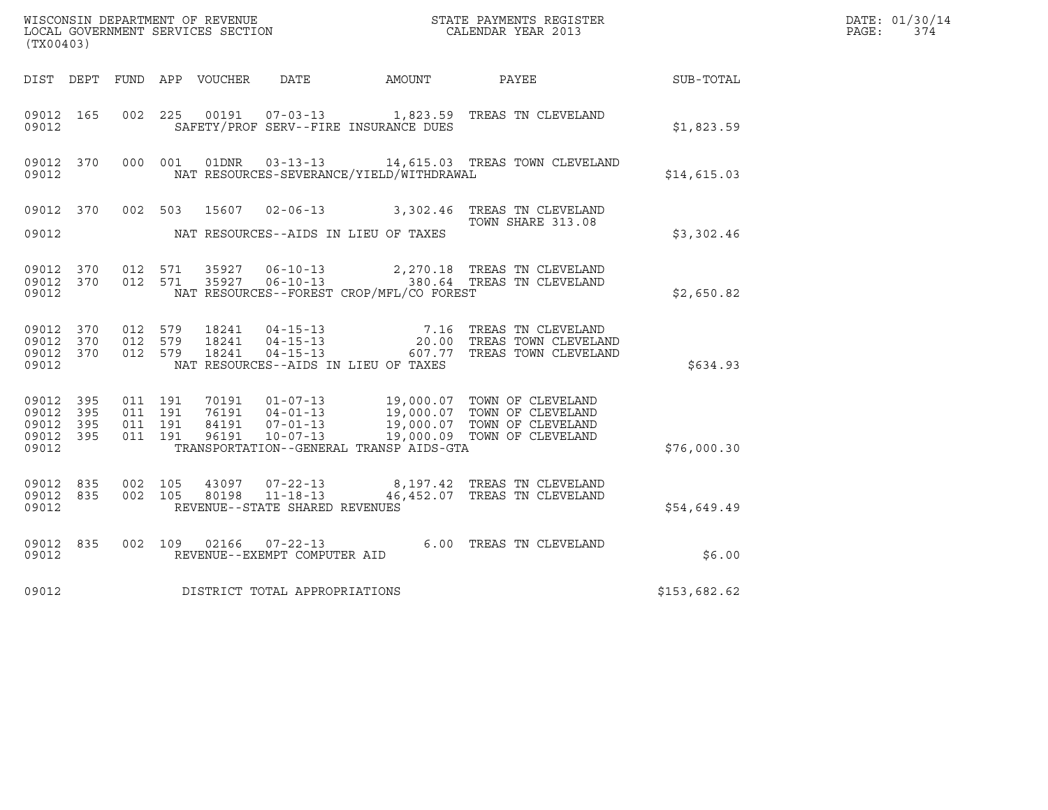| (TX00403)                                         |              |                                          |         |                         |                                                                    |                                          | $\tt WISCONSIM DEPARTMENT OF REVENUE$ $\tt WISCONSIMENTS REGISTERLOCAL GOVERNMENT SERVICES SECTION CALENDAR YEAR 2013$ |              | DATE: 01/30/14<br>$\mathtt{PAGE}$ :<br>374 |
|---------------------------------------------------|--------------|------------------------------------------|---------|-------------------------|--------------------------------------------------------------------|------------------------------------------|------------------------------------------------------------------------------------------------------------------------|--------------|--------------------------------------------|
|                                                   |              |                                          |         |                         |                                                                    |                                          | DIST DEPT FUND APP VOUCHER DATE AMOUNT PAYEE TO SUB-TOTAL                                                              |              |                                            |
| 09012 165<br>09012                                |              |                                          |         |                         |                                                                    | SAFETY/PROF SERV--FIRE INSURANCE DUES    | 002  225  00191  07-03-13   1,823.59  TREAS TN CLEVELAND                                                               | \$1,823.59   |                                            |
| 09012                                             | 09012 370    |                                          | 000 001 | 01DNR                   |                                                                    | NAT RESOURCES-SEVERANCE/YIELD/WITHDRAWAL | 03-13-13 14,615.03 TREAS TOWN CLEVELAND                                                                                | \$14,615.03  |                                            |
|                                                   |              | 09012 370 002 503                        |         |                         |                                                                    |                                          | 15607  02-06-13  3,302.46  TREAS TN CLEVELAND<br>TOWN SHARE 313.08                                                     |              |                                            |
| 09012                                             |              |                                          |         |                         |                                                                    | NAT RESOURCES--AIDS IN LIEU OF TAXES     |                                                                                                                        | \$3,302.46   |                                            |
| 09012                                             | 09012 370    | 09012 370 012 571<br>012 571             |         | 35927                   |                                                                    | NAT RESOURCES--FOREST CROP/MFL/CO FOREST | 35927  06-10-13  2,270.18  TREAS TN CLEVELAND<br>06-10-13 380.64 TREAS TN CLEVELAND                                    | \$2,650.82   |                                            |
| 09012 370<br>09012 370<br>09012 370<br>09012      |              | 012 579<br>012 579<br>012 579            |         | 18241<br>18241<br>18241 |                                                                    | NAT RESOURCES--AIDS IN LIEU OF TAXES     | 04-15-13 7.16 TREAS TN CLEVELAND<br>04-15-13 20.00 TREAS TOWN CLEVELAND<br>04-15-13 607.77 TREAS TOWN CLEVELAND        | \$634.93     |                                            |
| 09012 395<br>09012<br>09012<br>09012 395<br>09012 | 395<br>- 395 | 011 191<br>011 191<br>011 191<br>011 191 |         |                         |                                                                    | TRANSPORTATION--GENERAL TRANSP AIDS-GTA  |                                                                                                                        | \$76,000.30  |                                            |
| 09012 835<br>09012 835<br>09012                   |              | 002 105<br>002 105                       |         | 80198                   | 43097 07-22-13<br>$11 - 18 - 13$<br>REVENUE--STATE SHARED REVENUES |                                          | 8,197.42 TREAS TN CLEVELAND<br>46,452.07 TREAS TN CLEVELAND                                                            | \$54,649.49  |                                            |
| 09012 835<br>09012                                |              |                                          |         |                         | 002 109 02166 07-22-13<br>REVENUE--EXEMPT COMPUTER AID             |                                          | 6.00 TREAS TN CLEVELAND                                                                                                | \$6.00       |                                            |
| 09012                                             |              |                                          |         |                         | DISTRICT TOTAL APPROPRIATIONS                                      |                                          |                                                                                                                        | \$153,682.62 |                                            |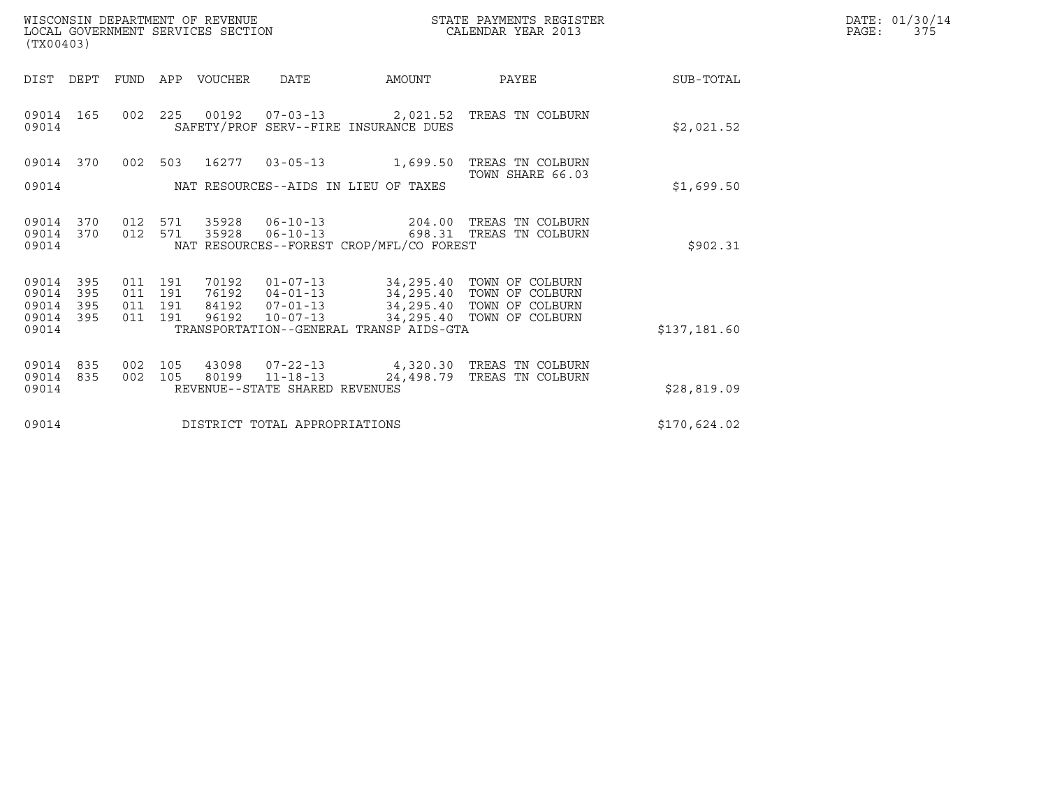| WISCONSIN DEPARTMENT OF REVENUE   | STATE PAYMENTS REGISTER | DATE: 01/30/14 |
|-----------------------------------|-------------------------|----------------|
| LOCAL GOVERNMENT SERVICES SECTION | CALENDAR YEAR 2013      | PAGE :         |

| WISCONSIN DEPARTMENT OF REVENUE<br>LOCAL GOVERNMENT SERVICES SECTION<br>(TX00403) |                          |                          |                                  |                                                    |                                                                                                             | STATE PAYMENTS REGISTER<br>CALENDAR YEAR 2013                            |              | DATE: 01/30/14<br>PAGE:<br>375 |
|-----------------------------------------------------------------------------------|--------------------------|--------------------------|----------------------------------|----------------------------------------------------|-------------------------------------------------------------------------------------------------------------|--------------------------------------------------------------------------|--------------|--------------------------------|
| DIST DEPT                                                                         |                          |                          | FUND APP VOUCHER                 | DATE                                               | AMOUNT                                                                                                      | PAYEE                                                                    | SUB-TOTAL    |                                |
| 09014 165<br>09014                                                                |                          |                          | 002 225 00192                    |                                                    | SAFETY/PROF SERV--FIRE INSURANCE DUES                                                                       | 07-03-13 2,021.52 TREAS TN COLBURN                                       | \$2,021.52   |                                |
| 09014 370                                                                         | 002                      | 503                      | 16277                            | $03 - 05 - 13$                                     | 1,699.50                                                                                                    | TREAS TN COLBURN<br>TOWN SHARE 66.03                                     |              |                                |
| 09014                                                                             |                          |                          |                                  |                                                    | NAT RESOURCES--AIDS IN LIEU OF TAXES                                                                        |                                                                          | \$1,699.50   |                                |
| 09014<br>370<br>09014<br>370<br>09014                                             | 012<br>012               | 571<br>571               | 35928<br>35928                   |                                                    | NAT RESOURCES--FOREST CROP/MFL/CO FOREST                                                                    | 06-10-13 204.00 TREAS TN COLBURN<br>06-10-13 698.31 TREAS TN COLBURN     | \$902.31     |                                |
| 09014<br>395<br>09014<br>395<br>09014<br>395<br>09014<br>395<br>09014             | 011<br>011<br>011<br>011 | 191<br>191<br>191<br>191 | 70192<br>76192<br>84192<br>96192 | $04 - 01 - 13$<br>$07 - 01 - 13$<br>$10 - 07 - 13$ | $01 - 07 - 13$ 34, 295.40<br>34,295.40<br>34,295.40<br>34,295.40<br>TRANSPORTATION--GENERAL TRANSP AIDS-GTA | TOWN OF COLBURN<br>TOWN OF COLBURN<br>TOWN OF COLBURN<br>TOWN OF COLBURN | \$137,181.60 |                                |
| 09014<br>835<br>09014<br>835<br>09014                                             | 002<br>002               | 105<br>105               | 43098<br>80199                   | $11 - 18 - 13$<br>REVENUE--STATE SHARED REVENUES   | 24,498.79                                                                                                   | 07-22-13 4,320.30 TREAS TN COLBURN<br>TREAS TN COLBURN                   | \$28,819.09  |                                |
| 09014                                                                             |                          |                          |                                  | DISTRICT TOTAL APPROPRIATIONS                      |                                                                                                             |                                                                          | \$170,624.02 |                                |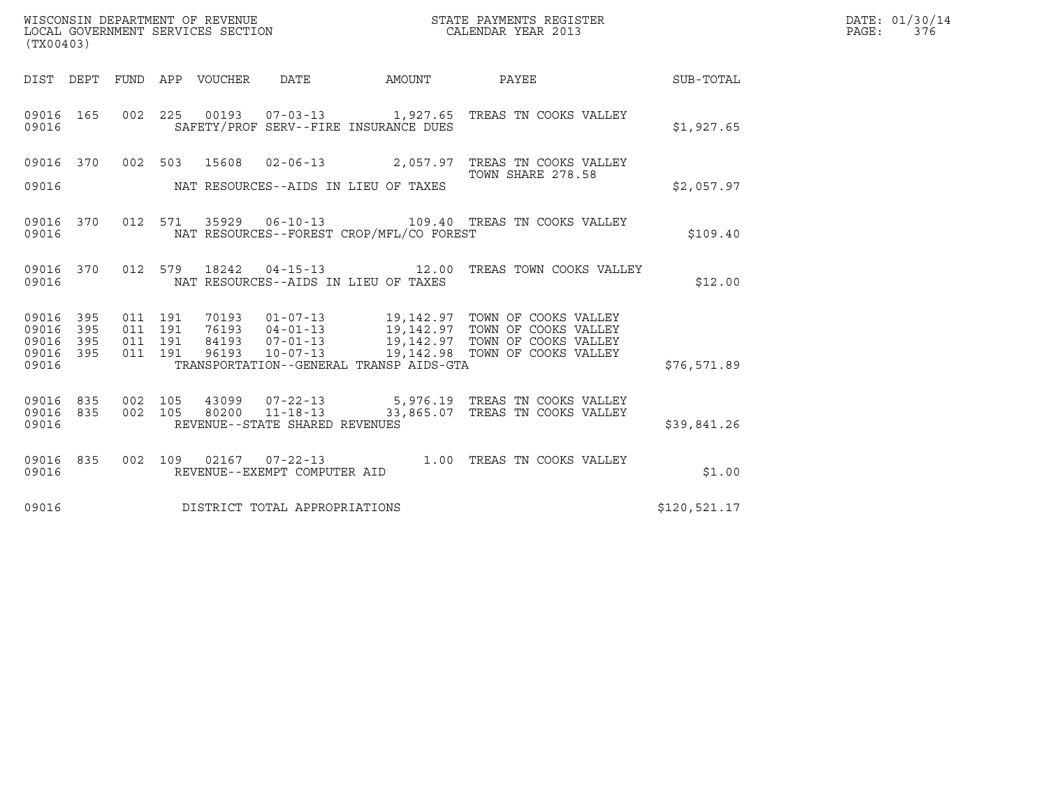| (TX00403)                                 |                          |                    |                                 |       | WISCONSIN DEPARTMENT OF REVENUE<br>LOCAL GOVERNMENT SERVICES SECTION |                                          | STATE PAYMENTS REGISTER<br>CALENDAR YEAR 2013                                                                                                                                              |              | DATE: 01/30/14<br>PAGE: 376 |
|-------------------------------------------|--------------------------|--------------------|---------------------------------|-------|----------------------------------------------------------------------|------------------------------------------|--------------------------------------------------------------------------------------------------------------------------------------------------------------------------------------------|--------------|-----------------------------|
|                                           |                          |                    | DIST DEPT FUND APP VOUCHER DATE |       |                                                                      | AMOUNT                                   | <b>PAYEE</b>                                                                                                                                                                               | SUB-TOTAL    |                             |
| 09016 165<br>09016                        |                          |                    |                                 |       |                                                                      | SAFETY/PROF SERV--FIRE INSURANCE DUES    | 002 225 00193 07-03-13 1,927.65 TREAS TN COOKS VALLEY                                                                                                                                      | \$1,927.65   |                             |
|                                           |                          |                    |                                 |       |                                                                      |                                          | 09016 370 002 503 15608 02-06-13 2,057.97 TREAS TN COOKS VALLEY<br>TOWN SHARE 278.58                                                                                                       |              |                             |
| 09016                                     |                          |                    |                                 |       |                                                                      | NAT RESOURCES--AIDS IN LIEU OF TAXES     |                                                                                                                                                                                            | \$2,057.97   |                             |
| 09016                                     |                          |                    |                                 |       |                                                                      | NAT RESOURCES--FOREST CROP/MFL/CO FOREST | 09016 370 012 571 35929 06-10-13 109.40 TREAS TN COOKS VALLEY                                                                                                                              | \$109.40     |                             |
| 09016                                     |                          |                    |                                 |       |                                                                      | NAT RESOURCES--AIDS IN LIEU OF TAXES     | 09016 370 012 579 18242 04-15-13 12.00 TREAS TOWN COOKS VALLEY                                                                                                                             | \$12.00      |                             |
| 09016<br>09016<br>09016<br>09016<br>09016 | 395<br>395<br>395<br>395 | 011 191<br>011 191 | 011 191<br>011 191              | 96193 | $10 - 07 - 13$                                                       | TRANSPORTATION--GENERAL TRANSP AIDS-GTA  | 70193  01-07-13  19,142.97  TOWN OF COOKS VALLEY<br>76193  04-01-13  19,142.97  TOWN OF COOKS VALLEY<br>84193  07-01-13  19,142.97  TOWN OF COOKS VALLEY<br>19,142.98 TOWN OF COOKS VALLEY | \$76,571.89  |                             |
| 09016 835<br>09016 835<br>09016           |                          |                    | 002 105                         |       | REVENUE--STATE SHARED REVENUES                                       |                                          | 002  105  43099  07-22-13  5,976.19  TREAS TN COOKS VALLEY<br>80200 11-18-13 33,865.07 TREAS TN COOKS VALLEY                                                                               | \$39,841.26  |                             |
| 09016 835<br>09016                        |                          |                    |                                 |       | REVENUE--EXEMPT COMPUTER AID                                         |                                          | 002 109 02167 07-22-13 1.00 TREAS TN COOKS VALLEY                                                                                                                                          | \$1.00       |                             |
| 09016                                     |                          |                    |                                 |       | DISTRICT TOTAL APPROPRIATIONS                                        |                                          |                                                                                                                                                                                            | \$120,521.17 |                             |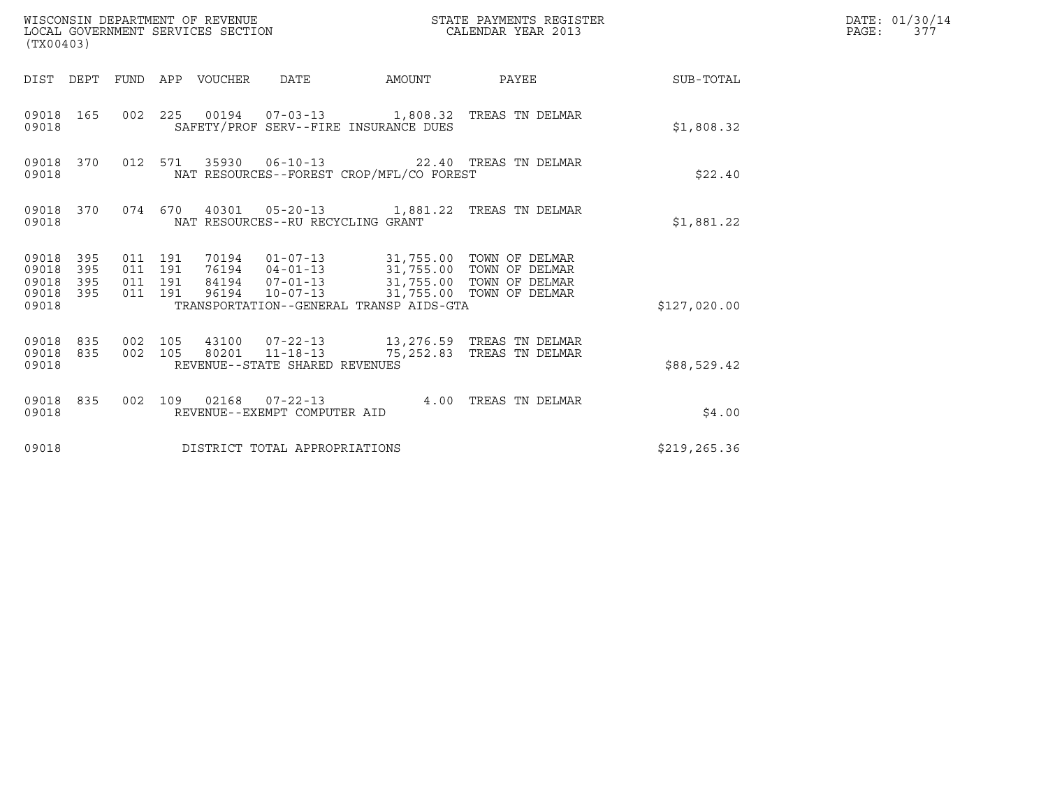| (TX00403)                                         |                                |                                          | WISCONSIN DEPARTMENT OF REVENUE<br>LOCAL GOVERNMENT SERVICES SECTION |                                   |                                                                                      | STATE PAYMENTS REGISTER<br>CALENDAR YEAR 2013                                                                                             |                        | DATE: 01/30/14<br>PAGE:<br>377 |
|---------------------------------------------------|--------------------------------|------------------------------------------|----------------------------------------------------------------------|-----------------------------------|--------------------------------------------------------------------------------------|-------------------------------------------------------------------------------------------------------------------------------------------|------------------------|--------------------------------|
|                                                   |                                |                                          | DIST DEPT FUND APP VOUCHER DATE                                      |                                   |                                                                                      |                                                                                                                                           | AMOUNT PAYEE SUB-TOTAL |                                |
| 09018                                             | 09018 165                      |                                          |                                                                      |                                   | SAFETY/PROF SERV--FIRE INSURANCE DUES                                                | 002 225 00194 07-03-13 1,808.32 TREAS TN DELMAR                                                                                           | \$1,808.32             |                                |
| 09018 370<br>09018                                |                                |                                          |                                                                      |                                   | NAT RESOURCES--FOREST CROP/MFL/CO FOREST                                             | 012 571 35930 06-10-13 22.40 TREAS TN DELMAR                                                                                              | \$22.40                |                                |
| 09018                                             |                                |                                          |                                                                      | NAT RESOURCES--RU RECYCLING GRANT |                                                                                      | 09018 370 074 670 40301 05-20-13 1,881.22 TREAS TN DELMAR                                                                                 | \$1,881.22             |                                |
| 09018 395<br>09018<br>09018<br>09018 395<br>09018 | 395<br>395                     | 011 191<br>011 191<br>011 191<br>011 191 |                                                                      |                                   | 96194  10-07-13  31,755.00 TOWN OF DELMAR<br>TRANSPORTATION--GENERAL TRANSP AIDS-GTA | 70194   01-07-13   31,755.00 TOWN OF DELMAR<br>76194   04-01-13   31,755.00 TOWN OF DELMAR<br>84194   07-01-13   31,755.00 TOWN OF DELMAR | \$127,020.00           |                                |
| 09018                                             | 09018 835 002 105<br>09018 835 |                                          |                                                                      | REVENUE--STATE SHARED REVENUES    |                                                                                      | 43100  07-22-13   13,276.59   TREAS TN DELMAR<br>002 105 80201 11-18-13 75,252.83 TREAS TN DELMAR                                         | \$88,529.42            |                                |
| 09018                                             | 09018 835                      |                                          |                                                                      | REVENUE--EXEMPT COMPUTER AID      |                                                                                      | 002 109 02168 07-22-13 4.00 TREAS TN DELMAR                                                                                               | \$4.00                 |                                |
| 09018                                             |                                |                                          |                                                                      | DISTRICT TOTAL APPROPRIATIONS     |                                                                                      |                                                                                                                                           | \$219, 265.36          |                                |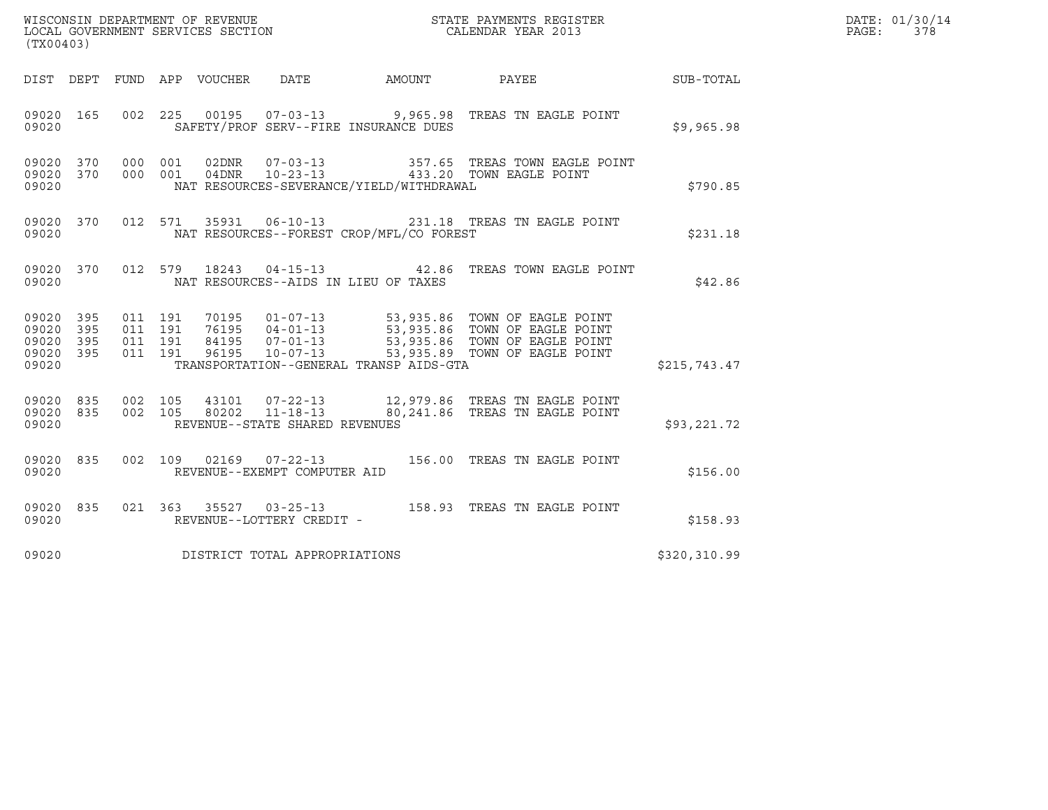| (TX00403)                                 |                          |                                          |                               |                                |                                          |                                                                                                                                                                                                          |              | DATE: 01/30/14<br>PAGE:<br>378 |
|-------------------------------------------|--------------------------|------------------------------------------|-------------------------------|--------------------------------|------------------------------------------|----------------------------------------------------------------------------------------------------------------------------------------------------------------------------------------------------------|--------------|--------------------------------|
|                                           |                          |                                          | DIST DEPT FUND APP VOUCHER    | DATE                           |                                          | AMOUNT PAYEE                                                                                                                                                                                             | SUB-TOTAL    |                                |
| 09020                                     | 09020 165                |                                          |                               |                                | SAFETY/PROF SERV--FIRE INSURANCE DUES    | 002  225  00195  07-03-13  9,965.98  TREAS TN EAGLE POINT                                                                                                                                                | \$9,965.98   |                                |
| 09020 370<br>09020                        |                          | 09020 370 000 001<br>000 001             |                               |                                | NAT RESOURCES-SEVERANCE/YIELD/WITHDRAWAL | 357.65 TREAS TOWN EAGLE POINT                                                                                                                                                                            | \$790.85     |                                |
| 09020                                     | 09020 370                |                                          |                               |                                | NAT RESOURCES--FOREST CROP/MFL/CO FOREST | 012 571 35931 06-10-13 231.18 TREAS TN EAGLE POINT                                                                                                                                                       | \$231.18     |                                |
| 09020                                     | 09020 370                |                                          |                               |                                | NAT RESOURCES--AIDS IN LIEU OF TAXES     | 012 579 18243 04-15-13 42.86 TREAS TOWN EAGLE POINT                                                                                                                                                      | \$42.86      |                                |
| 09020<br>09020<br>09020<br>09020<br>09020 | 395<br>395<br>395<br>395 | 011 191<br>011 191<br>011 191<br>011 191 |                               |                                | TRANSPORTATION--GENERAL TRANSP AIDS-GTA  | 70195  01-07-13  53,935.86  TOWN OF EAGLE POINT<br>76195  04-01-13  53,935.86  TOWN OF EAGLE POINT<br>84195  07-01-13  53,935.86  TOWN OF EAGLE POINT<br>96195  10-07-13  53,935.89  TOWN OF EAGLE POINT | \$215,743.47 |                                |
| 09020 835<br>09020 835<br>09020           |                          | 002 105                                  | 002 105                       | REVENUE--STATE SHARED REVENUES |                                          | 43101  07-22-13   12,979.86   TREAS TN EAGLE POINT<br>80202   11-18-13   80,241.86   TREAS TN EAGLE POINT                                                                                                | \$93,221.72  |                                |
| 09020 835<br>09020                        |                          |                                          |                               | REVENUE--EXEMPT COMPUTER AID   |                                          | 002 109 02169 07-22-13 156.00 TREAS TN EAGLE POINT                                                                                                                                                       | \$156.00     |                                |
| 09020 835<br>09020                        |                          |                                          |                               | REVENUE--LOTTERY CREDIT -      |                                          |                                                                                                                                                                                                          | \$158.93     |                                |
| 09020                                     |                          |                                          | DISTRICT TOTAL APPROPRIATIONS |                                |                                          |                                                                                                                                                                                                          | \$320,310.99 |                                |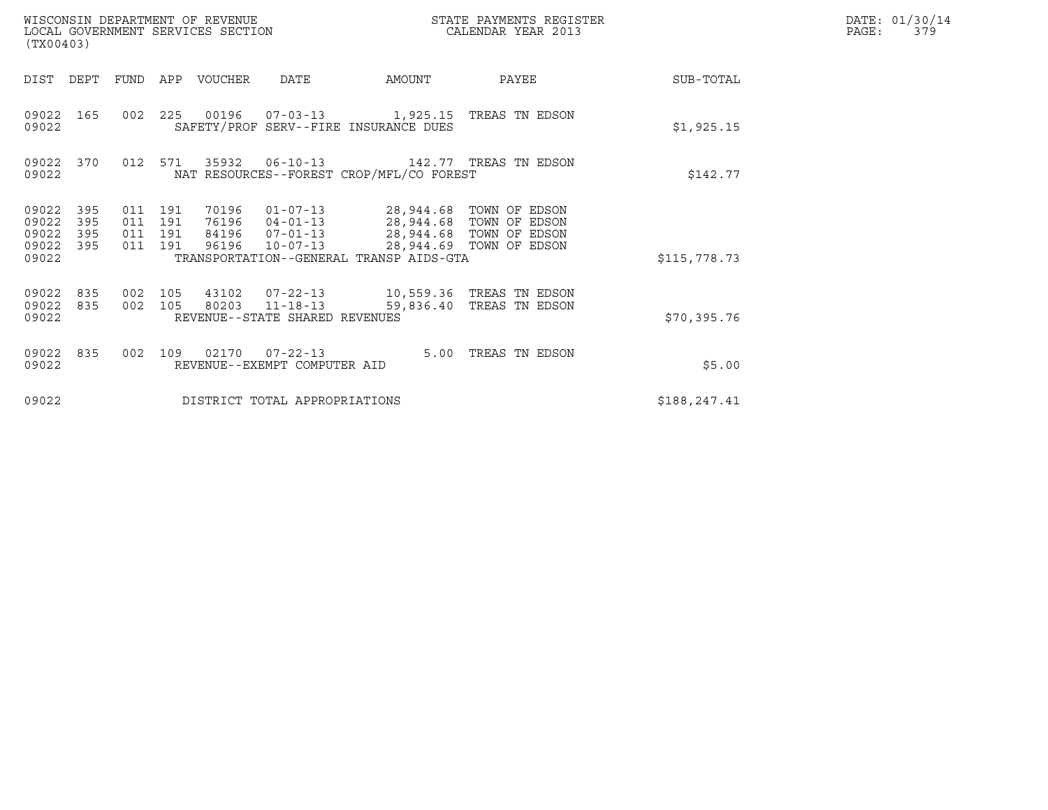| (TX00403)                                 |                          |                                      |     | WISCONSIN DEPARTMENT OF REVENUE<br>LOCAL GOVERNMENT SERVICES SECTION |                                                                      |                                                                                               | STATE PAYMENTS REGISTER<br>CALENDAR YEAR 2013      |              | DATE: 01/30/14<br>PAGE:<br>379 |
|-------------------------------------------|--------------------------|--------------------------------------|-----|----------------------------------------------------------------------|----------------------------------------------------------------------|-----------------------------------------------------------------------------------------------|----------------------------------------------------|--------------|--------------------------------|
| DIST                                      | DEPT                     | FUND                                 | APP | VOUCHER                                                              | <b>DATE</b>                                                          | AMOUNT                                                                                        | PAYEE                                              | SUB-TOTAL    |                                |
| 09022<br>09022                            | 165                      |                                      |     |                                                                      |                                                                      | 002 225 00196 07-03-13 1,925.15 TREAS TN EDSON<br>SAFETY/PROF SERV--FIRE INSURANCE DUES       |                                                    | \$1,925.15   |                                |
| 09022<br>09022                            | 370                      | 012                                  | 571 | 35932                                                                | $06 - 10 - 13$                                                       | NAT RESOURCES--FOREST CROP/MFL/CO FOREST                                                      | 142.77 TREAS TN EDSON                              | \$142.77     |                                |
| 09022<br>09022<br>09022<br>09022<br>09022 | 395<br>395<br>395<br>395 | 011 191<br>011<br>011 191<br>011 191 | 191 | 70196<br>76196<br>84196<br>96196                                     | $01 - 07 - 13$<br>$04 - 01 - 13$<br>$07 - 01 - 13$<br>$10 - 07 - 13$ | 28,944.68 TOWN OF EDSON<br>28,944.68 TOWN OF EDSON<br>TRANSPORTATION--GENERAL TRANSP AIDS-GTA | 28,944.68 TOWN OF EDSON<br>28,944.69 TOWN OF EDSON | \$115,778.73 |                                |
| 09022<br>09022<br>09022                   | 835<br>835               | 002 105<br>002 105                   |     | 43102                                                                | $07 - 22 - 13$<br>80203 11-18-13<br>REVENUE--STATE SHARED REVENUES   | 59,836.40                                                                                     | 10,559.36 TREAS TN EDSON<br>TREAS TN EDSON         | \$70,395.76  |                                |
| 09022<br>09022                            | 835                      | 002                                  | 109 |                                                                      | 02170   07-22-13<br>REVENUE--EXEMPT COMPUTER AID                     | 5.00                                                                                          | TREAS TN EDSON                                     | \$5.00       |                                |
| 09022                                     |                          |                                      |     |                                                                      | DISTRICT TOTAL APPROPRIATIONS                                        |                                                                                               |                                                    | \$188,247.41 |                                |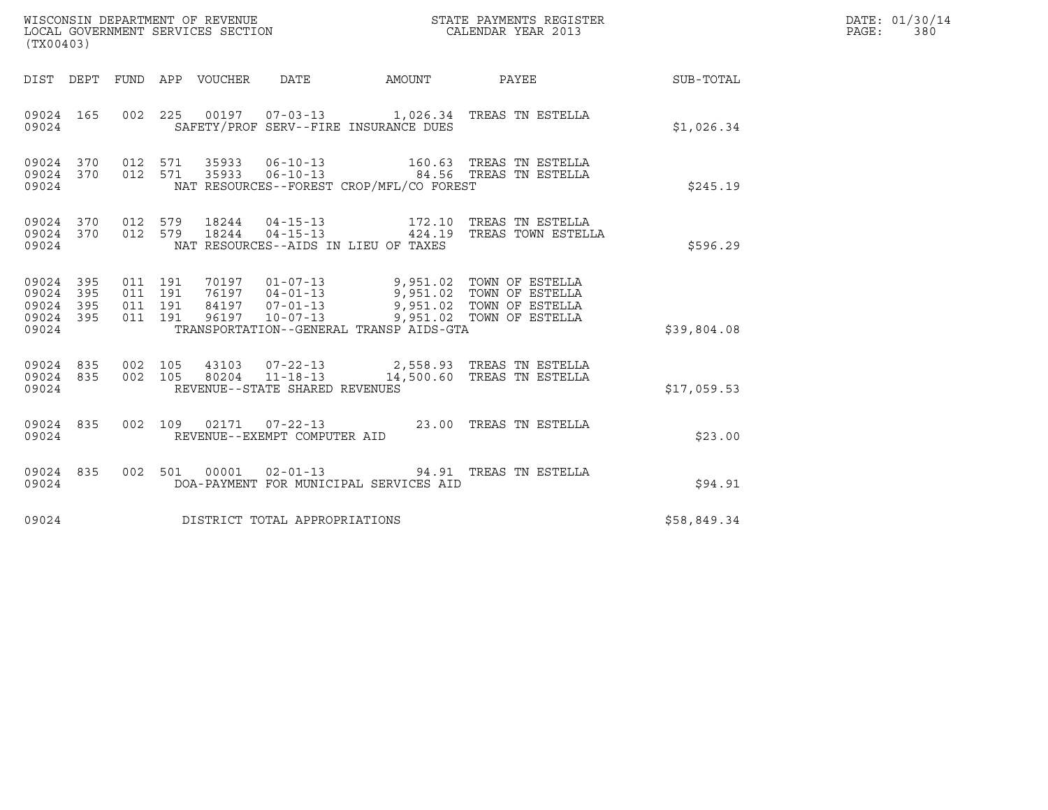| (TX00403)                                             |     |                               |         |                                |                                          | DATE: 01/30/14<br>PAGE: 380                                                                                                                                                                                 |                                                        |  |
|-------------------------------------------------------|-----|-------------------------------|---------|--------------------------------|------------------------------------------|-------------------------------------------------------------------------------------------------------------------------------------------------------------------------------------------------------------|--------------------------------------------------------|--|
|                                                       |     |                               |         |                                |                                          |                                                                                                                                                                                                             | DIST DEPT FUND APP VOUCHER DATE AMOUNT PAYEE SUB-TOTAL |  |
| 09024 165<br>09024                                    |     |                               |         |                                | SAFETY/PROF SERV--FIRE INSURANCE DUES    | 002 225 00197 07-03-13 1,026.34 TREAS TN ESTELLA                                                                                                                                                            | \$1,026.34                                             |  |
| 09024                                                 |     |                               |         |                                | NAT RESOURCES--FOREST CROP/MFL/CO FOREST | $\begin{array}{cccccccc} 09024 & 370 & 012 & 571 & 35933 & 06-10-13 & & & 160.63 & \text{TREAS TN ESTELLA} \\ 09024 & 370 & 012 & 571 & 35933 & 06-10-13 & & & 84.56 & \text{TREAS TN ESTELLA} \end{array}$ | \$245.19                                               |  |
| 09024                                                 |     |                               |         |                                | NAT RESOURCES--AIDS IN LIEU OF TAXES     | 09024 370 012 579 18244 04-15-13 172.10 TREAS TN ESTELLA<br>09024 370 012 579 18244 04-15-13 424.19 TREAS TOWN ESTELLA                                                                                      | \$596.29                                               |  |
| 09024 395<br>09024<br>09024 395<br>09024 395<br>09024 | 395 | 011 191<br>011 191<br>011 191 | 011 191 |                                | TRANSPORTATION--GENERAL TRANSP AIDS-GTA  | 70197  01-07-13  9,951.02  TOWN OF ESTELLA<br>76197  04-01-13  9,951.02  TOWN OF ESTELLA<br>84197  07-01-13  9,951.02  TOWN OF ESTELLA<br>96197  10-07-13  9,951.02  TOWN OF ESTELLA                        | \$39,804.08                                            |  |
| 09024 835 002 105<br>09024 835<br>09024               |     | 002 105                       |         | REVENUE--STATE SHARED REVENUES |                                          | 43103  07-22-13  2,558.93  TREAS TN ESTELLA<br>80204  11-18-13  14,500.60 TREAS TN ESTELLA                                                                                                                  | \$17,059.53                                            |  |
| 09024 835<br>09024                                    |     |                               |         | REVENUE--EXEMPT COMPUTER AID   |                                          | 002 109 02171 07-22-13 23.00 TREAS TN ESTELLA                                                                                                                                                               | \$23.00                                                |  |
| 09024 835<br>09024                                    |     |                               |         |                                | DOA-PAYMENT FOR MUNICIPAL SERVICES AID   | 002 501 00001 02-01-13 94.91 TREAS TN ESTELLA                                                                                                                                                               | \$94.91                                                |  |
| 09024                                                 |     |                               |         | DISTRICT TOTAL APPROPRIATIONS  |                                          |                                                                                                                                                                                                             | \$58,849.34                                            |  |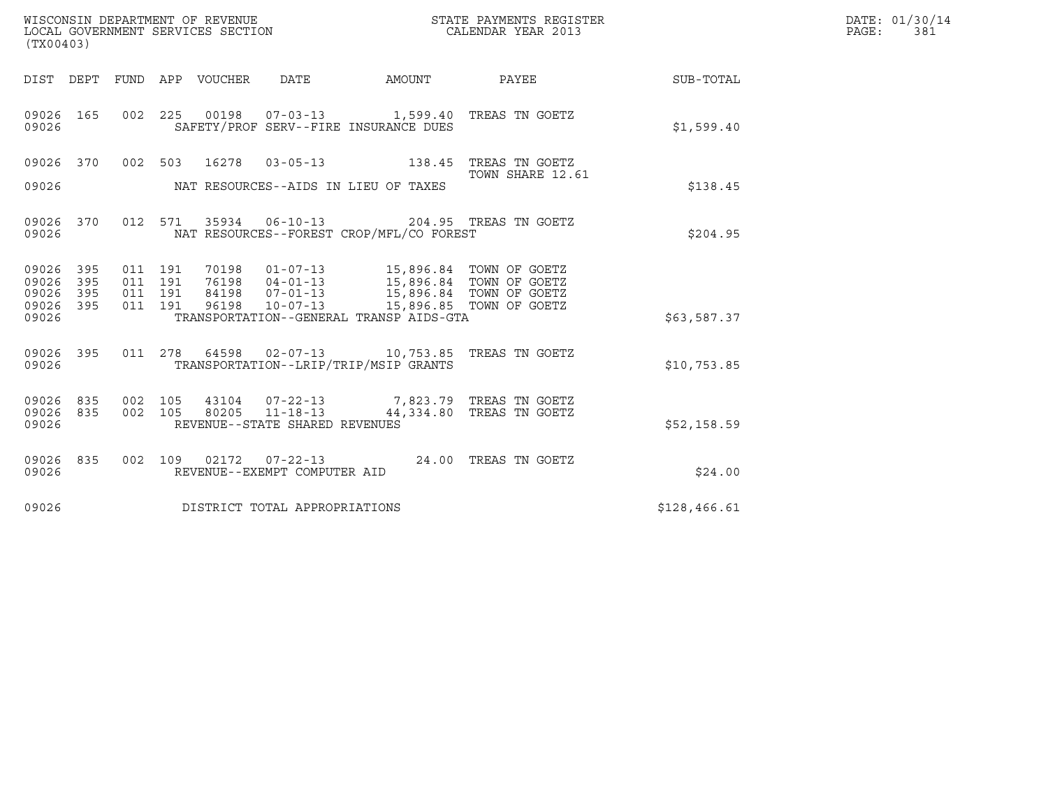| (TX00403)                       |     |                    |  | WISCONSIN DEPARTMENT OF REVENUE<br>LOCAL GOVERNMENT SERVICES SECTION |                                                                                                                                              | STATE PAYMENTS REGISTER<br>CALENDAR YEAR 2013                                             |              | DATE: 01/30/14<br>PAGE: 381 |
|---------------------------------|-----|--------------------|--|----------------------------------------------------------------------|----------------------------------------------------------------------------------------------------------------------------------------------|-------------------------------------------------------------------------------------------|--------------|-----------------------------|
|                                 |     |                    |  |                                                                      |                                                                                                                                              | DIST DEPT FUND APP VOUCHER DATE AMOUNT PAYEE TO SUB-TOTAL                                 |              |                             |
| 09026 165<br>09026              |     |                    |  |                                                                      | SAFETY/PROF SERV--FIRE INSURANCE DUES                                                                                                        | 002 225 00198 07-03-13 1,599.40 TREAS TN GOETZ                                            | \$1,599.40   |                             |
|                                 |     |                    |  |                                                                      |                                                                                                                                              | 09026 370 002 503 16278 03-05-13 138.45 TREAS TN GOETZ                                    |              |                             |
| 09026                           |     |                    |  | NAT RESOURCES--AIDS IN LIEU OF TAXES                                 |                                                                                                                                              | TOWN SHARE 12.61                                                                          | \$138.45     |                             |
| 09026 370<br>09026              |     |                    |  |                                                                      | NAT RESOURCES--FOREST CROP/MFL/CO FOREST                                                                                                     | 012 571 35934 06-10-13 204.95 TREAS TN GOETZ                                              | \$204.95     |                             |
| 09026 395<br>09026              | 395 | 011 191<br>011 191 |  |                                                                      | 70198  01-07-13  15,896.84  TOWN OF GOETZ<br>76198 04-01-13<br>76198 04-01-13<br>84198 07-01-13<br>96198 10-07-13<br>15,896.84 TOWN OF GOETZ |                                                                                           |              |                             |
| 09026 395<br>09026 395<br>09026 |     | 011 191<br>011 191 |  |                                                                      | TRANSPORTATION--GENERAL TRANSP AIDS-GTA                                                                                                      |                                                                                           | \$63,587.37  |                             |
| 09026 395<br>09026              |     | 011 278            |  |                                                                      | TRANSPORTATION--LRIP/TRIP/MSIP GRANTS                                                                                                        | 64598 02-07-13 10,753.85 TREAS TN GOETZ                                                   | \$10,753.85  |                             |
| 09026 835<br>09026 835<br>09026 |     | 002 105            |  | REVENUE--STATE SHARED REVENUES                                       |                                                                                                                                              | 002 105 43104 07-22-13 7,823.79 TREAS TN GOETZ<br>80205 11-18-13 44,334.80 TREAS TN GOETZ | \$52,158.59  |                             |
| 09026 835<br>09026              |     |                    |  | REVENUE--EXEMPT COMPUTER AID                                         |                                                                                                                                              | 002 109 02172 07-22-13 24.00 TREAS TN GOETZ                                               | \$24.00      |                             |
| 09026                           |     |                    |  | DISTRICT TOTAL APPROPRIATIONS                                        |                                                                                                                                              |                                                                                           | \$128,466.61 |                             |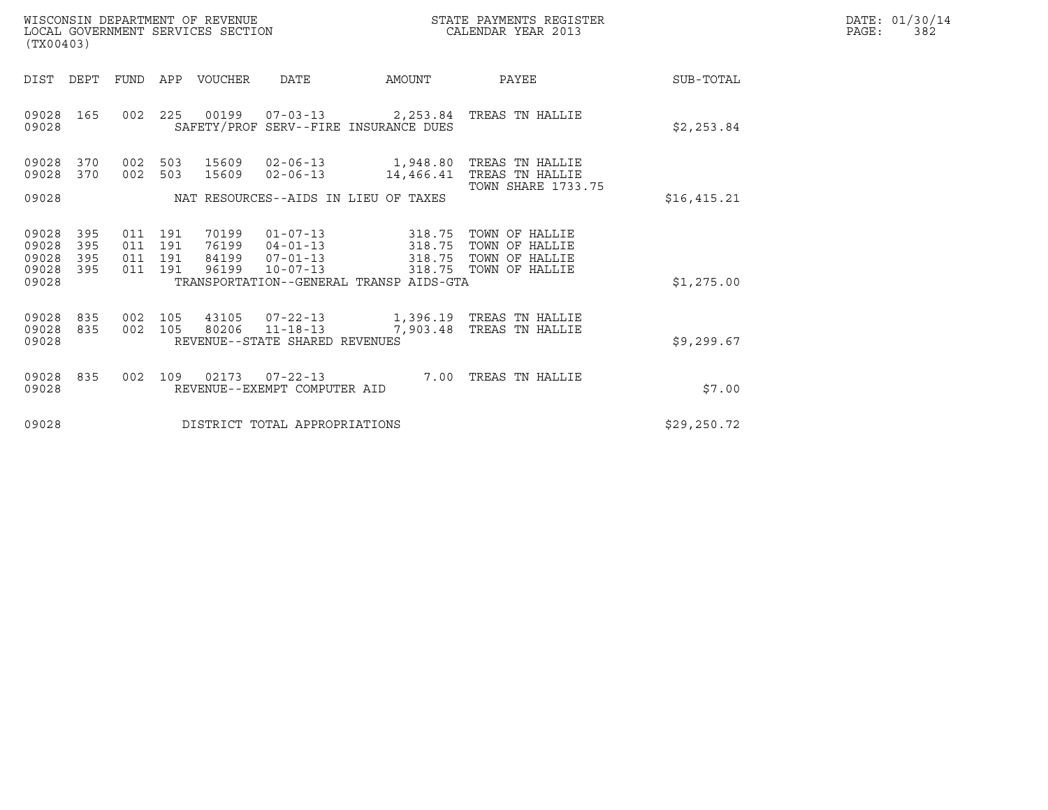| WISCONSIN DEPARTMENT OF REVENUE   | STATE PAYMENTS REGISTER | DATE: 01/30/14 |
|-----------------------------------|-------------------------|----------------|
| LOCAL GOVERNMENT SERVICES SECTION | CALENDAR YEAR 2013      | 382<br>PAGE :  |

| WISCONSIN DEPARTMENT OF REVENUE<br>LOCAL GOVERNMENT SERVICES SECTION<br>(TX00403) |                                  |            |                                  |                                                    |                                                                                                | STATE PAYMENTS REGISTER<br>CALENDAR YEAR 2013                        |              | DATE: 01/30/14<br>PAGE:<br>382 |
|-----------------------------------------------------------------------------------|----------------------------------|------------|----------------------------------|----------------------------------------------------|------------------------------------------------------------------------------------------------|----------------------------------------------------------------------|--------------|--------------------------------|
| DIST<br>DEPT                                                                      |                                  |            | FUND APP VOUCHER                 | DATE                                               | AMOUNT                                                                                         | PAYEE                                                                | SUB-TOTAL    |                                |
| 09028<br>165<br>09028                                                             |                                  |            |                                  |                                                    | SAFETY/PROF SERV--FIRE INSURANCE DUES                                                          | 002 225 00199 07-03-13 2,253.84 TREAS TN HALLIE                      | \$2,253.84   |                                |
| 09028<br>370<br>09028<br>370<br>09028                                             | 002<br>002                       | 503<br>503 | 15609<br>15609                   | 02-06-13<br>$02 - 06 - 13$                         | 1,948.80<br>14,466.41<br>NAT RESOURCES--AIDS IN LIEU OF TAXES                                  | TREAS TN HALLIE<br>TREAS TN HALLIE<br><b>TOWN SHARE 1733.75</b>      | \$16,415.21  |                                |
| 09028<br>395<br>09028<br>395<br>09028<br>395<br>09028<br>395<br>09028             | 011 191<br>011 191<br>011<br>011 | 191<br>191 | 70199<br>76199<br>84199<br>96199 | $04 - 01 - 13$<br>$07 - 01 - 13$<br>$10 - 07 - 13$ | $01 - 07 - 13$ 318.75<br>318.75<br>318.75<br>318.75<br>TRANSPORTATION--GENERAL TRANSP AIDS-GTA | TOWN OF HALLIE<br>TOWN OF HALLIE<br>TOWN OF HALLIE<br>TOWN OF HALLIE | \$1,275.00   |                                |
| 09028<br>835<br>09028<br>835<br>09028                                             | 002<br>002 105                   | 105        | 43105<br>80206                   | REVENUE--STATE SHARED REVENUES                     | $11 - 18 - 13$ 7,903.48                                                                        | TREAS TN HALLIE                                                      | \$9,299.67   |                                |
| 09028<br>835<br>09028                                                             |                                  |            | 002 109 02173                    | REVENUE--EXEMPT COMPUTER AID                       |                                                                                                | 07-22-13 7.00 TREAS TN HALLIE                                        | \$7.00       |                                |
| 09028                                                                             |                                  |            |                                  | DISTRICT TOTAL APPROPRIATIONS                      |                                                                                                |                                                                      | \$29, 250.72 |                                |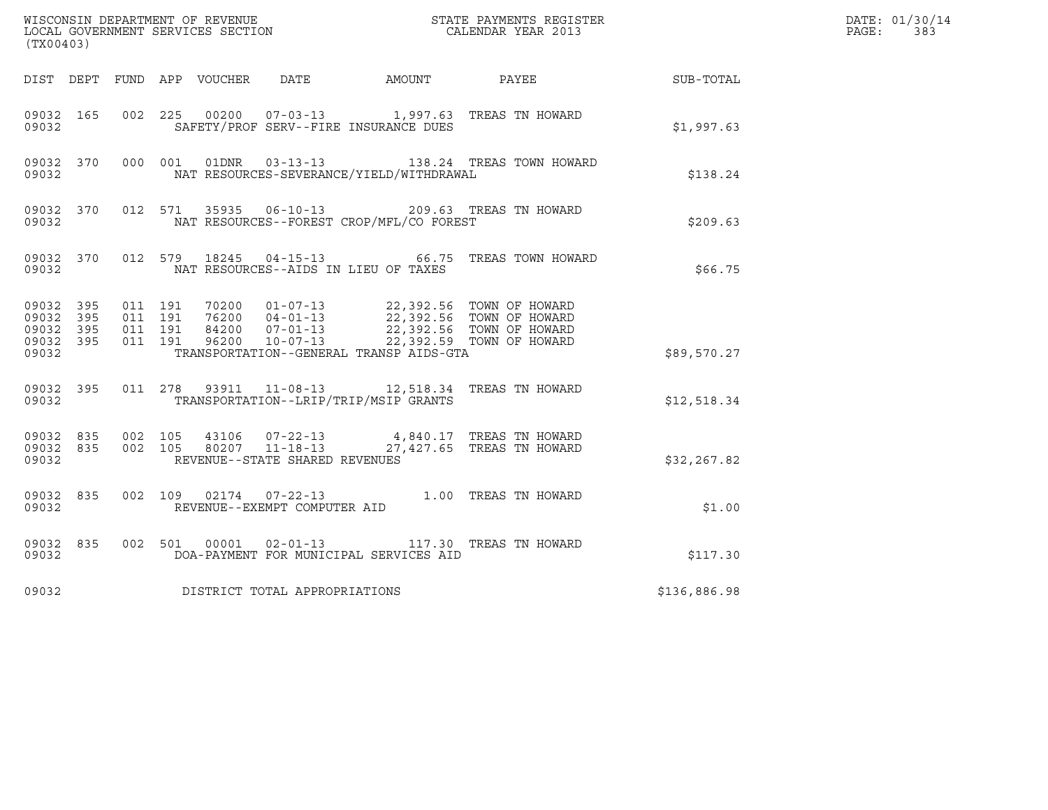| (TX00403)                                    |                        |                                          |  |                                |                                                                                                                                                                                                                     | ${\tt WISCONSIM\ DEPARTMENT\ OF\ REVENUE}\qquad \qquad {\tt STATE\ PAYMENTS\ REGISTER} \\ {\tt LOCAL\ GOVERNMENT\ SERVICES\ SECTION}\qquad \qquad {\tt CALENDAR\ YEAR\ 2013}$ |              | DATE: 01/30/14<br>$\mathtt{PAGE}$ :<br>383 |
|----------------------------------------------|------------------------|------------------------------------------|--|--------------------------------|---------------------------------------------------------------------------------------------------------------------------------------------------------------------------------------------------------------------|-------------------------------------------------------------------------------------------------------------------------------------------------------------------------------|--------------|--------------------------------------------|
|                                              |                        |                                          |  |                                |                                                                                                                                                                                                                     | DIST DEPT FUND APP VOUCHER DATE AMOUNT PAYEE THE SUB-TOTAL                                                                                                                    |              |                                            |
| 09032 165<br>09032                           |                        |                                          |  |                                | SAFETY/PROF SERV--FIRE INSURANCE DUES                                                                                                                                                                               | 002 225 00200 07-03-13 1,997.63 TREAS TN HOWARD                                                                                                                               | \$1,997.63   |                                            |
| 09032                                        | 09032 370              |                                          |  | 000 001 01DNR 03-13-13         | NAT RESOURCES-SEVERANCE/YIELD/WITHDRAWAL                                                                                                                                                                            | 138.24 TREAS TOWN HOWARD                                                                                                                                                      | \$138.24     |                                            |
| 09032                                        | 09032 370              |                                          |  |                                | NAT RESOURCES--FOREST CROP/MFL/CO FOREST                                                                                                                                                                            | 012 571 35935 06-10-13 209.63 TREAS TN HOWARD                                                                                                                                 | \$209.63     |                                            |
| 09032                                        | 09032 370              |                                          |  |                                | NAT RESOURCES--AIDS IN LIEU OF TAXES                                                                                                                                                                                | 012 579 18245 04-15-13 66.75 TREAS TOWN HOWARD                                                                                                                                | \$66.75      |                                            |
| 09032 395<br>09032 395<br>09032 395<br>09032 | 09032 395              | 011 191<br>011 191<br>011 191<br>011 191 |  |                                | 70200 01-07-13 22,392.56 TOWN OF HOWARD<br>76200 04-01-13 22,392.56 TOWN OF HOWARD<br>84200 07-01-13 22,392.56 TOWN OF HOWARD<br>96200 10-07-13 22,392.59 TOWN OF HOWARD<br>TRANSPORTATION--GENERAL TRANSP AIDS-GTA |                                                                                                                                                                               | \$89,570.27  |                                            |
| 09032                                        | 09032 395              |                                          |  |                                | TRANSPORTATION--LRIP/TRIP/MSIP GRANTS                                                                                                                                                                               | 011  278  93911  11-08-13  12,518.34  TREAS TN HOWARD                                                                                                                         | \$12,518.34  |                                            |
| 09032                                        | 09032 835<br>09032 835 | 002 105                                  |  | REVENUE--STATE SHARED REVENUES |                                                                                                                                                                                                                     | 43106  07-22-13  4,840.17  TREAS TN HOWARD<br>002 105 80207 11-18-13 27,427.65 TREAS TN HOWARD                                                                                | \$32,267.82  |                                            |
| 09032                                        | 09032 835              |                                          |  | REVENUE--EXEMPT COMPUTER AID   |                                                                                                                                                                                                                     | 002 109 02174 07-22-13 1.00 TREAS TN HOWARD                                                                                                                                   | \$1.00       |                                            |
| 09032                                        | 09032 835              |                                          |  | 002 501 00001 02-01-13         | DOA-PAYMENT FOR MUNICIPAL SERVICES AID                                                                                                                                                                              | 117.30 TREAS TN HOWARD                                                                                                                                                        | \$117.30     |                                            |
| 09032                                        |                        |                                          |  | DISTRICT TOTAL APPROPRIATIONS  |                                                                                                                                                                                                                     |                                                                                                                                                                               | \$136,886.98 |                                            |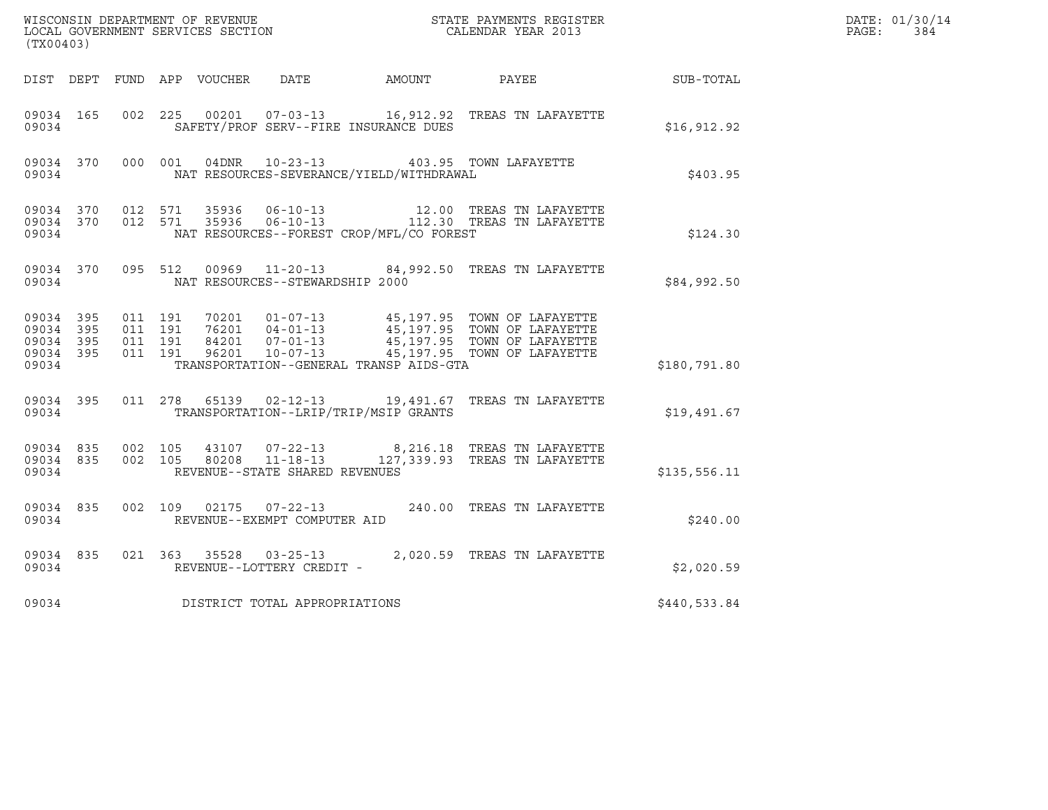|                                              |           |                                          |         |                                 |                                              |                                                                                                                                                                                                                 |                  | DATE: 01/30/14          |
|----------------------------------------------|-----------|------------------------------------------|---------|---------------------------------|----------------------------------------------|-----------------------------------------------------------------------------------------------------------------------------------------------------------------------------------------------------------------|------------------|-------------------------|
| (TX00403)                                    |           |                                          |         |                                 |                                              |                                                                                                                                                                                                                 |                  | $\mathtt{PAGE:}$<br>384 |
|                                              |           |                                          |         |                                 | DIST DEPT FUND APP VOUCHER DATE AMOUNT PAYEE |                                                                                                                                                                                                                 | <b>SUB-TOTAL</b> |                         |
| 09034 165<br>09034                           |           | 002 225                                  |         |                                 | SAFETY/PROF SERV--FIRE INSURANCE DUES        | 00201  07-03-13   16,912.92   TREAS TN LAFAYETTE                                                                                                                                                                | \$16,912.92      |                         |
| 09034 370<br>09034                           |           |                                          | 000 001 |                                 | NAT RESOURCES-SEVERANCE/YIELD/WITHDRAWAL     | 04DNR  10-23-13  403.95  TOWN LAFAYETTE                                                                                                                                                                         | \$403.95         |                         |
| 09034                                        |           |                                          |         |                                 | NAT RESOURCES--FOREST CROP/MFL/CO FOREST     | $\begin{array}{cccccccc} 09034 & 370 & 012 & 571 & 35936 & 06-10-13 & & & 12.00 & \text{TREAS TN LAFAYETTE} \\ 09034 & 370 & 012 & 571 & 35936 & 06-10-13 & & & 112.30 & \text{TREAS TN LAFAYETTE} \end{array}$ | \$124.30         |                         |
| 09034                                        |           |                                          |         | NAT RESOURCES--STEWARDSHIP 2000 |                                              | 09034 370 095 512 00969 11-20-13 84,992.50 TREAS TN LAFAYETTE                                                                                                                                                   | \$84,992.50      |                         |
| 09034 395<br>09034 395<br>09034 395<br>09034 | 09034 395 | 011 191<br>011 191<br>011 191<br>011 191 |         |                                 | TRANSPORTATION--GENERAL TRANSP AIDS-GTA      | 70201  01-07-13  45,197.95  TOWN OF LAFAYETTE<br>76201  04-01-13  45,197.95  TOWN OF LAFAYETTE<br>84201  07-01-13  45,197.95  TOWN OF LAFAYETTE<br>96201  10-07-13  45,197.95  TOWN OF LAFAYETTE                | \$180,791.80     |                         |
| 09034 395                                    |           |                                          |         |                                 |                                              | 011  278  65139  02-12-13  19,491.67  TREAS TN LAFAYETTE                                                                                                                                                        |                  |                         |
| 09034                                        |           |                                          |         |                                 | TRANSPORTATION--LRIP/TRIP/MSIP GRANTS        |                                                                                                                                                                                                                 | \$19,491.67      |                         |
| 09034                                        | 09034 835 | 09034 835 002 105                        | 002 105 | REVENUE--STATE SHARED REVENUES  |                                              | 43107  07-22-13  8,216.18  TREAS TN LAFAYETTE<br>80208  11-18-13  127,339.93  TREAS TN LAFAYETTE                                                                                                                | \$135,556.11     |                         |
| 09034                                        | 09034 835 |                                          |         | REVENUE--EXEMPT COMPUTER AID    |                                              | 002  109  02175  07-22-13  240.00  TREAS TN LAFAYETTE                                                                                                                                                           | \$240.00         |                         |
| 09034                                        | 09034 835 |                                          |         | REVENUE--LOTTERY CREDIT -       |                                              | 021 363 35528 03-25-13 2,020.59 TREAS TN LAFAYETTE                                                                                                                                                              | \$2,020.59       |                         |
| 09034                                        |           |                                          |         | DISTRICT TOTAL APPROPRIATIONS   |                                              |                                                                                                                                                                                                                 | \$440,533.84     |                         |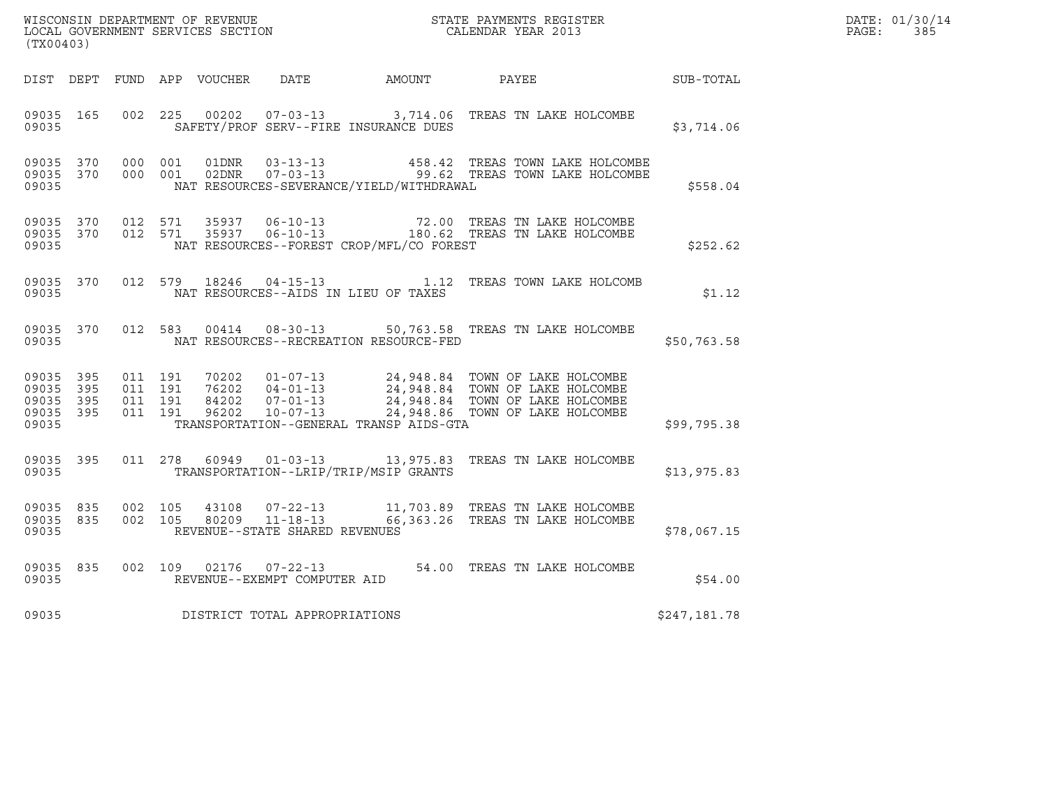| (TX00403)                                                 |                                          |         |       |                                                        |                                          |                                                                                                       |                  | DATE: 01/30/14<br>PAGE:<br>385 |
|-----------------------------------------------------------|------------------------------------------|---------|-------|--------------------------------------------------------|------------------------------------------|-------------------------------------------------------------------------------------------------------|------------------|--------------------------------|
|                                                           |                                          |         |       |                                                        |                                          | DIST DEPT FUND APP VOUCHER DATE AMOUNT PAYEE                                                          | <b>SUB-TOTAL</b> |                                |
| 09035 165<br>09035                                        | 002 225                                  |         |       |                                                        | SAFETY/PROF SERV--FIRE INSURANCE DUES    | 00202  07-03-13  3,714.06  TREAS TN LAKE HOLCOMBE                                                     | \$3,714.06       |                                |
| 09035 370<br>09035                                        | 09035 370 000 001                        | 000 001 |       |                                                        | NAT RESOURCES-SEVERANCE/YIELD/WITHDRAWAL |                                                                                                       | \$558.04         |                                |
| 09035 370<br>09035                                        | 09035 370 012 571<br>012 571             |         |       |                                                        | NAT RESOURCES--FOREST CROP/MFL/CO FOREST |                                                                                                       | \$252.62         |                                |
| 09035                                                     |                                          |         |       |                                                        | NAT RESOURCES--AIDS IN LIEU OF TAXES     | 09035 370 012 579 18246 04-15-13 1.12 TREAS TOWN LAKE HOLCOMB                                         | \$1.12           |                                |
| 09035                                                     |                                          |         |       |                                                        | NAT RESOURCES--RECREATION RESOURCE-FED   | 09035 370 012 583 00414 08-30-13 50,763.58 TREAS TN LAKE HOLCOMBE                                     | \$50,763.58      |                                |
| 09035 395<br>09035 395<br>09035 395<br>09035 395<br>09035 | 011 191<br>011 191<br>011 191<br>011 191 |         |       |                                                        | TRANSPORTATION--GENERAL TRANSP AIDS-GTA  |                                                                                                       | \$99,795.38      |                                |
| 09035 395<br>09035                                        |                                          |         |       |                                                        | TRANSPORTATION--LRIP/TRIP/MSIP GRANTS    | 011  278  60949  01-03-13  13,975.83  TREAS TN LAKE HOLCOMBE                                          | \$13,975.83      |                                |
| 09035 835<br>09035 835<br>09035                           | 002 105<br>002 105                       |         | 43108 | REVENUE--STATE SHARED REVENUES                         |                                          | 07-22-13 11,703.89 TREAS TN LAKE HOLCOMBE<br>80209    11-18-13    66,363.26    TREAS TN LAKE HOLCOMBE | \$78,067.15      |                                |
| 09035 835<br>09035                                        |                                          |         |       | 002 109 02176 07-22-13<br>REVENUE--EXEMPT COMPUTER AID |                                          | 54.00 TREAS TN LAKE HOLCOMBE                                                                          | \$54.00          |                                |
| 09035                                                     |                                          |         |       | DISTRICT TOTAL APPROPRIATIONS                          |                                          |                                                                                                       | \$247,181.78     |                                |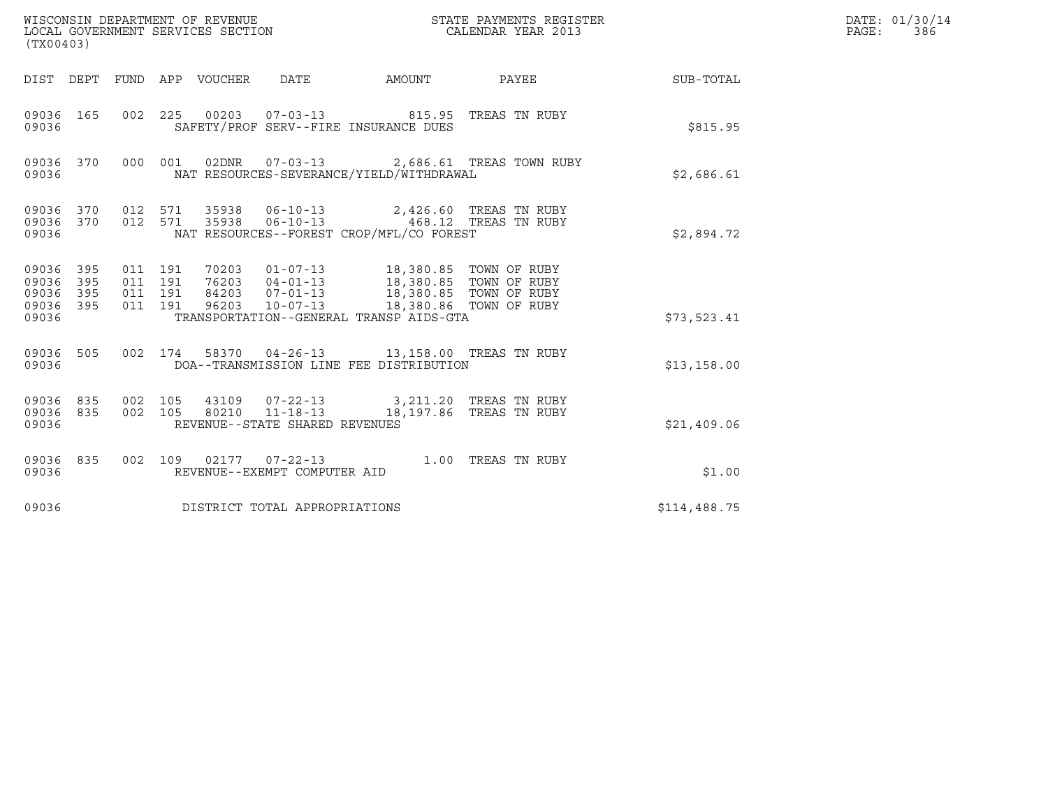| (TX00403)                       |            |                               |       | WISCONSIN DEPARTMENT OF REVENUE<br>LOCAL GOVERNMENT SERVICES SECTION |                                                                                                                                                                     | STATE PAYMENTS REGISTER<br>CALENDAR YEAR 2013              |              | DATE: 01/30/14<br>PAGE: 386 |
|---------------------------------|------------|-------------------------------|-------|----------------------------------------------------------------------|---------------------------------------------------------------------------------------------------------------------------------------------------------------------|------------------------------------------------------------|--------------|-----------------------------|
|                                 |            |                               |       |                                                                      |                                                                                                                                                                     | DIST DEPT FUND APP VOUCHER DATE AMOUNT PAYEE THE SUB-TOTAL |              |                             |
| 09036 165<br>09036              |            |                               |       |                                                                      | 002 225 00203 07-03-13 815.95 TREAS TN RUBY<br>SAFETY/PROF SERV--FIRE INSURANCE DUES                                                                                |                                                            | \$815.95     |                             |
| 09036                           |            |                               |       |                                                                      | NAT RESOURCES-SEVERANCE/YIELD/WITHDRAWAL                                                                                                                            | 09036 370 000 001 02DNR 07-03-13 2,686.61 TREAS TOWN RUBY  | \$2,686.61   |                             |
| 09036 370<br>09036 370<br>09036 |            | 012 571<br>012 571            | 35938 |                                                                      | 35938  06-10-13  2,426.60 TREAS TN RUBY<br>NAT RESOURCES--FOREST CROP/MFL/CO FOREST                                                                                 |                                                            | \$2,894.72   |                             |
| 09036 395<br>09036<br>09036     | 395<br>395 | 011 191<br>011 191<br>011 191 |       |                                                                      | 70203  01-07-13  18,380.85  TOWN OF RUBY<br>76203 04-01-13 18,380.85 TOWN OF RUBY<br>84203 07-01-13 18,380.85 TOWN OF RUBY<br>96203 10-07-13 18,380.86 TOWN OF RUBY |                                                            |              |                             |
| 09036 395<br>09036              |            | 011 191                       |       |                                                                      | TRANSPORTATION--GENERAL TRANSP AIDS-GTA                                                                                                                             |                                                            | \$73,523.41  |                             |
| 09036 505<br>09036              |            |                               |       |                                                                      | 002 174 58370 04-26-13 13,158.00 TREAS TN RUBY<br>DOA--TRANSMISSION LINE FEE DISTRIBUTION                                                                           |                                                            | \$13,158.00  |                             |
| 09036 835<br>09036 835<br>09036 |            | 002 105<br>002 105            |       | 80210  11-18-13<br>REVENUE--STATE SHARED REVENUES                    | 43109  07-22-13  3,211.20  TREAS TN RUBY                                                                                                                            | 18,197.86 TREAS TN RUBY                                    | \$21,409.06  |                             |
| 09036 835<br>09036              |            |                               |       | REVENUE--EXEMPT COMPUTER AID                                         | 002 109 02177 07-22-13 1.00 TREAS TN RUBY                                                                                                                           |                                                            | \$1.00       |                             |
| 09036                           |            |                               |       | DISTRICT TOTAL APPROPRIATIONS                                        |                                                                                                                                                                     |                                                            | \$114,488.75 |                             |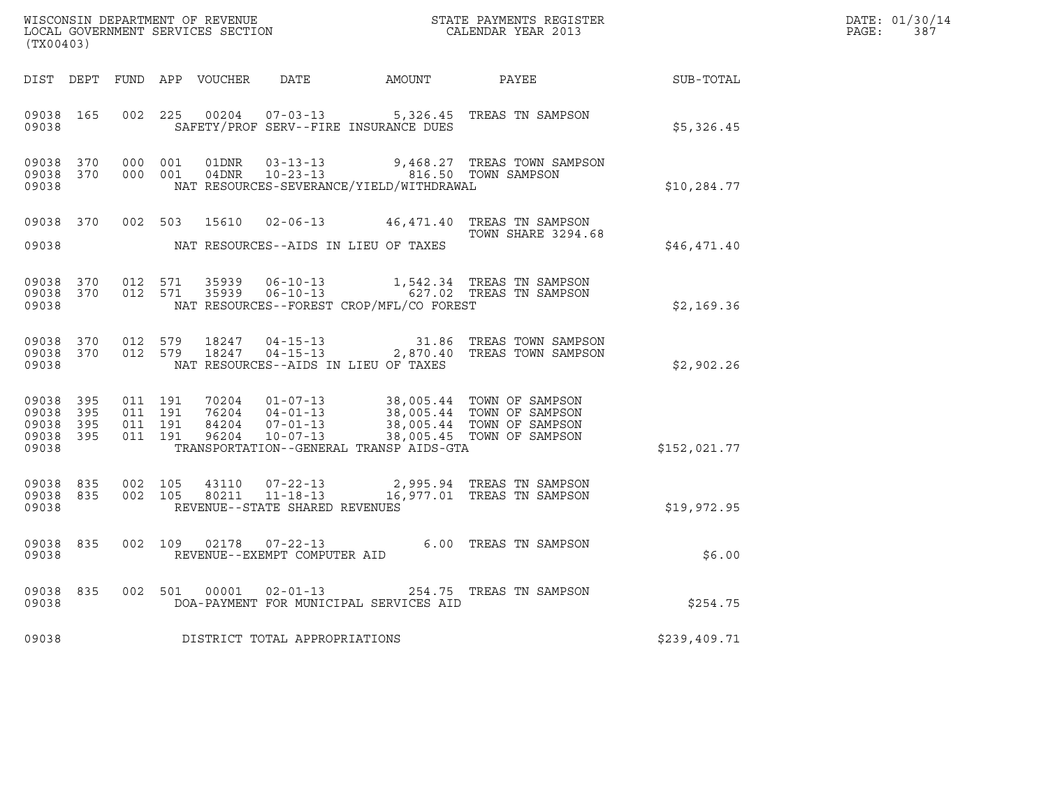| (TX00403) |           |  |                                |                                          |                                                                                                                                                                                                                                         |              | DATE: 01/30/14<br>PAGE: 387 |
|-----------|-----------|--|--------------------------------|------------------------------------------|-----------------------------------------------------------------------------------------------------------------------------------------------------------------------------------------------------------------------------------------|--------------|-----------------------------|
|           |           |  |                                |                                          | DIST DEPT FUND APP VOUCHER DATE AMOUNT PAYEE                                                                                                                                                                                            | SUB-TOTAL    |                             |
| 09038     |           |  |                                | SAFETY/PROF SERV--FIRE INSURANCE DUES    | 09038 165 002 225 00204 07-03-13 5,326.45 TREAS TN SAMPSON                                                                                                                                                                              | \$5,326.45   |                             |
| 09038     |           |  |                                | NAT RESOURCES-SEVERANCE/YIELD/WITHDRAWAL | 09038 370 000 001 01DNR 03-13-13 9,468.27 TREAS TOWN SAMPSON<br>09038 370 000 001 04DNR 10-23-13 816.50 TOWN SAMPSON                                                                                                                    | \$10,284.77  |                             |
| 09038     |           |  |                                | NAT RESOURCES--AIDS IN LIEU OF TAXES     | 09038 370 002 503 15610 02-06-13 46,471.40 TREAS TN SAMPSON<br><b>TOWN SHARE 3294.68</b>                                                                                                                                                | \$46,471.40  |                             |
| 09038     |           |  |                                | NAT RESOURCES--FOREST CROP/MFL/CO FOREST | 09038 370 012 571 35939 06-10-13 1,542.34 TREAS TN SAMPSON<br>09038 370 012 571 35939 06-10-13 627.02 TREAS TN SAMPSON                                                                                                                  | \$2,169.36   |                             |
| 09038     |           |  |                                | NAT RESOURCES--AIDS IN LIEU OF TAXES     | 09038 370 012 579 18247 04-15-13 31.86 TREAS TOWN SAMPSON<br>09038 370 012 579 18247 04-15-13 2,870.40 TREAS TOWN SAMPSON                                                                                                               | \$2,902.26   |                             |
| 09038     |           |  |                                | TRANSPORTATION--GENERAL TRANSP AIDS-GTA  | 09038 395 011 191 70204 01-07-13 38,005.44 TOWN OF SAMPSON<br>09038 395 011 191 76204 04-01-13 38,005.44 TOWN OF SAMPSON<br>09038 395 011 191 84204 07-01-13 38,005.44 TOWN OF SAMPSON<br>09038 395 011 191 96204 10-07-13 38,005.45 TO | \$152,021.77 |                             |
| 09038     |           |  | REVENUE--STATE SHARED REVENUES |                                          | 09038 835 002 105 43110 07-22-13 2,995.94 TREAS TN SAMPSON<br>09038 835 002 105 80211 11-18-13 16,977.01 TREAS TN SAMPSON                                                                                                               | \$19,972.95  |                             |
| 09038     | 09038 835 |  | REVENUE--EXEMPT COMPUTER AID   |                                          | 002 109 02178 07-22-13 6.00 TREAS TN SAMPSON                                                                                                                                                                                            | \$6.00       |                             |
| 09038     |           |  |                                | DOA-PAYMENT FOR MUNICIPAL SERVICES AID   | 09038 835 002 501 00001 02-01-13 254.75 TREAS TN SAMPSON                                                                                                                                                                                | \$254.75     |                             |
| 09038     |           |  | DISTRICT TOTAL APPROPRIATIONS  |                                          |                                                                                                                                                                                                                                         | \$239,409.71 |                             |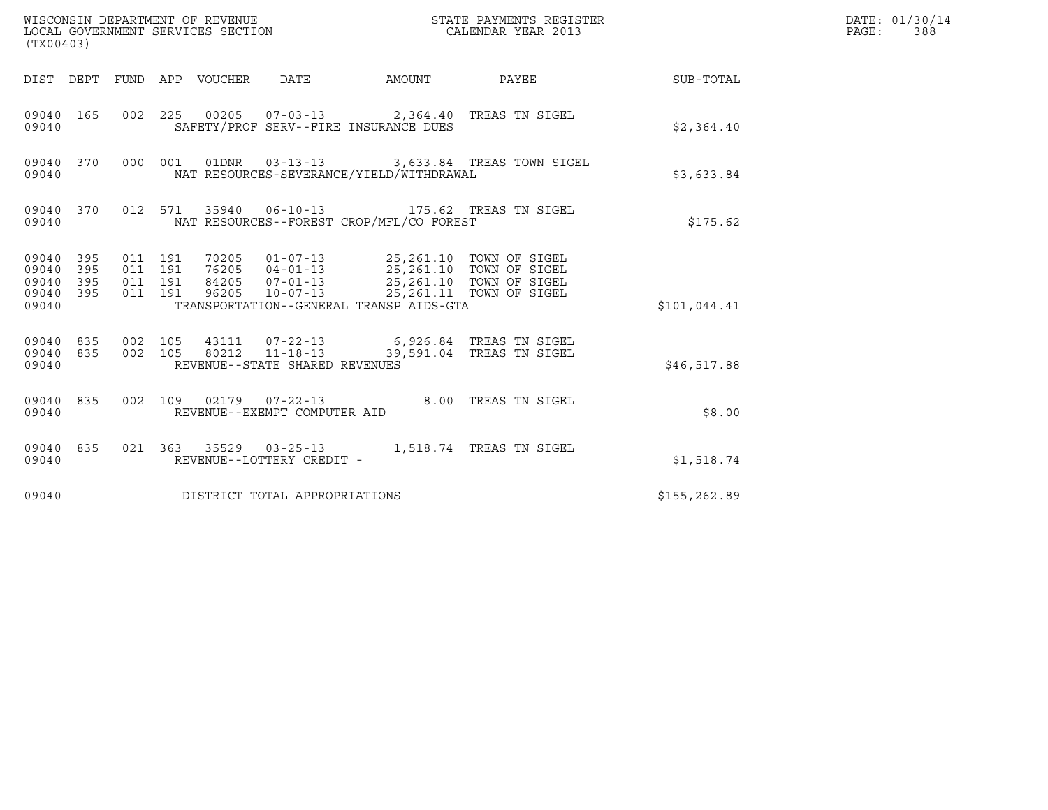| (TX00403)                                         |            |                                          |                                 |                                       |                                          | STATE PAYMENTS REGISTER                                                                                                                                                       |              | DATE: 01/30/14<br>PAGE:<br>388 |
|---------------------------------------------------|------------|------------------------------------------|---------------------------------|---------------------------------------|------------------------------------------|-------------------------------------------------------------------------------------------------------------------------------------------------------------------------------|--------------|--------------------------------|
|                                                   |            |                                          | DIST DEPT FUND APP VOUCHER DATE |                                       | AMOUNT                                   | <b>PAYEE</b> FOR THE PAYEE                                                                                                                                                    | SUB-TOTAL    |                                |
| 09040 165<br>09040                                |            |                                          |                                 | SAFETY/PROF SERV--FIRE INSURANCE DUES |                                          | 002 225 00205 07-03-13 2,364.40 TREAS TN SIGEL                                                                                                                                | \$2,364.40   |                                |
| 09040 370<br>09040                                |            |                                          |                                 |                                       | NAT RESOURCES-SEVERANCE/YIELD/WITHDRAWAL | 000 001 01DNR 03-13-13 3,633.84 TREAS TOWN SIGEL                                                                                                                              | \$3,633.84   |                                |
| 09040 370<br>09040                                |            |                                          |                                 |                                       | NAT RESOURCES--FOREST CROP/MFL/CO FOREST | 012 571 35940 06-10-13 175.62 TREAS TN SIGEL                                                                                                                                  | \$175.62     |                                |
| 09040 395<br>09040<br>09040<br>09040 395<br>09040 | 395<br>395 | 011 191<br>011 191<br>011 191<br>011 191 |                                 |                                       | TRANSPORTATION--GENERAL TRANSP AIDS-GTA  | 70205  01-07-13  25,261.10  TOWN OF SIGEL<br>76205  04-01-13  25,261.10  TOWN OF SIGEL<br>84205  07-01-13  25,261.10  TOWN OF SIGEL<br>96205 10-07-13 25,261.11 TOWN OF SIGEL | \$101,044.41 |                                |
| 09040                                             | 09040 835  |                                          |                                 | REVENUE--STATE SHARED REVENUES        |                                          | 09040 835 002 105 43111 07-22-13 6,926.84 TREAS TN SIGEL<br>002 105 80212 11-18-13 39,591.04 TREAS TN SIGEL                                                                   | \$46,517.88  |                                |
| 09040 835<br>09040                                |            |                                          |                                 | REVENUE--EXEMPT COMPUTER AID          |                                          | 002 109 02179 07-22-13 8.00 TREAS TN SIGEL                                                                                                                                    | \$8.00       |                                |
| 09040 835<br>09040                                |            |                                          |                                 | REVENUE--LOTTERY CREDIT -             |                                          | 021  363  35529  03-25-13   1,518.74  TREAS TN SIGEL                                                                                                                          | \$1,518.74   |                                |
| 09040                                             |            |                                          |                                 | DISTRICT TOTAL APPROPRIATIONS         |                                          |                                                                                                                                                                               | \$155,262.89 |                                |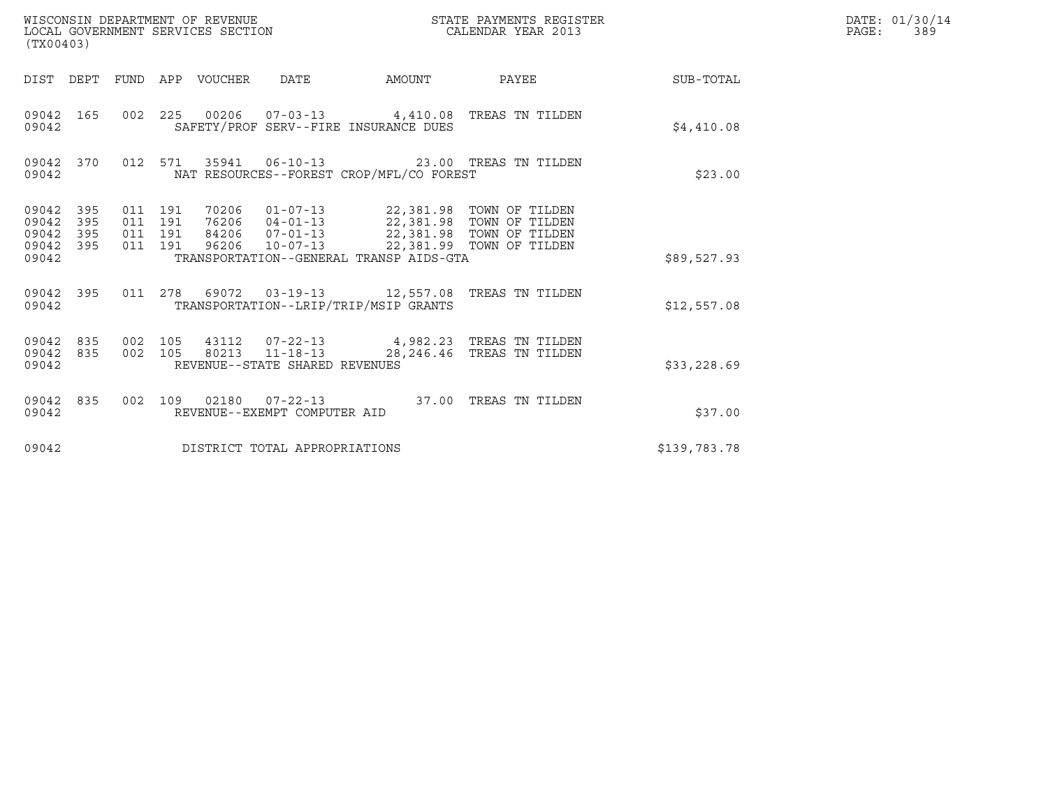| (TX00403)                                         |            |                                          | WISCONSIN DEPARTMENT OF REVENUE<br>LOCAL GOVERNMENT SERVICES SECTION |                                                          |                                                                                                                                                                                   | STATE PAYMENTS REGISTER<br>CALENDAR YEAR 2013 |              | DATE: 01/30/14<br>$\mathtt{PAGE}$ :<br>389 |
|---------------------------------------------------|------------|------------------------------------------|----------------------------------------------------------------------|----------------------------------------------------------|-----------------------------------------------------------------------------------------------------------------------------------------------------------------------------------|-----------------------------------------------|--------------|--------------------------------------------|
|                                                   |            |                                          | DIST DEPT FUND APP VOUCHER DATE                                      |                                                          | AMOUNT                                                                                                                                                                            | PAYEE                                         | SUB-TOTAL    |                                            |
| 09042 165<br>09042                                |            |                                          |                                                                      |                                                          | 002 225 00206 07-03-13 4,410.08 TREAS TN TILDEN<br>SAFETY/PROF SERV--FIRE INSURANCE DUES                                                                                          |                                               | \$4,410.08   |                                            |
| 09042 370<br>09042                                |            |                                          |                                                                      |                                                          | 012 571 35941 06-10-13 23.00 TREAS TN TILDEN<br>NAT RESOURCES--FOREST CROP/MFL/CO FOREST                                                                                          |                                               | \$23.00      |                                            |
| 09042 395<br>09042<br>09042<br>09042 395<br>09042 | 395<br>395 | 011 191<br>011 191<br>011 191<br>011 191 |                                                                      | 96206 10-07-13                                           | 70206  01-07-13  22,381.98  TOWN OF TILDEN<br>76206  04-01-13  22,381.98  TOWN OF TILDEN<br>84206  07-01-13  22,381.98  TOWN OF TILDEN<br>TRANSPORTATION--GENERAL TRANSP AIDS-GTA | 22,381.99 TOWN OF TILDEN                      | \$89,527.93  |                                            |
| 09042 395<br>09042                                |            |                                          |                                                                      |                                                          | 011  278  69072  03-19-13  12,557.08  TREAS TN TILDEN<br>TRANSPORTATION--LRIP/TRIP/MSIP GRANTS                                                                                    |                                               | \$12,557.08  |                                            |
| 09042 835 002 105<br>09042 835<br>09042           |            |                                          |                                                                      | 002 105 80213 11-18-13<br>REVENUE--STATE SHARED REVENUES | 43112  07-22-13  4,982.23  TREAS TN TILDEN                                                                                                                                        | 28,246.46 TREAS TN TILDEN                     | \$33,228.69  |                                            |
| 09042 835<br>09042                                |            |                                          |                                                                      | REVENUE--EXEMPT COMPUTER AID                             | 002 109 02180 07-22-13 37.00 TREAS TN TILDEN                                                                                                                                      |                                               | \$37.00      |                                            |
| 09042                                             |            |                                          |                                                                      | DISTRICT TOTAL APPROPRIATIONS                            |                                                                                                                                                                                   |                                               | \$139,783.78 |                                            |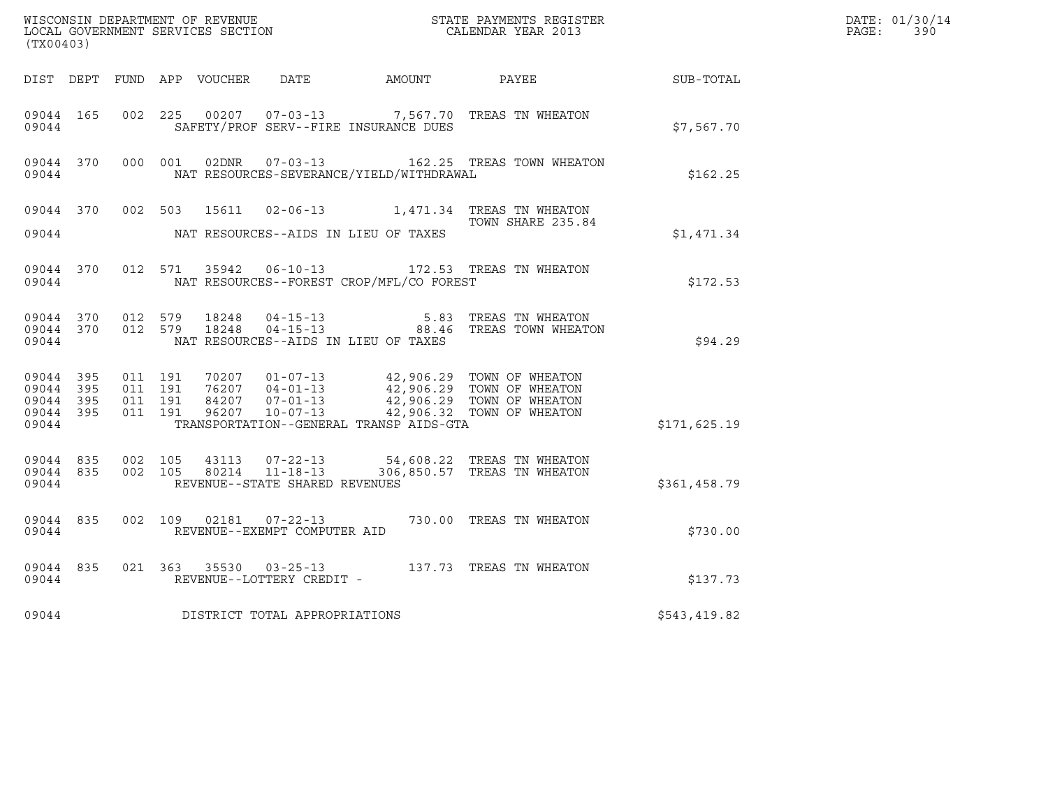| (TX00403)                       |                        |                                          |  |                                |                                              | WISCONSIN DEPARTMENT OF REVENUE<br>LOCAL GOVERNMENT SERVICES SECTION<br>CALENDAR YEAR 2013                                                                                   |              | DATE: 01/30/14<br>PAGE: 390 |
|---------------------------------|------------------------|------------------------------------------|--|--------------------------------|----------------------------------------------|------------------------------------------------------------------------------------------------------------------------------------------------------------------------------|--------------|-----------------------------|
|                                 |                        |                                          |  |                                | DIST DEPT FUND APP VOUCHER DATE AMOUNT PAYEE |                                                                                                                                                                              | SUB-TOTAL    |                             |
| 09044 165<br>09044              |                        | 002 225                                  |  |                                | SAFETY/PROF SERV--FIRE INSURANCE DUES        | 00207  07-03-13  7,567.70  TREAS TN WHEATON                                                                                                                                  | \$7,567.70   |                             |
| 09044                           |                        |                                          |  |                                | NAT RESOURCES-SEVERANCE/YIELD/WITHDRAWAL     | 09044 370 000 001 02DNR 07-03-13 162.25 TREAS TOWN WHEATON                                                                                                                   | \$162.25     |                             |
| 09044                           |                        |                                          |  |                                | NAT RESOURCES--AIDS IN LIEU OF TAXES         | 09044 370 002 503 15611 02-06-13 1,471.34 TREAS TN WHEATON<br>TOWN SHARE 235.84                                                                                              | \$1,471.34   |                             |
| 09044                           | 09044 370              |                                          |  |                                | NAT RESOURCES--FOREST CROP/MFL/CO FOREST     | 012 571 35942 06-10-13 172.53 TREAS TN WHEATON                                                                                                                               | \$172.53     |                             |
| 09044                           |                        | 09044 370 012 579<br>09044 370 012 579   |  |                                | NAT RESOURCES--AIDS IN LIEU OF TAXES         | 18248  04-15-13   5.83   TREAS TN WHEATON<br>18248  04-15-13   88.46   TREAS TOWN WHEATON                                                                                    | \$94.29      |                             |
| 09044 395<br>09044 395<br>09044 | 09044 395<br>09044 395 | 011 191<br>011 191<br>011 191<br>011 191 |  |                                | TRANSPORTATION--GENERAL TRANSP AIDS-GTA      | 70207 01-07-13 42,906.29 TOWN OF WHEATON<br>76207 04-01-13 42,906.29 TOWN OF WHEATON<br>84207 07-01-13 42,906.29 TOWN OF WHEATON<br>96207 10-07-13 42,906.32 TOWN OF WHEATON | \$171,625.19 |                             |
| 09044                           | 09044 835              | 09044 835 002 105<br>002 105             |  | REVENUE--STATE SHARED REVENUES |                                              | 43113  07-22-13  54,608.22 TREAS TN WHEATON<br>80214  11-18-13  306,850.57 TREAS TN WHEATON                                                                                  | \$361,458.79 |                             |
| 09044                           | 09044 835              |                                          |  | REVENUE--EXEMPT COMPUTER AID   |                                              | 002 109 02181 07-22-13 730.00 TREAS TN WHEATON                                                                                                                               | \$730.00     |                             |
| 09044                           | 09044 835              |                                          |  | REVENUE--LOTTERY CREDIT -      |                                              | 021 363 35530 03-25-13 137.73 TREAS TN WHEATON                                                                                                                               | \$137.73     |                             |
| 09044                           |                        |                                          |  | DISTRICT TOTAL APPROPRIATIONS  |                                              |                                                                                                                                                                              | \$543,419.82 |                             |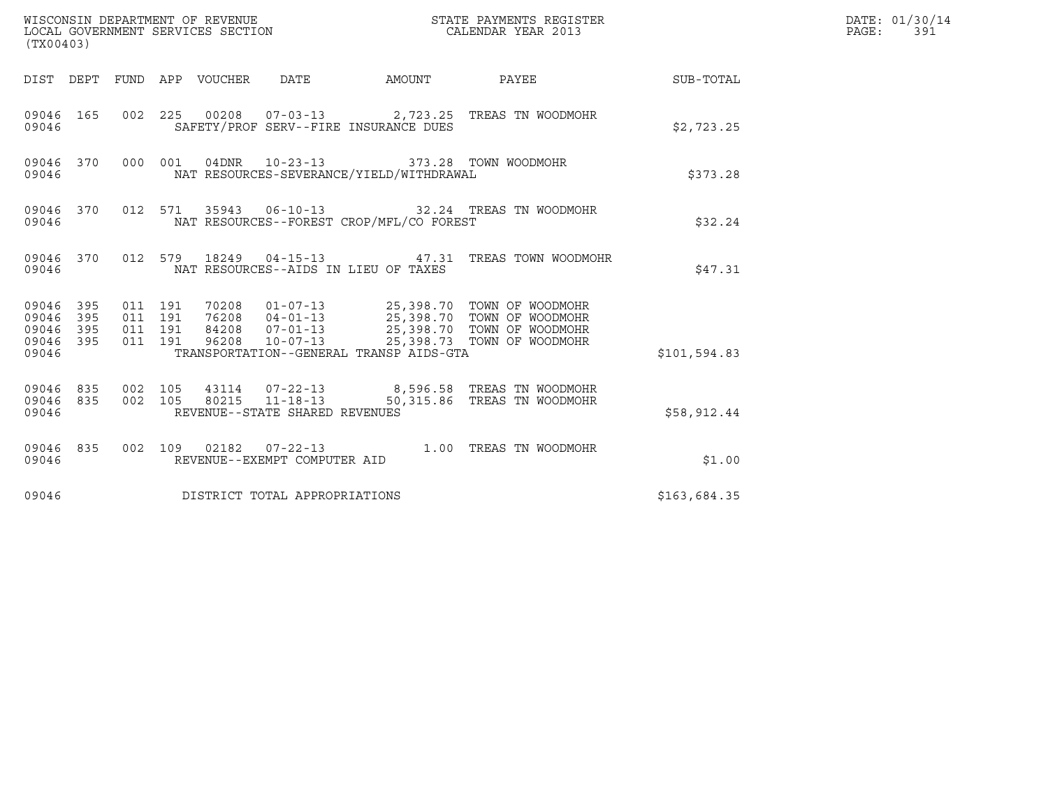| (TX00403)                                         |            |                                          |  |                                                  |                                              |                                                                                                                                                                                  |              | DATE: 01/30/14<br>$\mathtt{PAGE}$ :<br>391 |
|---------------------------------------------------|------------|------------------------------------------|--|--------------------------------------------------|----------------------------------------------|----------------------------------------------------------------------------------------------------------------------------------------------------------------------------------|--------------|--------------------------------------------|
|                                                   |            |                                          |  |                                                  | DIST DEPT FUND APP VOUCHER DATE AMOUNT PAYEE |                                                                                                                                                                                  | SUB-TOTAL    |                                            |
| 09046                                             | 09046 165  |                                          |  |                                                  | SAFETY/PROF SERV--FIRE INSURANCE DUES        | 002  225  00208  07-03-13  2,723.25  TREAS TN WOODMOHR                                                                                                                           | \$2,723.25   |                                            |
| 09046                                             | 09046 370  |                                          |  | 000 001 04DNR 10-23-13                           | NAT RESOURCES-SEVERANCE/YIELD/WITHDRAWAL     | 373.28 TOWN WOODMOHR                                                                                                                                                             | \$373.28     |                                            |
| 09046                                             | 09046 370  |                                          |  |                                                  | NAT RESOURCES--FOREST CROP/MFL/CO FOREST     | 012 571 35943 06-10-13 32.24 TREAS TN WOODMOHR                                                                                                                                   | \$32.24      |                                            |
| 09046                                             | 09046 370  |                                          |  |                                                  | NAT RESOURCES--AIDS IN LIEU OF TAXES         | 012 579 18249 04-15-13 47.31 TREAS TOWN WOODMOHR                                                                                                                                 | \$47.31      |                                            |
| 09046 395<br>09046<br>09046<br>09046 395<br>09046 | 395<br>395 | 011 191<br>011 191<br>011 191<br>011 191 |  |                                                  | TRANSPORTATION--GENERAL TRANSP AIDS-GTA      | 70208  01-07-13  25,398.70  TOWN OF WOODMOHR<br>76208 04-01-13<br>84208 07-01-13<br>96208 10-07-13<br>25,398.70 TOWN OF WOODMOHR<br>96208 10-07-13<br>25,398.73 TOWN OF WOODMOHR | \$101,594.83 |                                            |
| 09046 835<br>09046 835<br>09046                   |            | 002 105<br>002 105                       |  | 80215 11-18-13<br>REVENUE--STATE SHARED REVENUES |                                              | 43114  07-22-13  8,596.58  TREAS TN WOODMOHR<br>50,315.86 TREAS TN WOODMOHR                                                                                                      | \$58,912.44  |                                            |
| 09046                                             | 09046 835  |                                          |  | REVENUE--EXEMPT COMPUTER AID                     |                                              | 002  109  02182  07-22-13  1.00  TREAS TN WOODMOHR                                                                                                                               | \$1.00       |                                            |
| 09046                                             |            |                                          |  | DISTRICT TOTAL APPROPRIATIONS                    |                                              |                                                                                                                                                                                  | \$163,684.35 |                                            |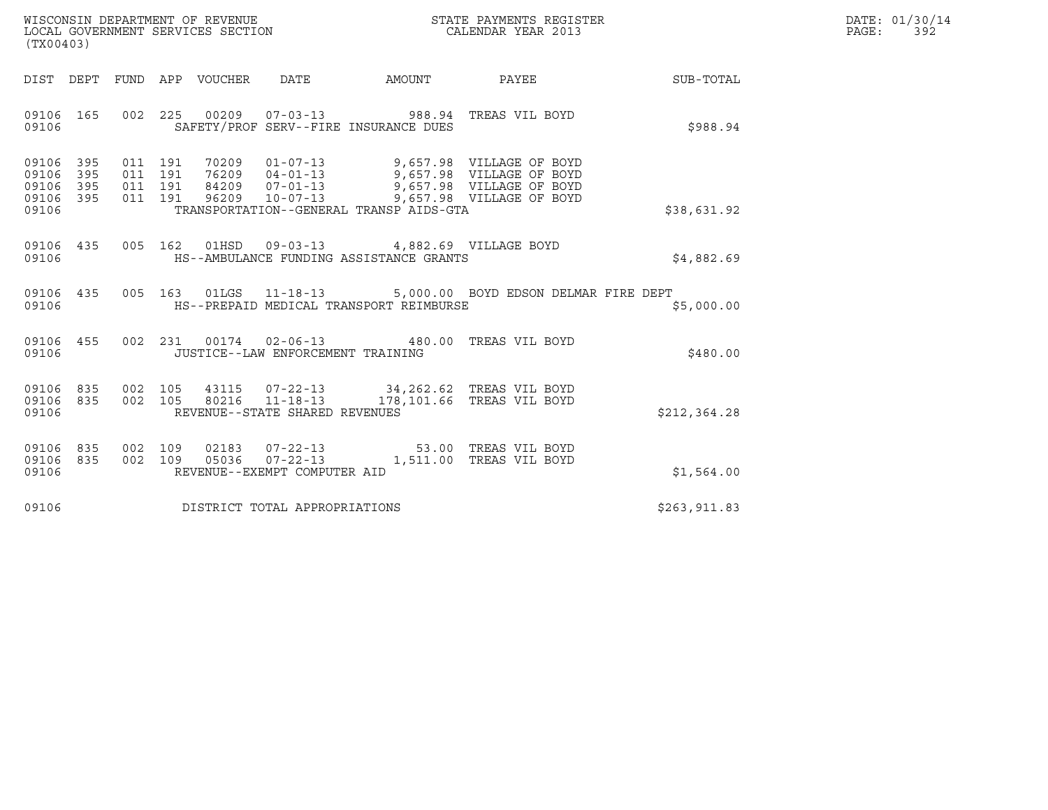| WISCONSIN DEPARTMENT OF REVENUE<br>LOCAL GOVERNMENT SERVICES SECTION | STATE PAYMENTS REGISTER<br>CALENDAR YEAR 2013 | DATE: 01/30/14<br>PAGE:<br>392 |
|----------------------------------------------------------------------|-----------------------------------------------|--------------------------------|

| (TX00403)                                                                                                                                                                                                                                                                                                       |                           |              | DATE: 01/30/14<br>PAGE:<br>392 |
|-----------------------------------------------------------------------------------------------------------------------------------------------------------------------------------------------------------------------------------------------------------------------------------------------------------------|---------------------------|--------------|--------------------------------|
| DIST DEPT FUND APP VOUCHER DATE AMOUNT PAYEE SUB-TOTAL                                                                                                                                                                                                                                                          |                           |              |                                |
| 002  225  00209  07-03-13  988.94  TREAS  VIL BOYD<br>09106 165<br>SAFETY/PROF SERV--FIRE INSURANCE DUES<br>09106                                                                                                                                                                                               |                           | \$988.94     |                                |
| 09106 395<br>011 191 70209 01-07-13 9,657.98 VILLAGEOFBOYD<br>011 191 76209 04-01-13 9,657.98 VILLAGEOFBOYD<br>09106 395<br>011 191 84209 07-01-13 9,657.98 VILLAGE OF BOYD<br>011 191 96209 10-07-13 9,657.98 VILLAGE OF BOYD<br>09106<br>395<br>09106 395<br>TRANSPORTATION--GENERAL TRANSP AIDS-GTA<br>09106 |                           | \$38,631.92  |                                |
| 09106 435 005 162 01HSD 09-03-13 4,882.69 VILLAGE BOYD<br>HS--AMBULANCE FUNDING ASSISTANCE GRANTS<br>09106                                                                                                                                                                                                      |                           | \$4,882.69   |                                |
| 09106 435 005 163 01LGS 11-18-13 5,000.00 BOYD EDSON DELMAR FIRE DEPT<br>09106<br>HS--PREPAID MEDICAL TRANSPORT REIMBURSE                                                                                                                                                                                       |                           | \$5,000.00   |                                |
| 002 231 00174 02-06-13 480.00 TREAS VIL BOYD<br>09106 455<br>JUSTICE--LAW ENFORCEMENT TRAINING<br>09106                                                                                                                                                                                                         |                           | \$480.00     |                                |
| 002 105 43115 07-22-13 34,262.62 TREAS VIL BOYD<br>09106 835<br>09106 835<br>002 105 80216 11-18-13<br>09106<br>REVENUE--STATE SHARED REVENUES                                                                                                                                                                  | 178,101.66 TREAS VIL BOYD | \$212,364.28 |                                |
| 002 109 02183 07-22-13 53.00 TREAS VIL BOYD<br>002 109 05036 07-22-13 1,511.00 TREAS VIL BOYD<br>09106 835<br>09106 835<br>REVENUE--EXEMPT COMPUTER AID<br>09106                                                                                                                                                |                           | \$1,564.00   |                                |
| 09106 DISTRICT TOTAL APPROPRIATIONS                                                                                                                                                                                                                                                                             |                           | \$263,911.83 |                                |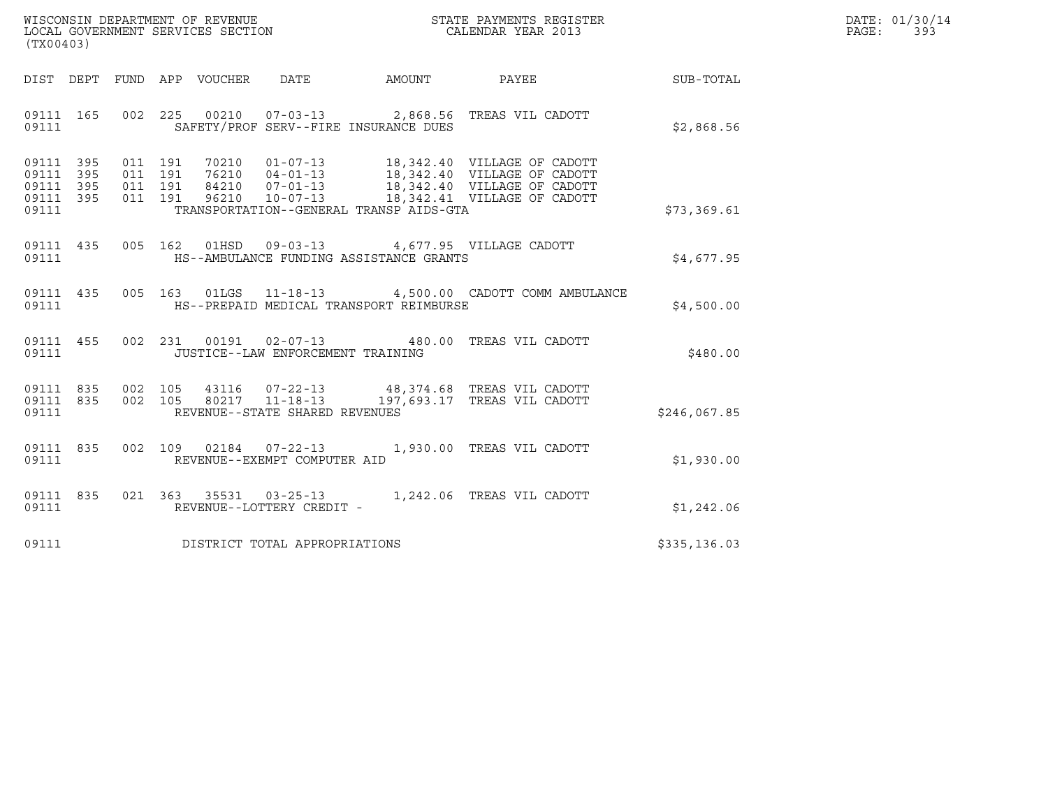| WISCONSIN DEPARTMENT OF REVENUE   | STATE PAYMENTS REGISTER | DATE: 01/30/14 |
|-----------------------------------|-------------------------|----------------|
| LOCAL GOVERNMENT SERVICES SECTION | CALENDAR YEAR 2013      | PAGE :<br>39.  |

| WISCONSIN DEPARTMENT OF REVENUE<br>LOCAL GOVERNMENT SERVICES SECTION<br>CALENDAR YEAR 2013<br>(TX00403)                                                                                                                                         |                                                                                                                                                                                                                                                                                                                                               |              | DATE: 01/30/14<br>PAGE:<br>393 |
|-------------------------------------------------------------------------------------------------------------------------------------------------------------------------------------------------------------------------------------------------|-----------------------------------------------------------------------------------------------------------------------------------------------------------------------------------------------------------------------------------------------------------------------------------------------------------------------------------------------|--------------|--------------------------------|
| DIST DEPT FUND APP VOUCHER DATE AMOUNT PAYEE PAYER SUB-TOTAL                                                                                                                                                                                    |                                                                                                                                                                                                                                                                                                                                               |              |                                |
| 09111 165 002 225 00210 07-03-13 2,868.56 TREAS VIL CADOTT<br>09111                                                                                                                                                                             | SAFETY/PROF SERV--FIRE INSURANCE DUES                                                                                                                                                                                                                                                                                                         | \$2,868.56   |                                |
| 09111 395<br>09111 395<br>09111 395<br>09111 395<br>09111                                                                                                                                                                                       | $\begin{tabular}{cccc} 011 & 191 & 70210 & 01-07-13 & 18,342.40 & VILLAGE OF CADOTT \\ 011 & 191 & 76210 & 04-01-13 & 18,342.40 & VILLAGE OF CADOTT \\ 011 & 191 & 84210 & 07-01-13 & 18,342.40 & VILLAGE OF CADOTT \\ 011 & 191 & 96210 & 10-07-13 & 18,342.41 & VILLAGE OF CADOTT \end{tabular}$<br>TRANSPORTATION--GENERAL TRANSP AIDS-GTA | \$73,369.61  |                                |
| 09111 435 005 162 01HSD 09-03-13 4,677.95 VILLAGE CADOTT                                                                                                                                                                                        |                                                                                                                                                                                                                                                                                                                                               | \$4,677.95   |                                |
| 09111 435 005 163 01LGS 11-18-13 4,500.00 CADOTT COMM AMBULANCE<br>09111 HS--PREPAID MEDICAL TRANSPORT REIMBURSE                                                                                                                                |                                                                                                                                                                                                                                                                                                                                               | \$4,500.00   |                                |
| 09111 455 002 231 00191 02-07-13 480.00 TREAS VIL CADOTT<br>09111 JUSTICE--LAW ENFORCEMENT TRAINING                                                                                                                                             |                                                                                                                                                                                                                                                                                                                                               | \$480.00     |                                |
| $\begin{array}{cccc} 09111 & 835 & 002 & 105 & 43116 & 07-22-13 & 48,374.68 & \text{TREAS VIL CADOTT} \\ 09111 & 835 & 002 & 105 & 80217 & 11-18-13 & 197,693.17 & \text{TREAS VIL CADOTT} \end{array}$<br>09111 REVENUE--STATE SHARED REVENUES |                                                                                                                                                                                                                                                                                                                                               | \$246,067.85 |                                |
| 09111 835 002 109 02184 07-22-13 1,930.00 TREAS VIL CADOTT<br>09111 REVENUE--EXEMPT COMPUTER AID                                                                                                                                                |                                                                                                                                                                                                                                                                                                                                               | \$1,930.00   |                                |
| 09111 835 021 363 35531 03-25-13 1,242.06 TREAS VIL CADOTT<br>09111 REVENUE--LOTTERY CREDIT -                                                                                                                                                   |                                                                                                                                                                                                                                                                                                                                               | \$1,242.06   |                                |
| 09111 DISTRICT TOTAL APPROPRIATIONS                                                                                                                                                                                                             |                                                                                                                                                                                                                                                                                                                                               | \$335,136.03 |                                |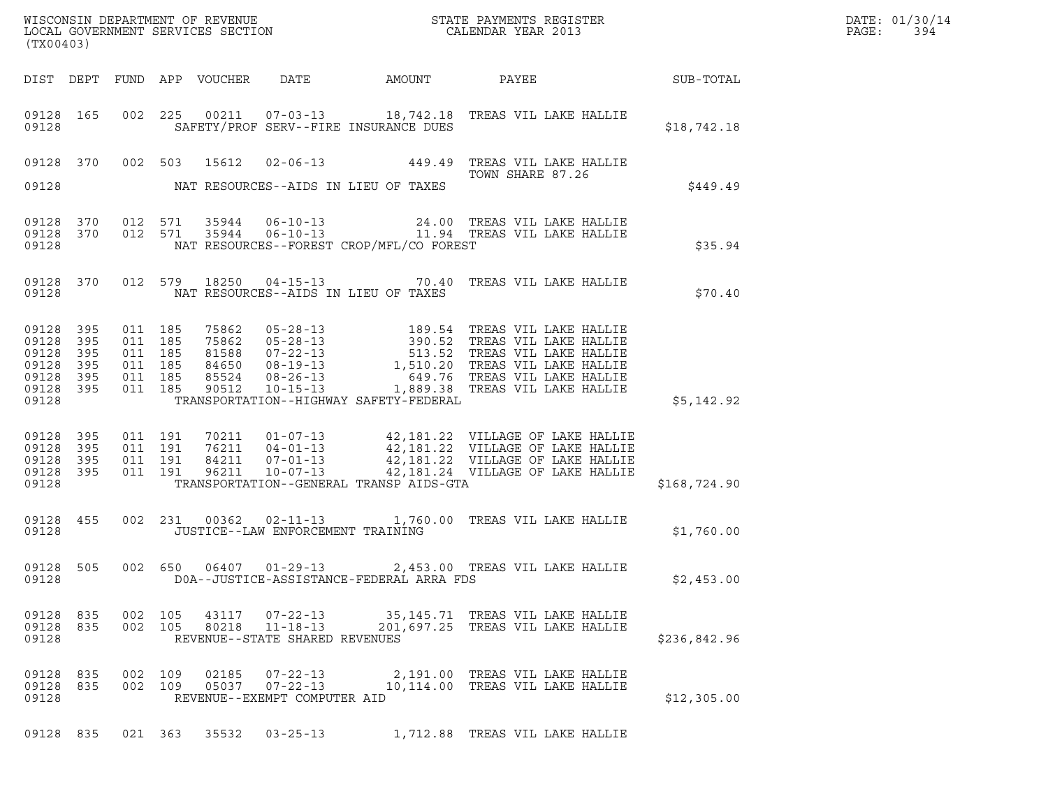| (TX00403)                                                           |                          |                                                                |                    |               |                                   |                                          |                                                                                                                                                                                                                                        |              | DATE: 01/30/14<br>PAGE:<br>394 |
|---------------------------------------------------------------------|--------------------------|----------------------------------------------------------------|--------------------|---------------|-----------------------------------|------------------------------------------|----------------------------------------------------------------------------------------------------------------------------------------------------------------------------------------------------------------------------------------|--------------|--------------------------------|
|                                                                     |                          |                                                                |                    |               |                                   |                                          | DIST DEPT FUND APP VOUCHER DATE AMOUNT PAYEE SUB-TOTAL                                                                                                                                                                                 |              |                                |
| 09128                                                               |                          |                                                                |                    |               |                                   | SAFETY/PROF SERV--FIRE INSURANCE DUES    | 09128 165 002 225 00211 07-03-13 18,742.18 TREAS VIL LAKE HALLIE                                                                                                                                                                       | \$18,742.18  |                                |
|                                                                     |                          |                                                                |                    |               |                                   |                                          | 09128 370 002 503 15612 02-06-13 449.49 TREAS VIL LAKE HALLIE                                                                                                                                                                          |              |                                |
| 09128                                                               |                          |                                                                |                    |               |                                   | NAT RESOURCES--AIDS IN LIEU OF TAXES     |                                                                                                                                                                                                                                        | \$449.49     |                                |
| 09128                                                               |                          |                                                                |                    |               |                                   | NAT RESOURCES--FOREST CROP/MFL/CO FOREST | 09128 370 012 571 35944 06-10-13 24.00 TREAS VIL LAKE HALLIE<br>09128 370 012 571 35944 06-10-13 11.94 TREAS VIL LAKE HALLIE                                                                                                           | \$35.94      |                                |
| 09128                                                               |                          |                                                                |                    |               |                                   | NAT RESOURCES--AIDS IN LIEU OF TAXES     | 09128 370 012 579 18250 04-15-13 70.40 TREAS VIL LAKE HALLIE                                                                                                                                                                           | \$70.40      |                                |
| 09128 395<br>09128<br>09128<br>09128<br>09128<br>09128 395<br>09128 | 395<br>395<br>395<br>395 | 011 185<br>011 185<br>011 185<br>011 185<br>011 185<br>011 185 |                    |               |                                   | TRANSPORTATION--HIGHWAY SAFETY-FEDERAL   | 75862 05-28-13 189.54 TREAS VIL LAKE HALLIE<br>75862 05-28-13 390.52 TREAS VIL LAKE HALLIE<br>81588 07-22-13 513.52 TREAS VIL LAKE HALLIE<br>84650 08-19-13 1,510.20 TREAS VIL LAKE HALLIE<br>85524 08-26-13 1,889.38 TREAS VIL LAKE H | \$5,142.92   |                                |
| 09128 395<br>09128 395<br>09128<br>09128 395<br>09128               | 395                      | 011 191<br>011 191                                             | 011 191<br>011 191 |               |                                   | TRANSPORTATION--GENERAL TRANSP AIDS-GTA  | 70211  01-07-13  42,181.22  VILLAGE OF LAKE HALLIE<br>76211  04-01-13  42,181.22  VILLAGE OF LAKE HALLIE<br>84211  07-01-13  42,181.22  VILLAGE OF LAKE HALLIE<br>96211  10-07-13  42,181.24  VILLAGE OF LAKE HALLIE                   | \$168,724.90 |                                |
| 09128                                                               |                          |                                                                |                    |               | JUSTICE--LAW ENFORCEMENT TRAINING |                                          | 09128 455 002 231 00362 02-11-13 1,760.00 TREAS VIL LAKE HALLIE                                                                                                                                                                        | \$1,760.00   |                                |
| 09128                                                               |                          |                                                                |                    |               |                                   | DOA--JUSTICE-ASSISTANCE-FEDERAL ARRA FDS | 09128 505 002 650 06407 01-29-13 2,453.00 TREAS VIL LAKE HALLIE                                                                                                                                                                        | \$2,453.00   |                                |
| 09128 835 002 105<br>09128 835<br>09128                             |                          | 002 105                                                        |                    |               | REVENUE--STATE SHARED REVENUES    |                                          | 43117 07-22-13 35,145.71 TREAS VIL LAKE HALLIE<br>80218  11-18-13  201,697.25  TREAS VIL LAKE HALLIE                                                                                                                                   | \$236,842.96 |                                |
| 09128 835<br>09128 835<br>09128                                     |                          | 002 109                                                        | 002 109            | 02185         | REVENUE--EXEMPT COMPUTER AID      |                                          | 07-22-13 2,191.00 TREAS VIL LAKE HALLIE                                                                                                                                                                                                | \$12,305.00  |                                |
| 09128 835                                                           |                          |                                                                |                    | 021 363 35532 | $03 - 25 - 13$                    |                                          | 1,712.88 TREAS VIL LAKE HALLIE                                                                                                                                                                                                         |              |                                |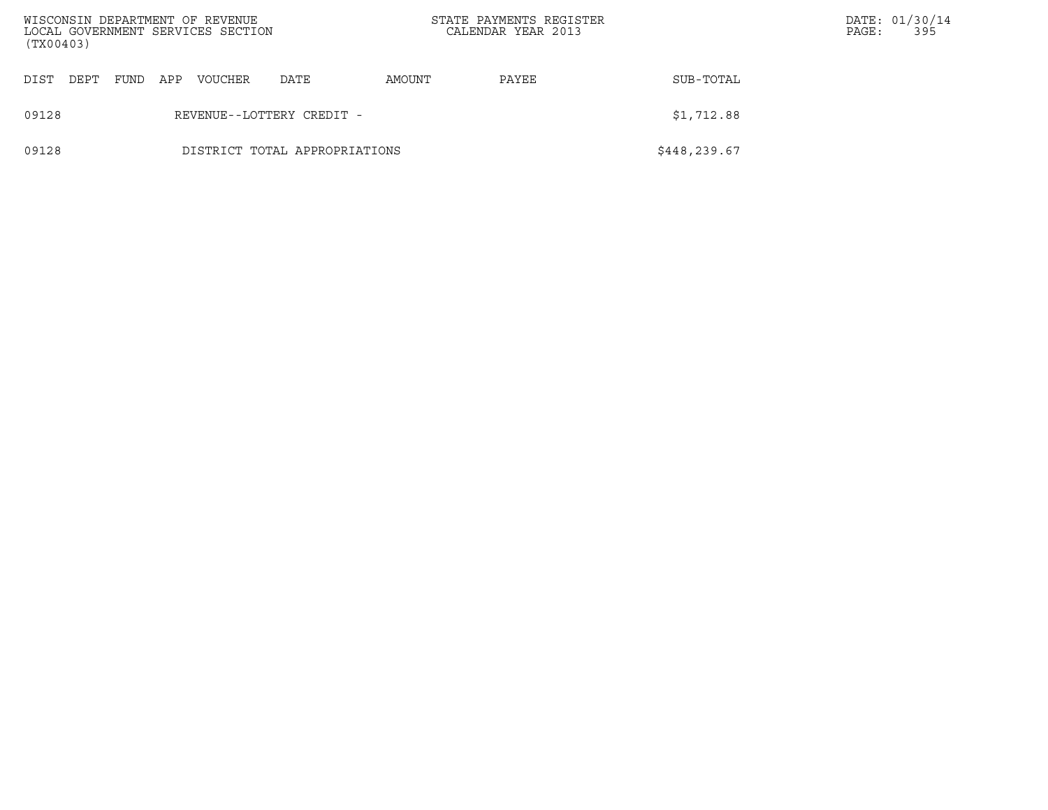| (TX00403) |      |      |     | WISCONSIN DEPARTMENT OF REVENUE<br>LOCAL GOVERNMENT SERVICES SECTION |                               | STATE PAYMENTS REGISTER<br>CALENDAR YEAR 2013 |       |              | PAGE: | DATE: 01/30/14<br>395 |
|-----------|------|------|-----|----------------------------------------------------------------------|-------------------------------|-----------------------------------------------|-------|--------------|-------|-----------------------|
| DIST      | DEPT | FUND | APP | <b>VOUCHER</b>                                                       | DATE                          | AMOUNT                                        | PAYEE | SUB-TOTAL    |       |                       |
| 09128     |      |      |     |                                                                      | REVENUE--LOTTERY CREDIT -     |                                               |       | \$1,712.88   |       |                       |
| 09128     |      |      |     |                                                                      | DISTRICT TOTAL APPROPRIATIONS |                                               |       | \$448,239.67 |       |                       |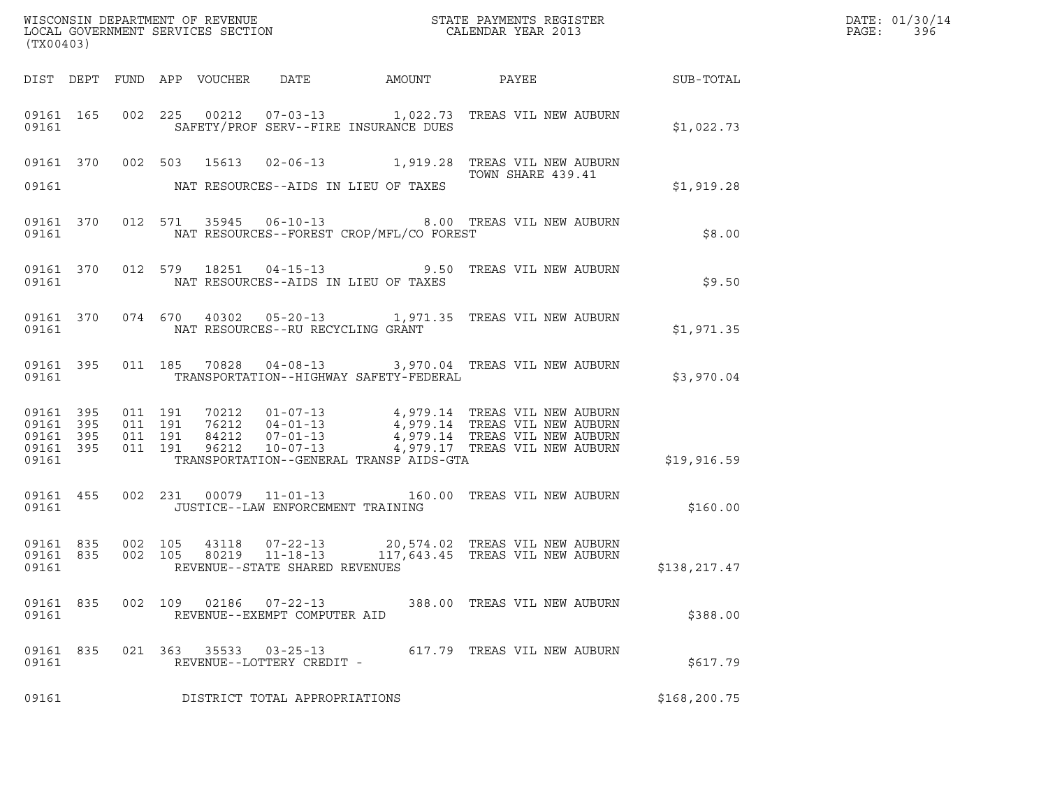| (TX00403)          |         |         |       |                                             |                                                                                 |                                                                                                                                                                                                                                                                                                                              |               |  |
|--------------------|---------|---------|-------|---------------------------------------------|---------------------------------------------------------------------------------|------------------------------------------------------------------------------------------------------------------------------------------------------------------------------------------------------------------------------------------------------------------------------------------------------------------------------|---------------|--|
|                    |         |         |       |                                             |                                                                                 |                                                                                                                                                                                                                                                                                                                              |               |  |
|                    |         |         |       |                                             | 09161 SAFETY/PROF SERV--FIRE INSURANCE DUES                                     | 09161 165 002 225 00212 07-03-13 1,022.73 TREAS VIL NEW AUBURN                                                                                                                                                                                                                                                               | \$1,022.73    |  |
|                    |         |         |       |                                             | a sa taon an t-aisean.<br>Tantara<br>09161 NAT RESOURCES--AIDS IN LIEU OF TAXES | 09161 370 002 503 15613 02-06-13 1,919.28 TREAS VIL NEW AUBURN<br>TOWN SHARE 439.41                                                                                                                                                                                                                                          | \$1,919.28    |  |
|                    |         |         |       |                                             | 09161    WAT RESOURCES--FOREST CROP/MFL/CO FOREST                               | 09161 370 012 571 35945 06-10-13 8.00 TREAS VIL NEW AUBURN                                                                                                                                                                                                                                                                   | \$8.00        |  |
|                    |         |         |       |                                             |                                                                                 | 09161 370 012 579 18251 04-15-13 9.50 TREAS VIL NEW AUBURN                                                                                                                                                                                                                                                                   | \$9.50        |  |
|                    |         |         |       |                                             |                                                                                 | 09161 370 074 670 40302 05-20-13 1,971.35 TREAS VIL NEW AUBURN                                                                                                                                                                                                                                                               | \$1,971.35    |  |
|                    |         |         |       |                                             | 09161 TRANSPORTATION--HIGHWAY SAFETY-FEDERAL                                    | 09161 395 011 185 70828 04-08-13 3,970.04 TREAS VIL NEW AUBURN                                                                                                                                                                                                                                                               | \$3,970.04    |  |
| 09161              |         |         |       |                                             | TRANSPORTATION--GENERAL TRANSP AIDS-GTA                                         | $\begin{array}{cccccccc} 09161 & 395 & 011 & 191 & 70212 & 01-07-13 & & 4\,, 979.14 & \text{TREAS VIL NEW AUBURN} \\ 09161 & 395 & 011 & 191 & 76212 & 04-01-13 & & 4\,, 979.14 & \text{TREAS VIL NEW AUBURN} \\ 09161 & 395 & 011 & 191 & 84212 & 07-01-13 & & 4\,, 979.14 & \text{TREAS VIL NEW AUBURN} \\ 09161 & 395 & $ | \$19,916.59   |  |
|                    |         |         |       | 09161    UUSTICE--LAW ENFORCEMENT TRAINING  |                                                                                 | 09161 455 002 231 00079 11-01-13 160.00 TREAS VIL NEW AUBURN                                                                                                                                                                                                                                                                 | \$160.00      |  |
|                    |         |         |       | 09161 REVENUE--STATE SHARED REVENUES        |                                                                                 | 09161 835 002 105 43118 07-22-13 20,574.02 TREAS VIL NEW AUBURN 09161 835 002 105 80219 11-18-13 117,643.45 TREAS VIL NEW AUBURN                                                                                                                                                                                             | \$138,217.47  |  |
| 09161 835<br>09161 | 002 109 |         | 02186 | 07-22-13<br>REVENUE--EXEMPT COMPUTER AID    |                                                                                 | 388.00 TREAS VIL NEW AUBURN                                                                                                                                                                                                                                                                                                  | \$388.00      |  |
| 09161 835<br>09161 |         | 021 363 | 35533 | $03 - 25 - 13$<br>REVENUE--LOTTERY CREDIT - |                                                                                 | 617.79 TREAS VIL NEW AUBURN                                                                                                                                                                                                                                                                                                  | \$617.79      |  |
| 09161              |         |         |       | DISTRICT TOTAL APPROPRIATIONS               |                                                                                 |                                                                                                                                                                                                                                                                                                                              | \$168, 200.75 |  |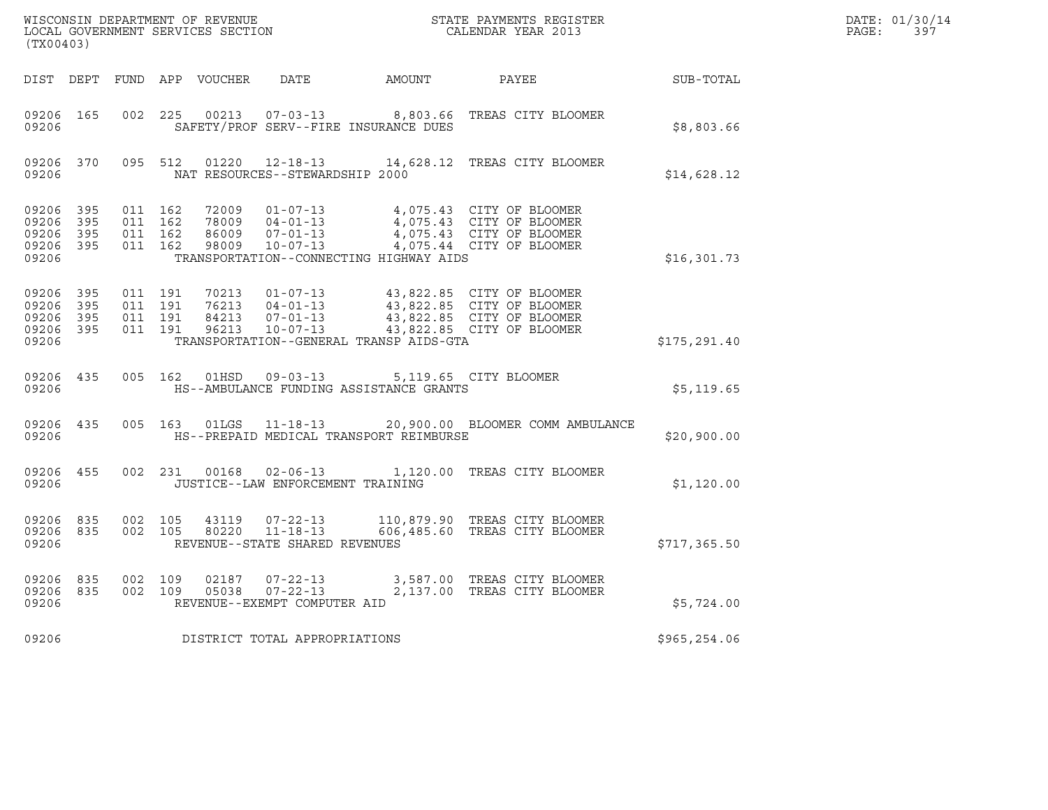| WISCONSIN DEPARTMENT OF REVENUE<br>LOCAL GOVERNMENT SERVICES SECTION<br>(TX00403) |            |                                          |         |                |                                                                                              | STATE PAYMENTS REGISTER<br>CALENDAR YEAR 2013                                                                                                                                            |               | DATE: 01/30/14<br>$\mathtt{PAGE:}$<br>397 |
|-----------------------------------------------------------------------------------|------------|------------------------------------------|---------|----------------|----------------------------------------------------------------------------------------------|------------------------------------------------------------------------------------------------------------------------------------------------------------------------------------------|---------------|-------------------------------------------|
|                                                                                   |            |                                          |         |                |                                                                                              | DIST DEPT FUND APP VOUCHER DATE AMOUNT PAYEE                                                                                                                                             | SUB-TOTAL     |                                           |
| 09206 165<br>09206                                                                |            | 002 225                                  |         |                | SAFETY/PROF SERV--FIRE INSURANCE DUES                                                        | 00213  07-03-13  8,803.66  TREAS CITY BLOOMER                                                                                                                                            | \$8,803.66    |                                           |
| 09206 370<br>09206                                                                |            |                                          | 095 512 |                | NAT RESOURCES--STEWARDSHIP 2000                                                              | 01220  12-18-13  14,628.12  TREAS CITY BLOOMER                                                                                                                                           | \$14,628.12   |                                           |
| 09206 395<br>09206<br>09206<br>09206 395<br>09206                                 | 395<br>395 | 011 162<br>011 162<br>011 162<br>011 162 |         | 72009<br>98009 | 78009  04-01-13<br>86009  07-01-13<br>TRANSPORTATION--CONNECTING HIGHWAY AIDS                | 01-07-13 4,075.43 CITY OF BLOOMER<br>04-01-13   4,075.43   CITY OF BLOOMER<br>07-01-13   4,075.43   CITY OF BLOOMER<br>10-07-13   4,075.44   CITY OF BLOOMER                             | \$16,301.73   |                                           |
| 09206 395<br>09206<br>09206<br>09206 395<br>09206                                 | 395<br>395 | 011 191<br>011 191<br>011 191<br>011 191 |         |                | TRANSPORTATION--GENERAL TRANSP AIDS-GTA                                                      | 10213  01-07-13  43,822.85  CITY OF BLOOMER<br>76213  04-01-13  43,822.85  CITY OF BLOOMER<br>84213  07-01-13  43,822.85  CITY OF BLOOMER<br>96213  10-07-13  43,822.85  CITY OF BLOOMER | \$175, 291.40 |                                           |
| 09206 435<br>09206                                                                |            |                                          |         |                | 005  162  01HSD  09-03-13  5,119.65  CITY BLOOMER<br>HS--AMBULANCE FUNDING ASSISTANCE GRANTS |                                                                                                                                                                                          | \$5,119.65    |                                           |
| 09206 435<br>09206                                                                |            |                                          |         | 005 163 01LGS  | HS--PREPAID MEDICAL TRANSPORT REIMBURSE                                                      | 11-18-13 20,900.00 BLOOMER COMM AMBULANCE                                                                                                                                                | \$20,900.00   |                                           |
| 09206 455<br>09206                                                                |            |                                          |         |                | JUSTICE--LAW ENFORCEMENT TRAINING                                                            | 002 231 00168 02-06-13 1,120.00 TREAS CITY BLOOMER                                                                                                                                       | \$1,120.00    |                                           |
| 09206 835<br>09206 835<br>09206                                                   |            | 002 105<br>002 105                       |         | 43119          | 07-22-13<br>80220 11-18-13<br>REVENUE--STATE SHARED REVENUES                                 | 110,879.90 TREAS CITY BLOOMER<br>606,485.60 TREAS CITY BLOOMER                                                                                                                           | \$717,365.50  |                                           |
| 09206 835<br>09206 835<br>09206                                                   |            | 002 109<br>002 109                       |         | 02187<br>05038 | REVENUE--EXEMPT COMPUTER AID                                                                 | 07-22-13 3,587.00 TREAS CITY BLOOMER<br>07-22-13 2,137.00 TREAS CITY BLOOMER                                                                                                             | \$5,724.00    |                                           |
| 09206                                                                             |            |                                          |         |                | DISTRICT TOTAL APPROPRIATIONS                                                                |                                                                                                                                                                                          | \$965,254.06  |                                           |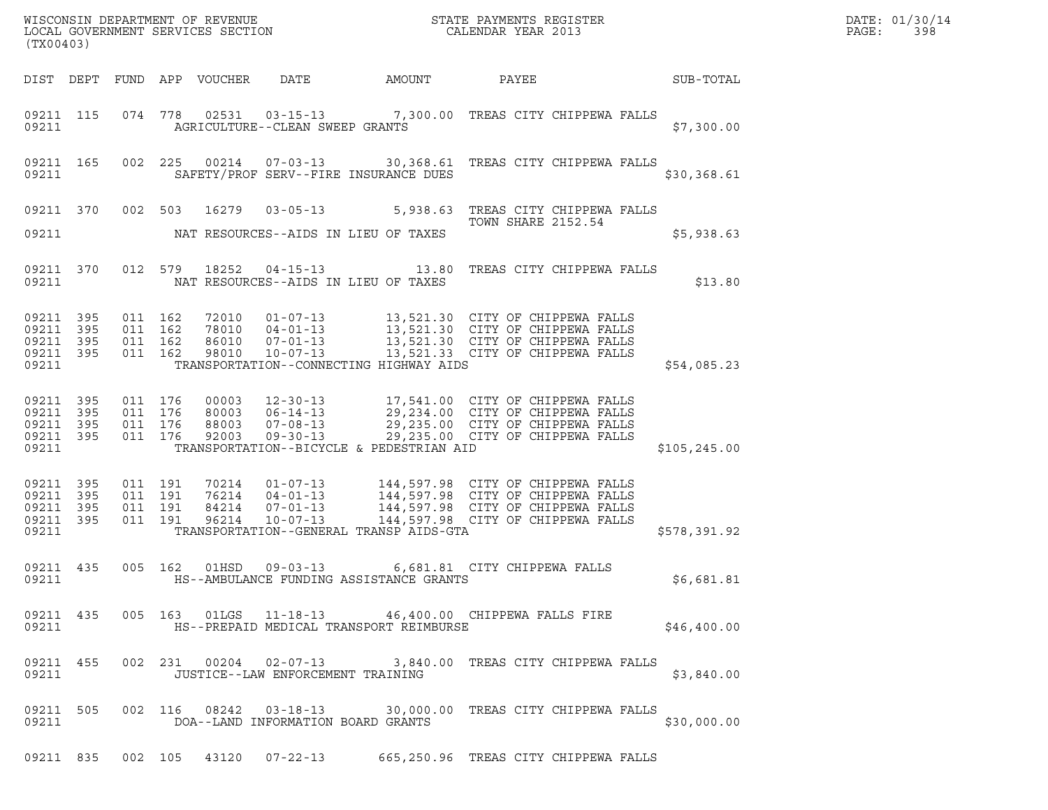| DATE: | 01/30/14 |
|-------|----------|
| PAGE: | 398      |

| % WISCONSIN DEPARTMENT OF REVENUE $$\tt STATE$ PAYMENTS REGISTER LOCAL GOVERNMENT SERVICES SECTION $$\tt CALENDAR$ YEAR 2013<br>(TX00403) |           |                               |         |                            |                                   |                                          |                                                                                                                                                                                                                                                                                        |                  | DATE: 01/30/14<br>PAGE:<br>398 |
|-------------------------------------------------------------------------------------------------------------------------------------------|-----------|-------------------------------|---------|----------------------------|-----------------------------------|------------------------------------------|----------------------------------------------------------------------------------------------------------------------------------------------------------------------------------------------------------------------------------------------------------------------------------------|------------------|--------------------------------|
|                                                                                                                                           |           |                               |         | DIST DEPT FUND APP VOUCHER | DATE                              | AMOUNT                                   | PAYEE                                                                                                                                                                                                                                                                                  | <b>SUB-TOTAL</b> |                                |
| 09211                                                                                                                                     | 09211 115 |                               |         |                            | AGRICULTURE--CLEAN SWEEP GRANTS   |                                          | 074 778 02531 03-15-13 7,300.00 TREAS CITY CHIPPEWA FALLS                                                                                                                                                                                                                              | \$7,300.00       |                                |
| 09211                                                                                                                                     | 09211 165 |                               |         |                            |                                   | SAFETY/PROF SERV--FIRE INSURANCE DUES    | 002 225 00214 07-03-13 30,368.61 TREAS CITY CHIPPEWA FALLS                                                                                                                                                                                                                             | \$30,368.61      |                                |
|                                                                                                                                           |           |                               |         | 09211 370 002 503 16279    |                                   |                                          | 03-05-13 5,938.63 TREAS CITY CHIPPEWA FALLS<br><b>TOWN SHARE 2152.54</b>                                                                                                                                                                                                               |                  |                                |
| 09211                                                                                                                                     |           |                               |         |                            |                                   | NAT RESOURCES--AIDS IN LIEU OF TAXES     |                                                                                                                                                                                                                                                                                        | \$5,938.63       |                                |
| 09211                                                                                                                                     | 09211 370 |                               |         |                            |                                   | NAT RESOURCES--AIDS IN LIEU OF TAXES     | 012 579 18252 04-15-13 13.80 TREAS CITY CHIPPEWA FALLS                                                                                                                                                                                                                                 | \$13.80          |                                |
| 09211 395<br>09211 395<br>09211 395<br>09211 395<br>09211                                                                                 |           | 011 162<br>011 162<br>011 162 | 011 162 |                            |                                   | TRANSPORTATION--CONNECTING HIGHWAY AIDS  | 72010  01-07-13  13,521.30  CITY OF CHIPPEWA FALLS<br>78010  04-01-13  13,521.30  CITY OF CHIPPEWA FALLS<br>86010  07-01-13  13,521.30  CITY OF CHIPPEWA FALLS<br>98010  10-07-13  13,521.33  CITY OF CHIPPEWA FALLS                                                                   | \$54,085.23      |                                |
| 09211 395<br>09211 395<br>09211 395<br>09211 395<br>09211                                                                                 |           | 011 176<br>011 176<br>011 176 | 011 176 |                            |                                   | TRANSPORTATION--BICYCLE & PEDESTRIAN AID | 00003 12-30-13 17,541.00 CITY OF CHIPPEWA FALLS<br>80003 06-14-13 29,234.00 CITY OF CHIPPEWA FALLS<br>88003 07-08-13 29,235.00 CITY OF CHIPPEWA FALLS<br>92003 09-30-13 29,235.00 CITY OF CHIPPEWA FALLS                                                                               | \$105, 245.00    |                                |
| 09211 395<br>09211 395<br>09211 395<br>09211 395<br>09211                                                                                 |           | 011 191<br>011 191<br>011 191 | 011 191 |                            |                                   | TRANSPORTATION--GENERAL TRANSP AIDS-GTA  | $\begin{tabular}{lllllllllllll} 70214 & 01-07-13 & 144,597.98 & CITY OF CHIPPEWA FALLS \\ 76214 & 04-01-13 & 144,597.98 & CITY OF CHIPPEWA FALLS \\ 84214 & 07-01-13 & 144,597.98 & CITY OF CHIPPEWA FALLS \\ 96214 & 10-07-13 & 144,597.98 & CITY OF CHIPPEWA FALLS \\ \end{tabular}$ | \$578,391.92     |                                |
| 09211 435<br>09211                                                                                                                        |           | 005 162                       |         | 01HSD                      | $09 - 03 - 13$                    | HS--AMBULANCE FUNDING ASSISTANCE GRANTS  | 6,681.81 CITY CHIPPEWA FALLS                                                                                                                                                                                                                                                           | \$6,681.81       |                                |
| 09211                                                                                                                                     |           |                               |         |                            |                                   | HS--PREPAID MEDICAL TRANSPORT REIMBURSE  | 09211 435 005 163 01LGS 11-18-13 46,400.00 CHIPPEWA FALLS FIRE                                                                                                                                                                                                                         | \$46,400.00      |                                |
| 09211                                                                                                                                     |           |                               |         |                            | JUSTICE--LAW ENFORCEMENT TRAINING |                                          | 09211 455 002 231 00204 02-07-13 3,840.00 TREAS CITY CHIPPEWA FALLS                                                                                                                                                                                                                    | \$3,840.00       |                                |
| 09211                                                                                                                                     |           |                               |         |                            |                                   | DOA--LAND INFORMATION BOARD GRANTS       | 09211 505 002 116 08242 03-18-13 30,000.00 TREAS CITY CHIPPEWA FALLS                                                                                                                                                                                                                   | \$30,000.00      |                                |
|                                                                                                                                           |           |                               |         |                            |                                   |                                          | 09211 835 002 105 43120 07-22-13 665,250.96 TREAS CITY CHIPPEWA FALLS                                                                                                                                                                                                                  |                  |                                |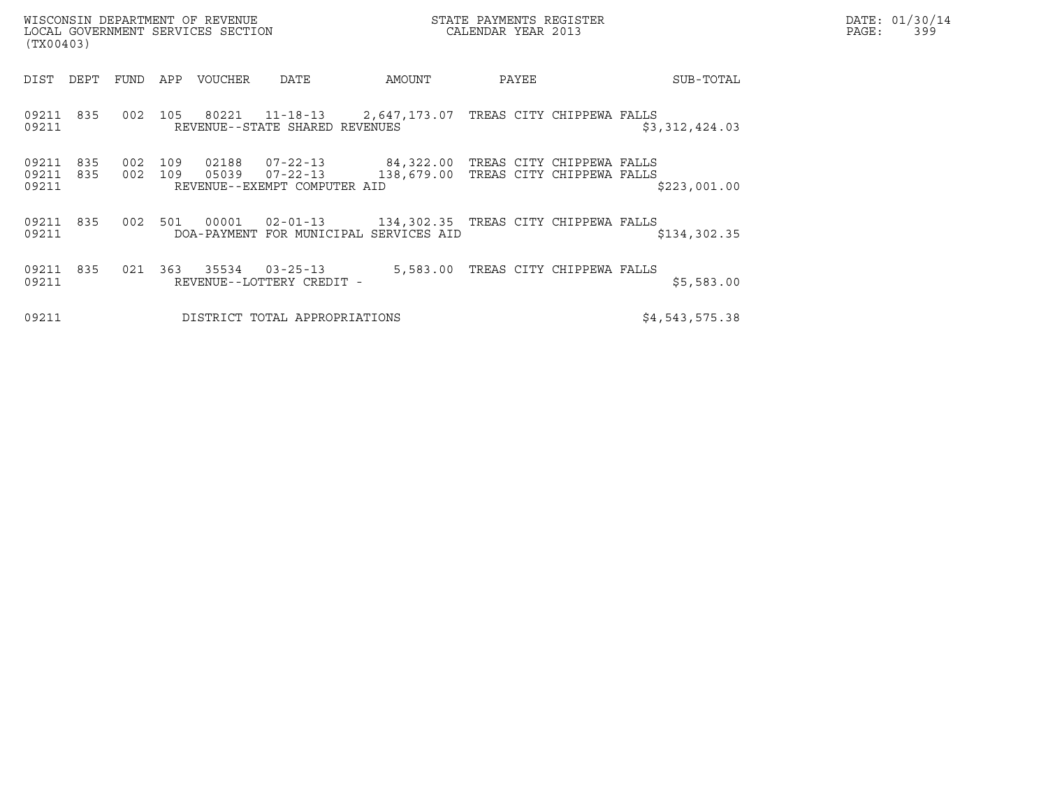| WISCONSIN DEPARTMENT OF REVENUE<br>LOCAL GOVERNMENT SERVICES SECTION<br>(TX00403) | STATE PAYMENTS REGISTER<br>CALENDAR YEAR 2013 | DATE: 01/30/14<br>PAGE:<br>399 |
|-----------------------------------------------------------------------------------|-----------------------------------------------|--------------------------------|

(TX00403) DIST DEPT FUND APP VOUCHER DATE AMOUNT PAYEE SUB-TOTAL 09211 835 002 105 80221 11-18-13 2,647,173.07 TREAS CITY CHIPPEWA FALLS <sup>09211</sup> REVENUE--STATE SHARED REVENUES \$3,312,424.03 09211 835 002 109 02188 07-22-13 84,322.00 TREAS CITY CHIPPEWA FALLS 09211 835 002 109 05039 07-22-13 138,679.00 TREAS CITY CHIPPEWA FALLS <sup>09211</sup> REVENUE--EXEMPT COMPUTER AID \$223,001.00 09211 835 002 501 00001 02-01-13 134,302.35 TREAS CITY CHIPPEWA FALLS 09211 835 002 501 00001 02-01-13 134,302.35 TREAS CITY CHIPPEWA FALLS<br>19211 DOA-PAYMENT FOR MUNICIPAL SERVICES AID \$134,302.35 09211 835 021 363 35534 03-25-13 5,583.00 TREAS CITY CHIPPEWA FALLS <sup>09211</sup> REVENUE--LOTTERY CREDIT - \$5,583.00

09211 REVENUE--LOTTERY CREDIT -<br>
DISTRICT TOTAL APPROPRIATIONS \$4,543,575.38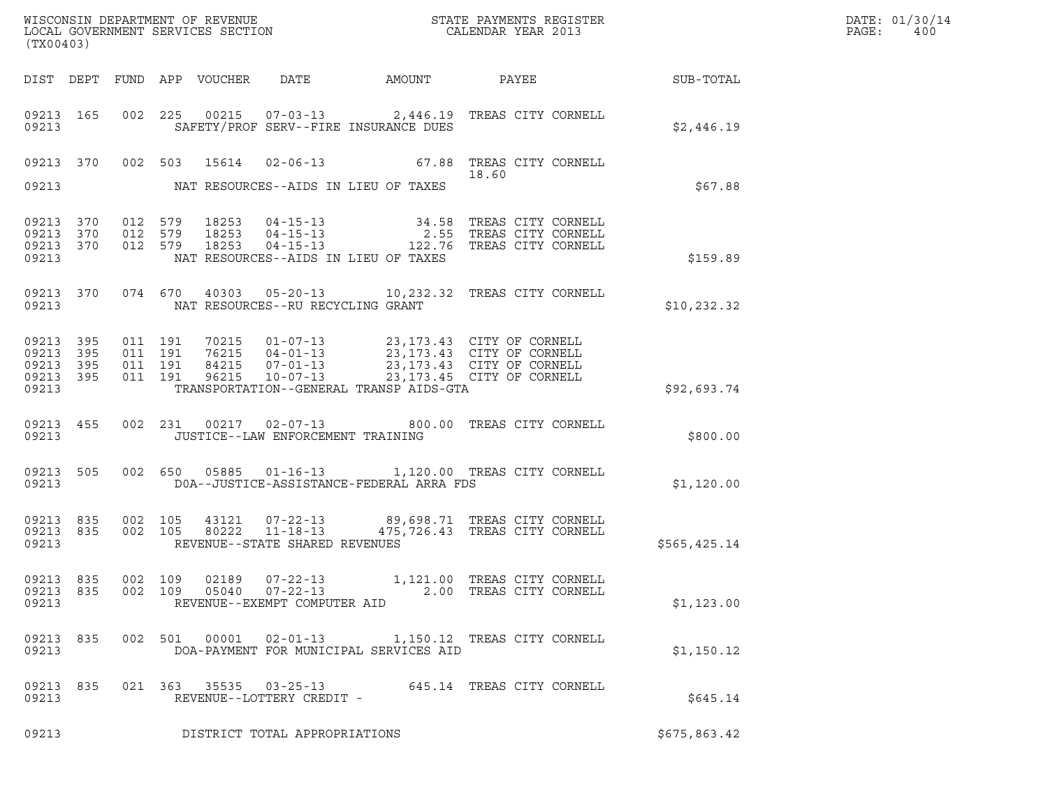| DATE: | 01/30/14 |
|-------|----------|
| PAGE: | 400      |

| (TX00403)                                             |     |                               |                               |                            |                                                            |                                          |                                                                                                                                                                                          |                  | DATE: 01/30/14<br>$\mathtt{PAGE}$ :<br>400 |
|-------------------------------------------------------|-----|-------------------------------|-------------------------------|----------------------------|------------------------------------------------------------|------------------------------------------|------------------------------------------------------------------------------------------------------------------------------------------------------------------------------------------|------------------|--------------------------------------------|
|                                                       |     |                               |                               | DIST DEPT FUND APP VOUCHER |                                                            | DATE AMOUNT                              | PAYEE                                                                                                                                                                                    | <b>SUB-TOTAL</b> |                                            |
| 09213 165<br>09213                                    |     |                               |                               |                            |                                                            | SAFETY/PROF SERV--FIRE INSURANCE DUES    | 002 225 00215 07-03-13 2,446.19 TREAS CITY CORNELL                                                                                                                                       | \$2,446.19       |                                            |
|                                                       |     |                               |                               |                            |                                                            |                                          | 09213 370 002 503 15614 02-06-13 67.88 TREAS CITY CORNELL<br>18.60                                                                                                                       |                  |                                            |
| 09213                                                 |     |                               |                               |                            |                                                            | NAT RESOURCES--AIDS IN LIEU OF TAXES     |                                                                                                                                                                                          | \$67.88          |                                            |
| 09213 370<br>09213 370<br>09213 370<br>09213          |     | 012 579<br>012 579<br>012 579 |                               | 18253<br>18253<br>18253    |                                                            | NAT RESOURCES--AIDS IN LIEU OF TAXES     | 34.58 TREAS CITY CORNELL<br>04-15-13 34.58 TREAS CITY CORNELL<br>04-15-13 2.55 TREAS CITY CORNELL<br>04-15-13 122.76 TREAS CITY CORNELL                                                  | \$159.89         |                                            |
| 09213 370<br>09213                                    |     |                               |                               |                            | NAT RESOURCES--RU RECYCLING GRANT                          |                                          | 074 670 40303 05-20-13 10,232.32 TREAS CITY CORNELL                                                                                                                                      | \$10, 232.32     |                                            |
| 09213 395<br>09213 395<br>09213<br>09213 395<br>09213 | 395 | 011 191                       | 011 191<br>011 191<br>011 191 |                            |                                                            | TRANSPORTATION--GENERAL TRANSP AIDS-GTA  | 70215  01-07-13  23,173.43  CITY OF CORNELL<br>76215  04-01-13  23,173.43  CITY OF CORNELL<br>84215  07-01-13  23,173.43  CITY OF CORNELL<br>96215  10-07-13  23,173.45  CITY OF CORNELL | \$92,693.74      |                                            |
| 09213 455<br>09213                                    |     |                               |                               |                            | JUSTICE--LAW ENFORCEMENT TRAINING                          |                                          | 002 231 00217 02-07-13 800.00 TREAS CITY CORNELL                                                                                                                                         | \$800.00         |                                            |
| 09213 505<br>09213                                    |     |                               |                               |                            |                                                            | DOA--JUSTICE-ASSISTANCE-FEDERAL ARRA FDS | 002 650 05885 01-16-13 1,120.00 TREAS CITY CORNELL                                                                                                                                       | \$1,120.00       |                                            |
| 09213 835<br>09213 835<br>09213                       |     | 002 105                       | 002 105                       | 80222                      | $11 - 18 - 13$<br>REVENUE--STATE SHARED REVENUES           |                                          | 43121  07-22-13  89,698.71  TREAS CITY CORNELL<br>475,726.43 TREAS CITY CORNELL                                                                                                          | \$565,425.14     |                                            |
| 09213 835<br>09213 835<br>09213                       |     | 002 109                       | 002 109                       | 02189<br>05040             | $07 - 22 - 13$<br>07-22-13<br>REVENUE--EXEMPT COMPUTER AID |                                          | 1,121.00 TREAS CITY CORNELL<br>2.00 TREAS CITY CORNELL                                                                                                                                   | \$1,123.00       |                                            |
| 09213 835<br>09213                                    |     |                               |                               |                            | 002 501 00001 02-01-13                                     | DOA-PAYMENT FOR MUNICIPAL SERVICES AID   | 1,150.12 TREAS CITY CORNELL                                                                                                                                                              | \$1,150.12       |                                            |
| 09213 835<br>09213                                    |     |                               |                               |                            | 021 363 35535 03-25-13<br>REVENUE--LOTTERY CREDIT -        |                                          | 645.14 TREAS CITY CORNELL                                                                                                                                                                | \$645.14         |                                            |
| 09213<br>DISTRICT TOTAL APPROPRIATIONS                |     |                               |                               |                            |                                                            |                                          |                                                                                                                                                                                          | \$675,863.42     |                                            |